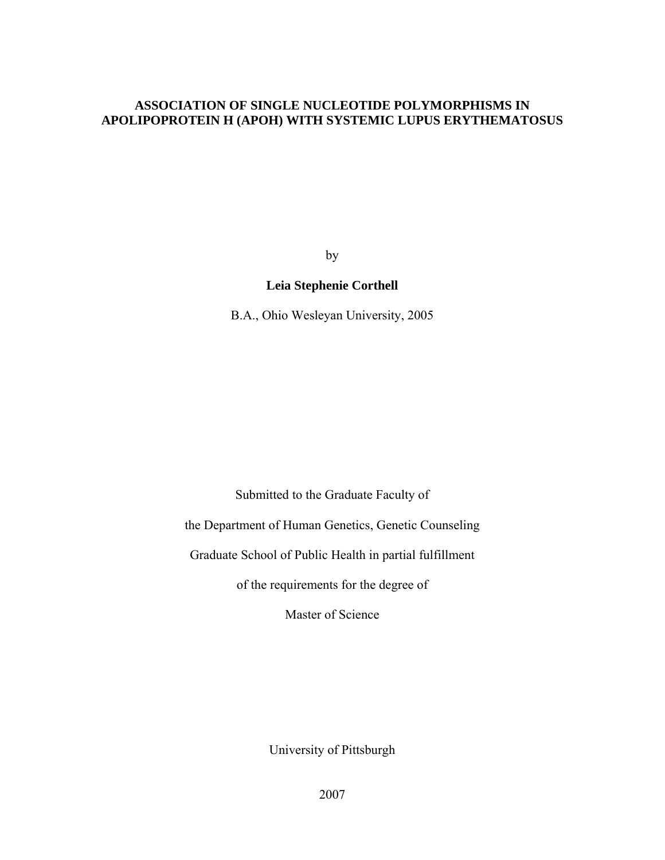## **ASSOCIATION OF SINGLE NUCLEOTIDE POLYMORPHISMS IN APOLIPOPROTEIN H (APOH) WITH SYSTEMIC LUPUS ERYTHEMATOSUS**

by

## **Leia Stephenie Corthell**

B.A., Ohio Wesleyan University, 2005

Submitted to the Graduate Faculty of

the Department of Human Genetics, Genetic Counseling

Graduate School of Public Health in partial fulfillment

of the requirements for the degree of

Master of Science

University of Pittsburgh

2007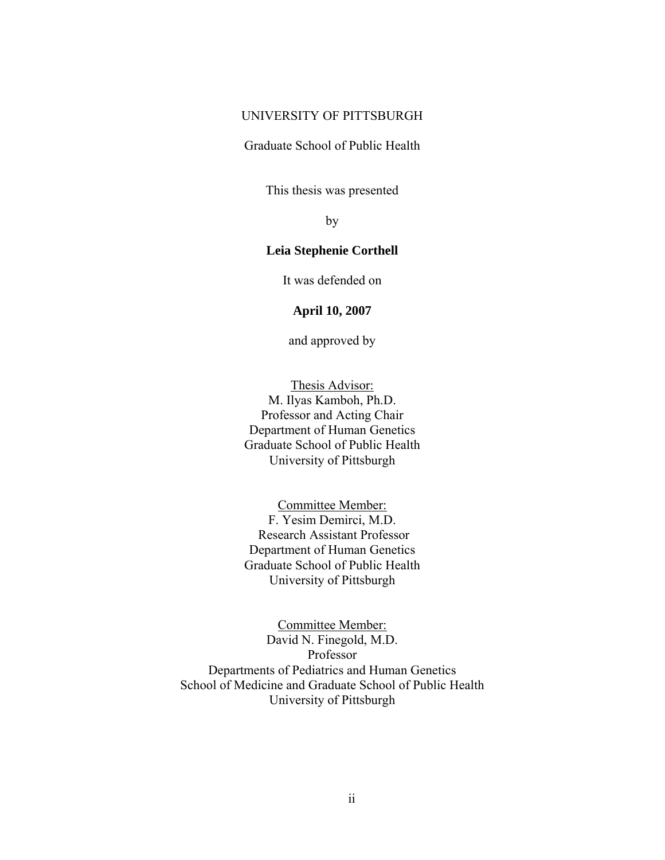## UNIVERSITY OF PITTSBURGH

Graduate School of Public Health

This thesis was presented

by

## **Leia Stephenie Corthell**

It was defended on

**April 10, 2007** 

and approved by

Thesis Advisor: M. Ilyas Kamboh, Ph.D. Professor and Acting Chair Department of Human Genetics Graduate School of Public Health University of Pittsburgh

Committee Member: F. Yesim Demirci, M.D. Research Assistant Professor Department of Human Genetics Graduate School of Public Health University of Pittsburgh

Committee Member: David N. Finegold, M.D. Professor Departments of Pediatrics and Human Genetics School of Medicine and Graduate School of Public Health University of Pittsburgh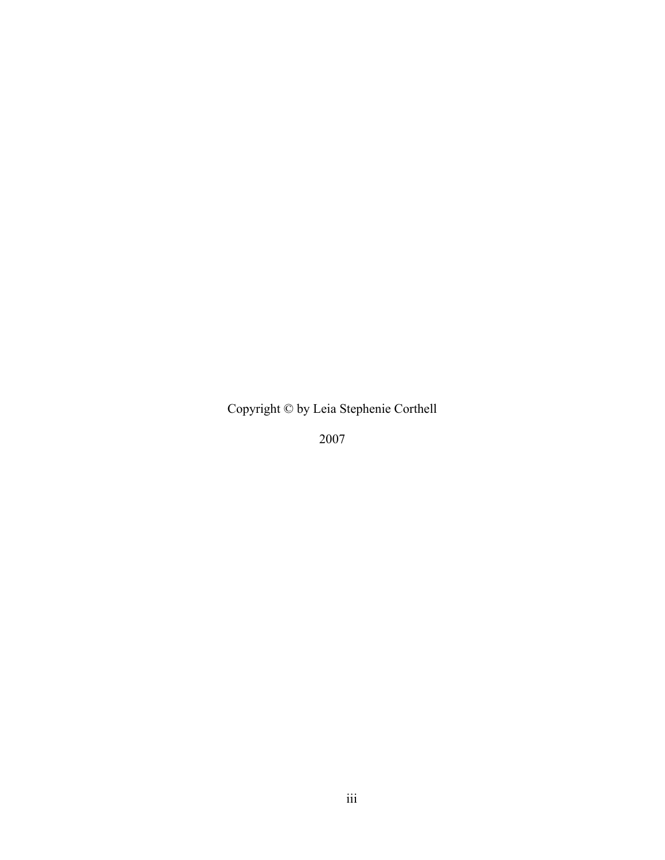Copyright © by Leia Stephenie Corthell

2007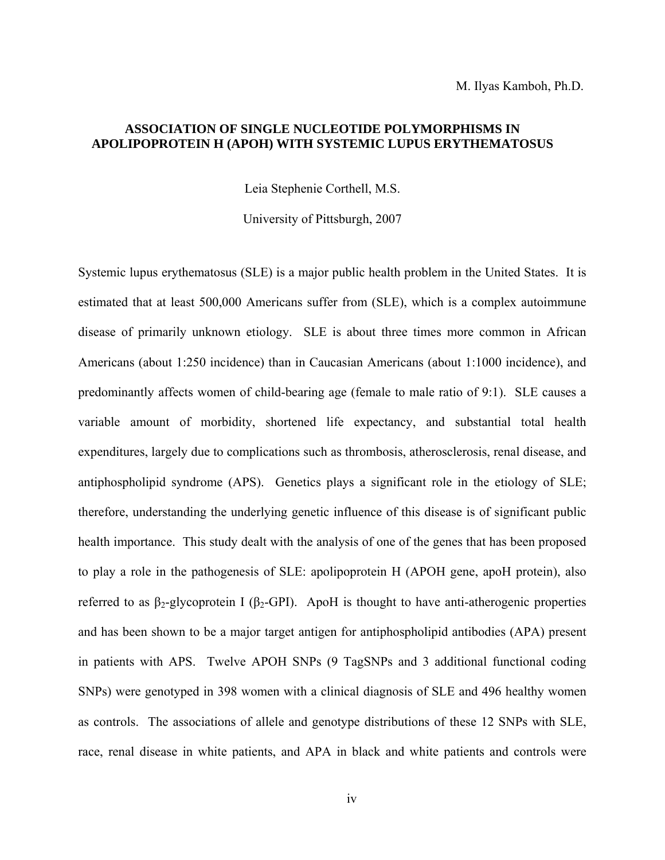## **ASSOCIATION OF SINGLE NUCLEOTIDE POLYMORPHISMS IN APOLIPOPROTEIN H (APOH) WITH SYSTEMIC LUPUS ERYTHEMATOSUS**

Leia Stephenie Corthell, M.S.

University of Pittsburgh, 2007

Systemic lupus erythematosus (SLE) is a major public health problem in the United States. It is estimated that at least 500,000 Americans suffer from (SLE), which is a complex autoimmune disease of primarily unknown etiology. SLE is about three times more common in African Americans (about 1:250 incidence) than in Caucasian Americans (about 1:1000 incidence), and predominantly affects women of child-bearing age (female to male ratio of 9:1). SLE causes a variable amount of morbidity, shortened life expectancy, and substantial total health expenditures, largely due to complications such as thrombosis, atherosclerosis, renal disease, and antiphospholipid syndrome (APS). Genetics plays a significant role in the etiology of SLE; therefore, understanding the underlying genetic influence of this disease is of significant public health importance. This study dealt with the analysis of one of the genes that has been proposed to play a role in the pathogenesis of SLE: apolipoprotein H (APOH gene, apoH protein), also referred to as β<sub>2</sub>-glycoprotein I (β<sub>2</sub>-GPI). ApoH is thought to have anti-atherogenic properties and has been shown to be a major target antigen for antiphospholipid antibodies (APA) present in patients with APS. Twelve APOH SNPs (9 TagSNPs and 3 additional functional coding SNPs) were genotyped in 398 women with a clinical diagnosis of SLE and 496 healthy women as controls. The associations of allele and genotype distributions of these 12 SNPs with SLE, race, renal disease in white patients, and APA in black and white patients and controls were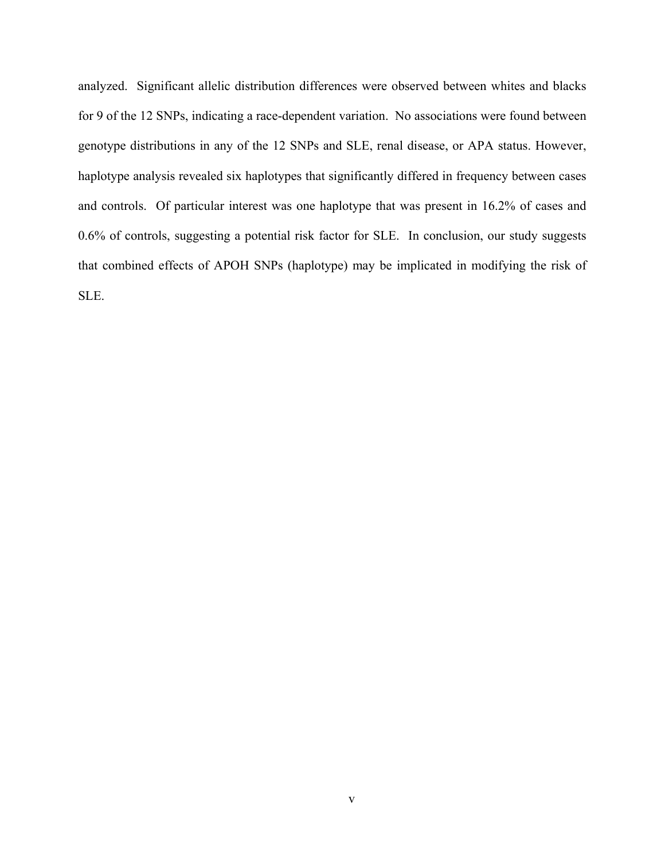analyzed. Significant allelic distribution differences were observed between whites and blacks for 9 of the 12 SNPs, indicating a race-dependent variation. No associations were found between genotype distributions in any of the 12 SNPs and SLE, renal disease, or APA status. However, haplotype analysis revealed six haplotypes that significantly differed in frequency between cases and controls. Of particular interest was one haplotype that was present in 16.2% of cases and 0.6% of controls, suggesting a potential risk factor for SLE. In conclusion, our study suggests that combined effects of APOH SNPs (haplotype) may be implicated in modifying the risk of SLE.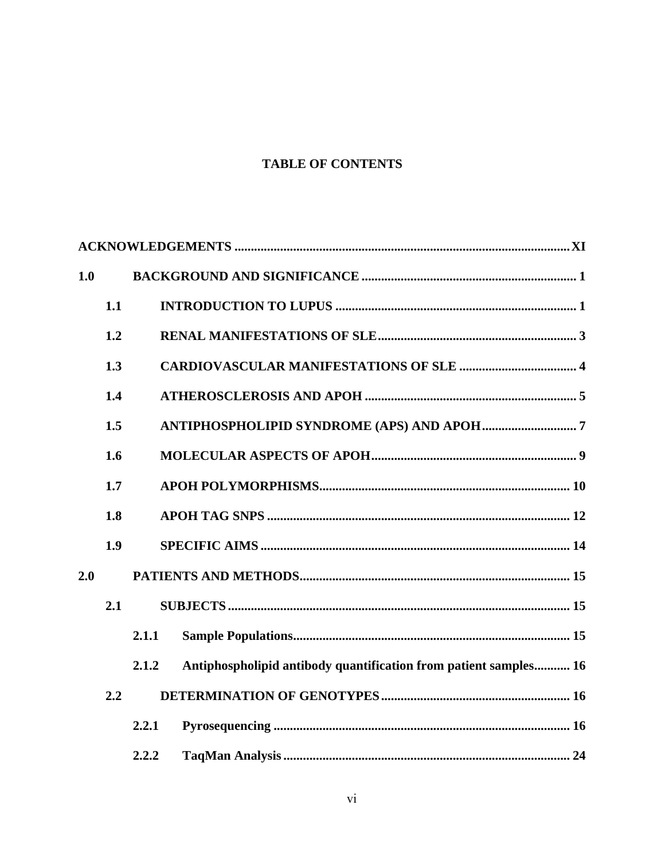## **TABLE OF CONTENTS**

| 1.0 |     |       |                                                                  |
|-----|-----|-------|------------------------------------------------------------------|
|     | 1.1 |       |                                                                  |
|     | 1.2 |       |                                                                  |
|     | 1.3 |       |                                                                  |
|     | 1.4 |       |                                                                  |
|     | 1.5 |       |                                                                  |
|     | 1.6 |       |                                                                  |
|     | 1.7 |       |                                                                  |
|     | 1.8 |       |                                                                  |
|     | 1.9 |       |                                                                  |
| 2.0 |     |       |                                                                  |
|     | 2.1 |       |                                                                  |
|     |     | 2.1.1 |                                                                  |
|     |     | 2.1.2 | Antiphospholipid antibody quantification from patient samples 16 |
|     | 2.2 |       |                                                                  |
|     |     | 2.2.1 |                                                                  |
|     |     | 2.2.2 |                                                                  |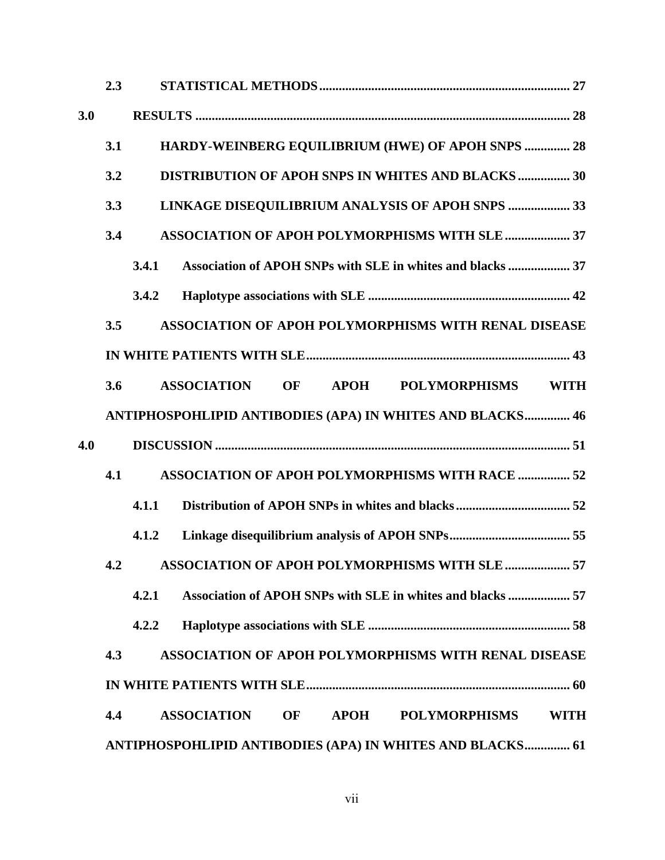|     | 2.3 |       |                    |    |             |                                                                  |             |
|-----|-----|-------|--------------------|----|-------------|------------------------------------------------------------------|-------------|
| 3.0 |     |       |                    |    |             |                                                                  |             |
|     | 3.1 |       |                    |    |             | HARDY-WEINBERG EQUILIBRIUM (HWE) OF APOH SNPS  28                |             |
|     | 3.2 |       |                    |    |             | <b>DISTRIBUTION OF APOH SNPS IN WHITES AND BLACKS  30</b>        |             |
|     | 3.3 |       |                    |    |             | LINKAGE DISEQUILIBRIUM ANALYSIS OF APOH SNPS  33                 |             |
|     | 3.4 |       |                    |    |             | ASSOCIATION OF APOH POLYMORPHISMS WITH SLE  37                   |             |
|     |     | 3.4.1 |                    |    |             | Association of APOH SNPs with SLE in whites and blacks  37       |             |
|     |     | 3.4.2 |                    |    |             |                                                                  |             |
|     | 3.5 |       |                    |    |             | ASSOCIATION OF APOH POLYMORPHISMS WITH RENAL DISEASE             |             |
|     |     |       |                    |    |             |                                                                  |             |
|     | 3.6 |       | <b>ASSOCIATION</b> | OF | <b>APOH</b> | <b>POLYMORPHISMS</b>                                             | <b>WITH</b> |
|     |     |       |                    |    |             | <b>ANTIPHOSPOHLIPID ANTIBODIES (APA) IN WHITES AND BLACKS 46</b> |             |
| 4.0 |     |       |                    |    |             |                                                                  |             |
|     | 4.1 |       |                    |    |             | <b>ASSOCIATION OF APOH POLYMORPHISMS WITH RACE  52</b>           |             |
|     |     | 4.1.1 |                    |    |             |                                                                  |             |
|     |     | 4.1.2 |                    |    |             |                                                                  |             |
|     |     |       |                    |    |             | 4.2 ASSOCIATION OF APOH POLYMORPHISMS WITH SLE  57               |             |
|     |     | 4.2.1 |                    |    |             | Association of APOH SNPs with SLE in whites and blacks  57       |             |
|     |     | 4.2.2 |                    |    |             |                                                                  |             |
|     | 4.3 |       |                    |    |             | <b>ASSOCIATION OF APOH POLYMORPHISMS WITH RENAL DISEASE</b>      |             |
|     |     |       |                    |    |             |                                                                  |             |
|     | 4.4 |       | <b>ASSOCIATION</b> | OF | <b>APOH</b> | <b>POLYMORPHISMS</b>                                             | <b>WITH</b> |
|     |     |       |                    |    |             | ANTIPHOSPOHLIPID ANTIBODIES (APA) IN WHITES AND BLACKS 61        |             |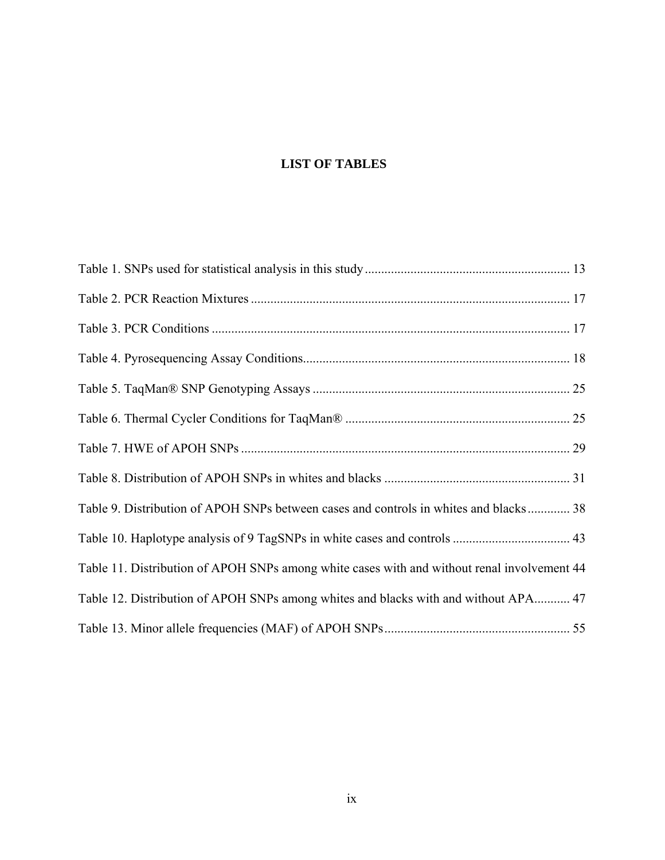# **LIST OF TABLES**

| Table 9. Distribution of APOH SNPs between cases and controls in whites and blacks 38       |  |
|---------------------------------------------------------------------------------------------|--|
|                                                                                             |  |
| Table 11. Distribution of APOH SNPs among white cases with and without renal involvement 44 |  |
| Table 12. Distribution of APOH SNPs among whites and blacks with and without APA 47         |  |
|                                                                                             |  |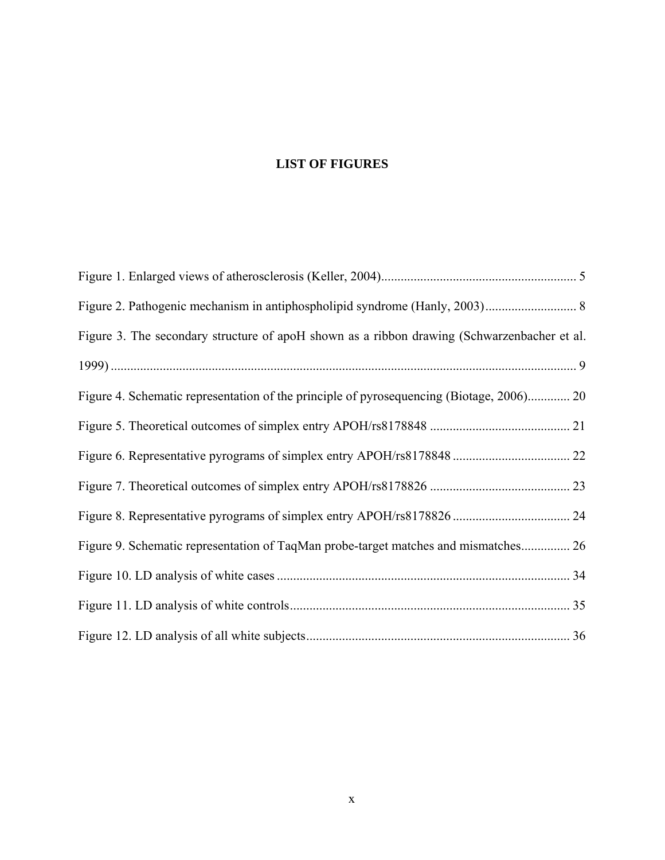# **LIST OF FIGURES**

| Figure 3. The secondary structure of apoH shown as a ribbon drawing (Schwarzenbacher et al. |  |
|---------------------------------------------------------------------------------------------|--|
|                                                                                             |  |
| Figure 4. Schematic representation of the principle of pyrosequencing (Biotage, 2006) 20    |  |
|                                                                                             |  |
|                                                                                             |  |
|                                                                                             |  |
|                                                                                             |  |
| Figure 9. Schematic representation of TaqMan probe-target matches and mismatches 26         |  |
|                                                                                             |  |
|                                                                                             |  |
|                                                                                             |  |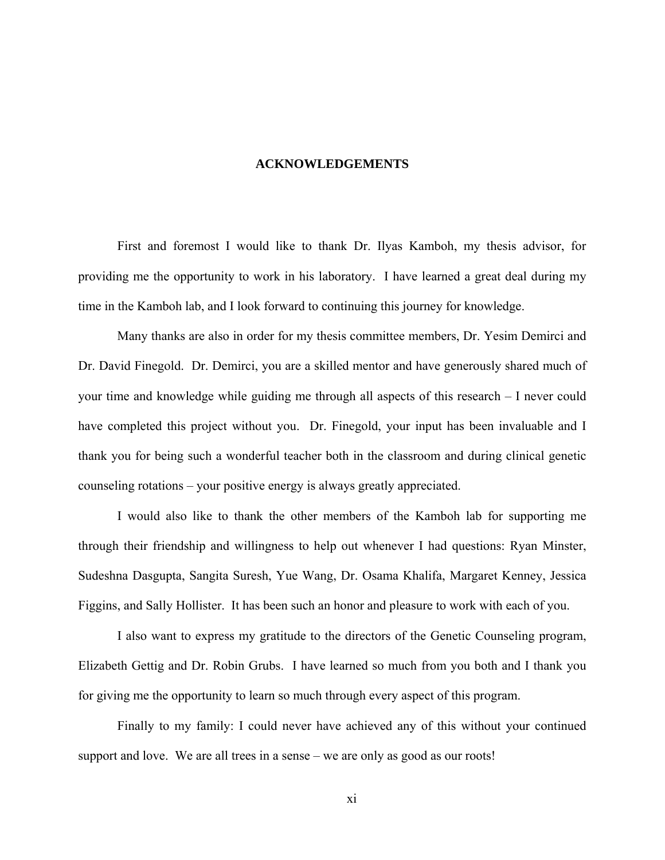#### **ACKNOWLEDGEMENTS**

<span id="page-10-0"></span> First and foremost I would like to thank Dr. Ilyas Kamboh, my thesis advisor, for providing me the opportunity to work in his laboratory. I have learned a great deal during my time in the Kamboh lab, and I look forward to continuing this journey for knowledge.

Many thanks are also in order for my thesis committee members, Dr. Yesim Demirci and Dr. David Finegold. Dr. Demirci, you are a skilled mentor and have generously shared much of your time and knowledge while guiding me through all aspects of this research – I never could have completed this project without you. Dr. Finegold, your input has been invaluable and I thank you for being such a wonderful teacher both in the classroom and during clinical genetic counseling rotations – your positive energy is always greatly appreciated.

I would also like to thank the other members of the Kamboh lab for supporting me through their friendship and willingness to help out whenever I had questions: Ryan Minster, Sudeshna Dasgupta, Sangita Suresh, Yue Wang, Dr. Osama Khalifa, Margaret Kenney, Jessica Figgins, and Sally Hollister. It has been such an honor and pleasure to work with each of you.

I also want to express my gratitude to the directors of the Genetic Counseling program, Elizabeth Gettig and Dr. Robin Grubs. I have learned so much from you both and I thank you for giving me the opportunity to learn so much through every aspect of this program.

Finally to my family: I could never have achieved any of this without your continued support and love. We are all trees in a sense – we are only as good as our roots!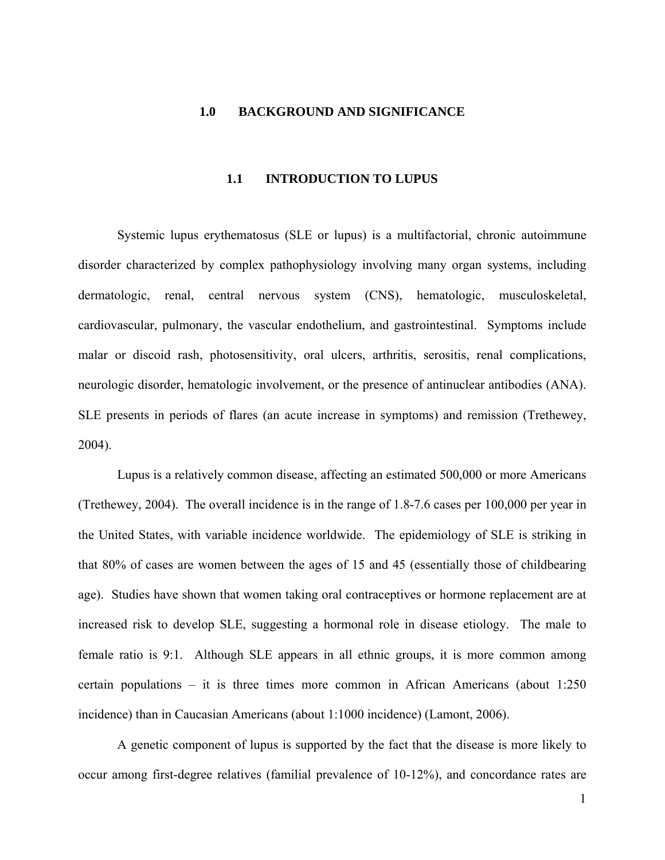#### <span id="page-11-0"></span>**1.0 BACKGROUND AND SIGNIFICANCE**

## **1.1 INTRODUCTION TO LUPUS**

Systemic lupus erythematosus (SLE or lupus) is a multifactorial, chronic autoimmune disorder characterized by complex pathophysiology involving many organ systems, including dermatologic, renal, central nervous system (CNS), hematologic, musculoskeletal, cardiovascular, pulmonary, the vascular endothelium, and gastrointestinal. Symptoms include malar or discoid rash, photosensitivity, oral ulcers, arthritis, serositis, renal complications, neurologic disorder, hematologic involvement, or the presence of antinuclear antibodies (ANA). SLE presents in periods of flares (an acute increase in symptoms) and remission (Trethewey, 2004).

Lupus is a relatively common disease, affecting an estimated 500,000 or more Americans (Trethewey, 2004). The overall incidence is in the range of 1.8-7.6 cases per 100,000 per year in the United States, with variable incidence worldwide. The epidemiology of SLE is striking in that 80% of cases are women between the ages of 15 and 45 (essentially those of childbearing age). Studies have shown that women taking oral contraceptives or hormone replacement are at increased risk to develop SLE, suggesting a hormonal role in disease etiology. The male to female ratio is 9:1. Although SLE appears in all ethnic groups, it is more common among certain populations – it is three times more common in African Americans (about 1:250 incidence) than in Caucasian Americans (about 1:1000 incidence) (Lamont, 2006).

A genetic component of lupus is supported by the fact that the disease is more likely to occur among first-degree relatives (familial prevalence of 10-12%), and concordance rates are

1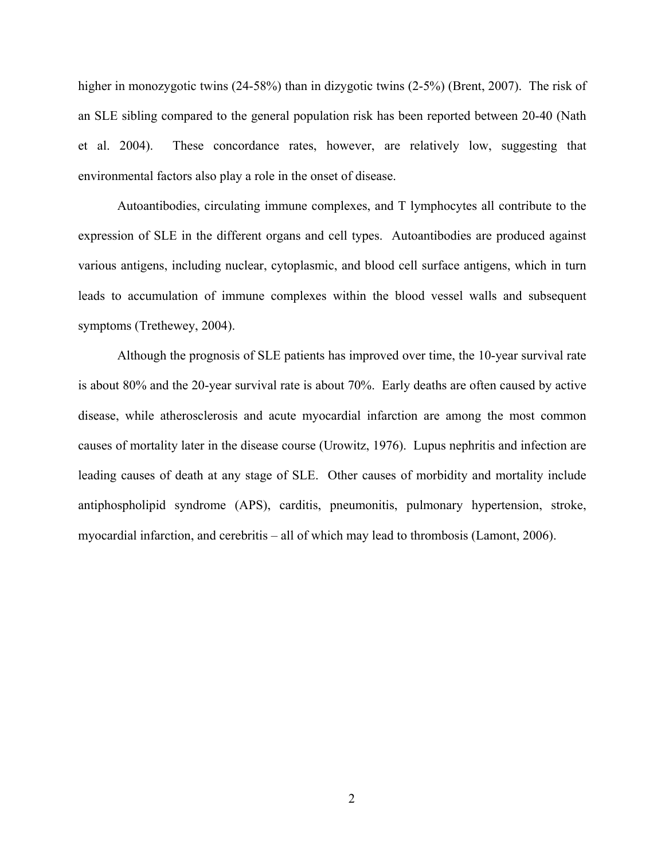higher in monozygotic twins (24-58%) than in dizygotic twins (2-5%) (Brent, 2007). The risk of an SLE sibling compared to the general population risk has been reported between 20-40 (Nath et al. 2004). These concordance rates, however, are relatively low, suggesting that environmental factors also play a role in the onset of disease.

Autoantibodies, circulating immune complexes, and T lymphocytes all contribute to the expression of SLE in the different organs and cell types. Autoantibodies are produced against various antigens, including nuclear, cytoplasmic, and blood cell surface antigens, which in turn leads to accumulation of immune complexes within the blood vessel walls and subsequent symptoms (Trethewey, 2004).

Although the prognosis of SLE patients has improved over time, the 10-year survival rate is about 80% and the 20-year survival rate is about 70%. Early deaths are often caused by active disease, while atherosclerosis and acute myocardial infarction are among the most common causes of mortality later in the disease course (Urowitz, 1976). Lupus nephritis and infection are leading causes of death at any stage of SLE. Other causes of morbidity and mortality include antiphospholipid syndrome (APS), carditis, pneumonitis, pulmonary hypertension, stroke, myocardial infarction, and cerebritis – all of which may lead to thrombosis (Lamont, 2006).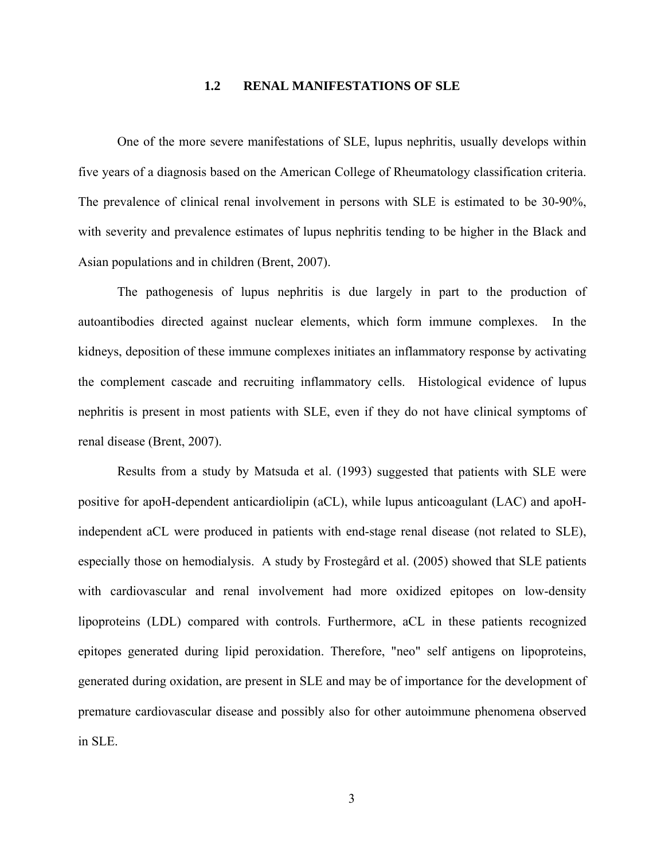## **1.2 RENAL MANIFESTATIONS OF SLE**

<span id="page-13-0"></span>One of the more severe manifestations of SLE, lupus nephritis, usually develops within five years of a diagnosis based on the American College of Rheumatology classification criteria. The prevalence of clinical renal involvement in persons with SLE is estimated to be 30-90%, with severity and prevalence estimates of lupus nephritis tending to be higher in the Black and Asian populations and in children (Brent, 2007).

The pathogenesis of lupus nephritis is due largely in part to the production of autoantibodies directed against nuclear elements, which form immune complexes. In the kidneys, deposition of these immune complexes initiates an inflammatory response by activating the complement cascade and recruiting inflammatory cells. Histological evidence of lupus nephritis is present in most patients with SLE, even if they do not have clinical symptoms of renal disease (Brent, 2007).

Results from a study by Matsuda et al. (1993) suggested that patients with SLE were positive for apoH-dependent anticardiolipin (aCL), while lupus anticoagulant (LAC) and apoHindependent aCL were produced in patients with end-stage renal disease (not related to SLE), especially those on hemodialysis. A study by Frostegård et al. (2005) showed that SLE patients with cardiovascular and renal involvement had more oxidized epitopes on low-density lipoproteins (LDL) compared with controls. Furthermore, aCL in these patients recognized epitopes generated during lipid peroxidation. Therefore, "neo" self antigens on lipoproteins, generated during oxidation, are present in SLE and may be of importance for the development of premature cardiovascular disease and possibly also for other autoimmune phenomena observed in SLE.

3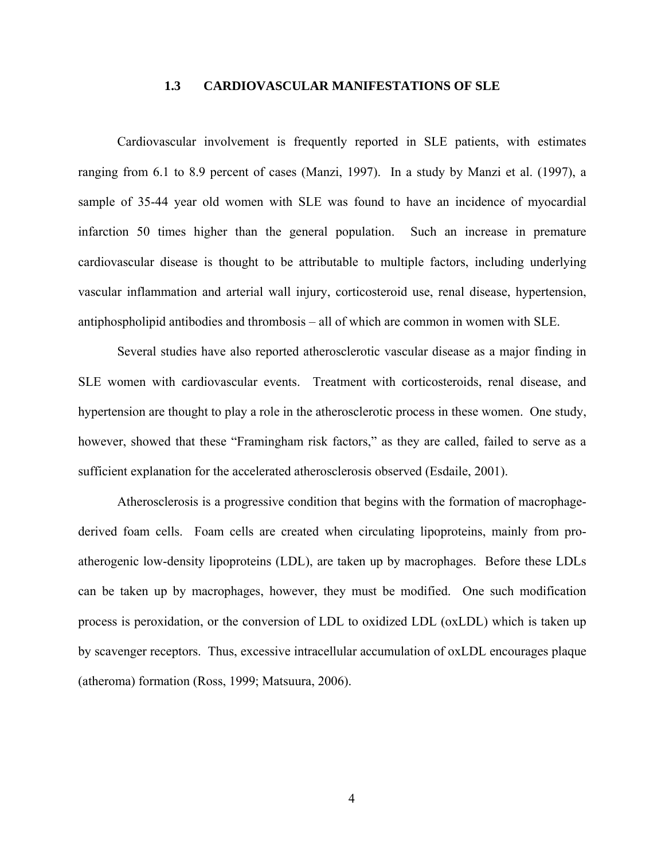## **1.3 CARDIOVASCULAR MANIFESTATIONS OF SLE**

<span id="page-14-0"></span>Cardiovascular involvement is frequently reported in SLE patients, with estimates ranging from 6.1 to 8.9 percent of cases (Manzi, 1997). In a study by Manzi et al. (1997), a sample of 35-44 year old women with SLE was found to have an incidence of myocardial infarction 50 times higher than the general population. Such an increase in premature cardiovascular disease is thought to be attributable to multiple factors, including underlying vascular inflammation and arterial wall injury, corticosteroid use, renal disease, hypertension, antiphospholipid antibodies and thrombosis – all of which are common in women with SLE.

Several studies have also reported atherosclerotic vascular disease as a major finding in SLE women with cardiovascular events. Treatment with corticosteroids, renal disease, and hypertension are thought to play a role in the atherosclerotic process in these women. One study, however, showed that these "Framingham risk factors," as they are called, failed to serve as a sufficient explanation for the accelerated atherosclerosis observed (Esdaile, 2001).

Atherosclerosis is a progressive condition that begins with the formation of macrophagederived foam cells. Foam cells are created when circulating lipoproteins, mainly from proatherogenic low-density lipoproteins (LDL), are taken up by macrophages. Before these LDLs can be taken up by macrophages, however, they must be modified. One such modification process is peroxidation, or the conversion of LDL to oxidized LDL (oxLDL) which is taken up by scavenger receptors. Thus, excessive intracellular accumulation of oxLDL encourages plaque (atheroma) formation (Ross, 1999; Matsuura, 2006).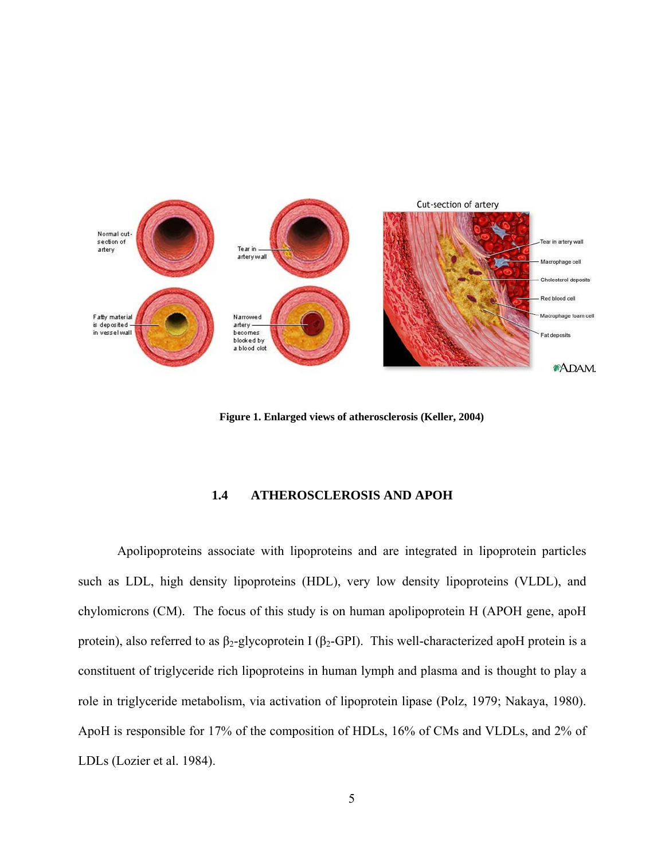<span id="page-15-0"></span>

**Figure 1. Enlarged views of atherosclerosis (Keller, 2004)** 

#### **1.4 ATHEROSCLEROSIS AND APOH**

Apolipoproteins associate with lipoproteins and are integrated in lipoprotein particles such as LDL, high density lipoproteins (HDL), very low density lipoproteins (VLDL), and chylomicrons (CM). The focus of this study is on human apolipoprotein H (APOH gene, apoH protein), also referred to as β<sub>2</sub>-glycoprotein I (β<sub>2</sub>-GPI). This well-characterized apoH protein is a constituent of triglyceride rich lipoproteins in human lymph and plasma and is thought to play a role in triglyceride metabolism, via activation of lipoprotein lipase (Polz, 1979; Nakaya, 1980). ApoH is responsible for 17% of the composition of HDLs, 16% of CMs and VLDLs, and 2% of LDLs (Lozier et al. 1984).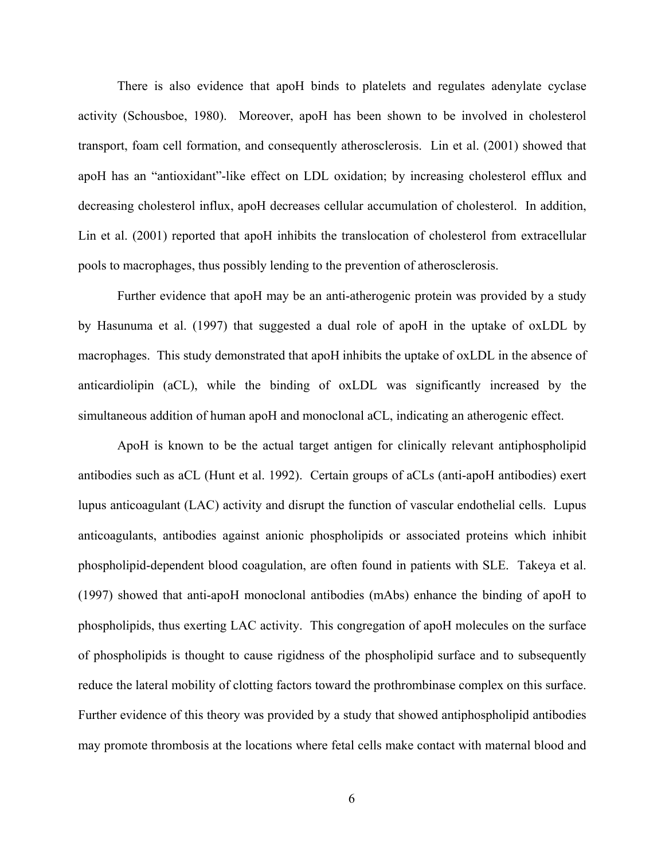There is also evidence that apoH binds to platelets and regulates adenylate cyclase activity (Schousboe, 1980). Moreover, apoH has been shown to be involved in cholesterol transport, foam cell formation, and consequently atherosclerosis. Lin et al. (2001) showed that apoH has an "antioxidant"-like effect on LDL oxidation; by increasing cholesterol efflux and decreasing cholesterol influx, apoH decreases cellular accumulation of cholesterol. In addition, Lin et al. (2001) reported that apoH inhibits the translocation of cholesterol from extracellular pools to macrophages, thus possibly lending to the prevention of atherosclerosis.

Further evidence that apoH may be an anti-atherogenic protein was provided by a study by Hasunuma et al. (1997) that suggested a dual role of apoH in the uptake of oxLDL by macrophages. This study demonstrated that apoH inhibits the uptake of oxLDL in the absence of anticardiolipin (aCL), while the binding of oxLDL was significantly increased by the simultaneous addition of human apoH and monoclonal aCL, indicating an atherogenic effect.

ApoH is known to be the actual target antigen for clinically relevant antiphospholipid antibodies such as aCL (Hunt et al. 1992). Certain groups of aCLs (anti-apoH antibodies) exert lupus anticoagulant (LAC) activity and disrupt the function of vascular endothelial cells. Lupus anticoagulants, antibodies against anionic phospholipids or associated proteins which inhibit phospholipid-dependent blood coagulation, are often found in patients with SLE. Takeya et al. (1997) showed that anti-apoH monoclonal antibodies (mAbs) enhance the binding of apoH to phospholipids, thus exerting LAC activity. This congregation of apoH molecules on the surface of phospholipids is thought to cause rigidness of the phospholipid surface and to subsequently reduce the lateral mobility of clotting factors toward the prothrombinase complex on this surface. Further evidence of this theory was provided by a study that showed antiphospholipid antibodies may promote thrombosis at the locations where fetal cells make contact with maternal blood and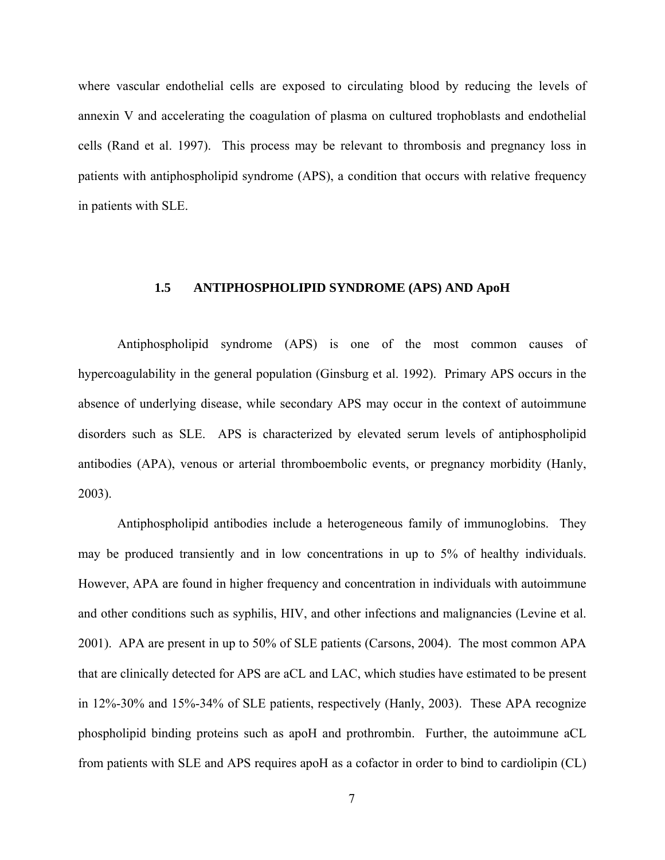<span id="page-17-0"></span>where vascular endothelial cells are exposed to circulating blood by reducing the levels of annexin V and accelerating the coagulation of plasma on cultured trophoblasts and endothelial cells (Rand et al. 1997). This process may be relevant to thrombosis and pregnancy loss in patients with antiphospholipid syndrome (APS), a condition that occurs with relative frequency in patients with SLE.

## **1.5 ANTIPHOSPHOLIPID SYNDROME (APS) AND ApoH**

Antiphospholipid syndrome (APS) is one of the most common causes of hypercoagulability in the general population (Ginsburg et al. 1992). Primary APS occurs in the absence of underlying disease, while secondary APS may occur in the context of autoimmune disorders such as SLE. APS is characterized by elevated serum levels of antiphospholipid antibodies (APA), venous or arterial thromboembolic events, or pregnancy morbidity (Hanly, 2003).

Antiphospholipid antibodies include a heterogeneous family of immunoglobins. They may be produced transiently and in low concentrations in up to 5% of healthy individuals. However, APA are found in higher frequency and concentration in individuals with autoimmune and other conditions such as syphilis, HIV, and other infections and malignancies (Levine et al. 2001). APA are present in up to 50% of SLE patients (Carsons, 2004). The most common APA that are clinically detected for APS are aCL and LAC, which studies have estimated to be present in 12%-30% and 15%-34% of SLE patients, respectively (Hanly, 2003). These APA recognize phospholipid binding proteins such as apoH and prothrombin. Further, the autoimmune aCL from patients with SLE and APS requires apoH as a cofactor in order to bind to cardiolipin (CL)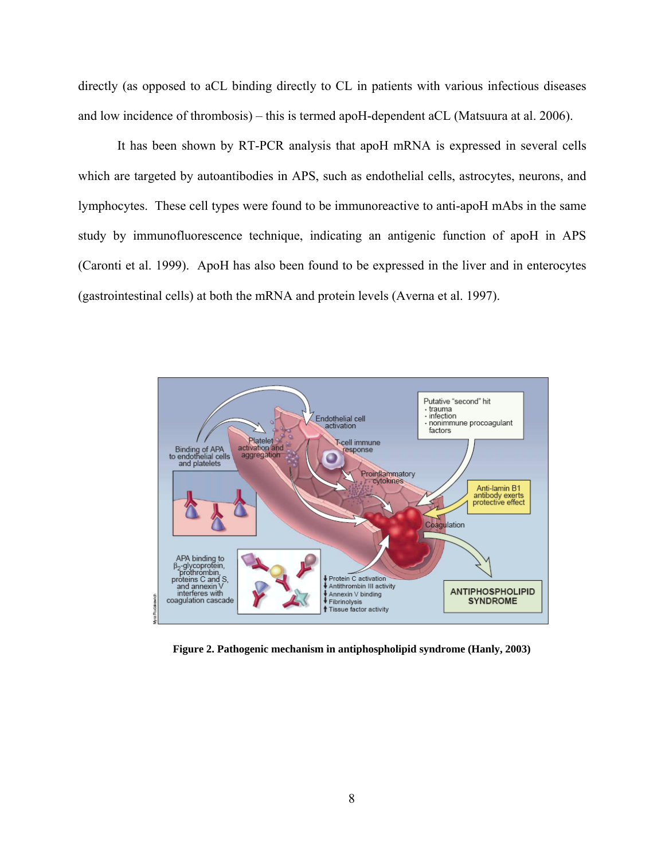<span id="page-18-0"></span>directly (as opposed to aCL binding directly to CL in patients with various infectious diseases and low incidence of thrombosis) – this is termed apoH-dependent aCL (Matsuura at al. 2006).

It has been shown by RT-PCR analysis that apoH mRNA is expressed in several cells which are targeted by autoantibodies in APS, such as endothelial cells, astrocytes, neurons, and lymphocytes. These cell types were found to be immunoreactive to anti-apoH mAbs in the same study by immunofluorescence technique, indicating an antigenic function of apoH in APS (Caronti et al. 1999). ApoH has also been found to be expressed in the liver and in enterocytes (gastrointestinal cells) at both the mRNA and protein levels (Averna et al. 1997).



**Figure 2. Pathogenic mechanism in antiphospholipid syndrome (Hanly, 2003)**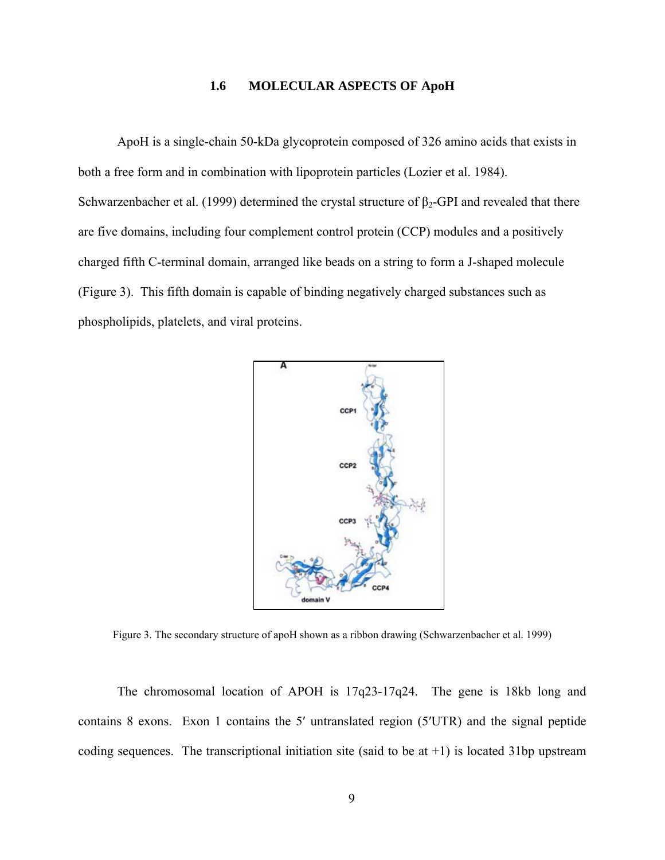## **1.6 MOLECULAR ASPECTS OF ApoH**

<span id="page-19-0"></span>ApoH is a single-chain 50-kDa glycoprotein composed of 326 amino acids that exists in both a free form and in combination with lipoprotein particles (Lozier et al. 1984). Schwarzenbacher et al. (1999) determined the crystal structure of  $\beta_2$ -GPI and revealed that there are five domains, including four complement control protein (CCP) modules and a positively charged fifth C-terminal domain, arranged like beads on a string to form a J-shaped molecule (Figure 3). This fifth domain is capable of binding negatively charged substances such as phospholipids, platelets, and viral proteins.



Figure 3. The secondary structure of apoH shown as a ribbon drawing (Schwarzenbacher et al. 1999)

The chromosomal location of APOH is 17q23-17q24. The gene is 18kb long and contains 8 exons. Exon 1 contains the 5′ untranslated region (5′UTR) and the signal peptide coding sequences. The transcriptional initiation site (said to be at  $+1$ ) is located 31bp upstream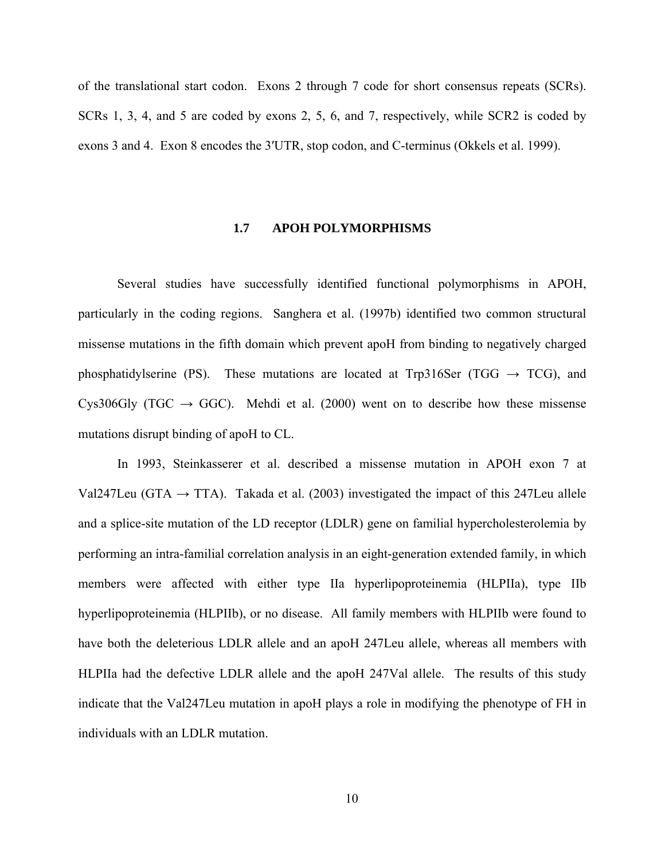<span id="page-20-0"></span>of the translational start codon. Exons 2 through 7 code for short consensus repeats (SCRs). SCRs 1, 3, 4, and 5 are coded by exons 2, 5, 6, and 7, respectively, while SCR2 is coded by exons 3 and 4. Exon 8 encodes the 3′UTR, stop codon, and C-terminus (Okkels et al. 1999).

#### **1.7 APOH POLYMORPHISMS**

Several studies have successfully identified functional polymorphisms in APOH, particularly in the coding regions. Sanghera et al. (1997b) identified two common structural missense mutations in the fifth domain which prevent apoH from binding to negatively charged phosphatidylserine (PS). These mutations are located at Trp316Ser (TGG  $\rightarrow$  TCG), and Cys306Gly (TGC  $\rightarrow$  GGC). Mehdi et al. (2000) went on to describe how these missense mutations disrupt binding of apoH to CL.

In 1993, Steinkasserer et al. described a missense mutation in APOH exon 7 at Val247Leu (GTA  $\rightarrow$  TTA). Takada et al. (2003) investigated the impact of this 247Leu allele and a splice-site mutation of the LD receptor (LDLR) gene on familial hypercholesterolemia by performing an intra-familial correlation analysis in an eight-generation extended family, in which members were affected with either type IIa hyperlipoproteinemia (HLPIIa), type IIb hyperlipoproteinemia (HLPIIb), or no disease. All family members with HLPIIb were found to have both the deleterious LDLR allele and an apoH 247Leu allele, whereas all members with HLPIIa had the defective LDLR allele and the apoH 247Val allele. The results of this study indicate that the Val247Leu mutation in apoH plays a role in modifying the phenotype of FH in individuals with an LDLR mutation.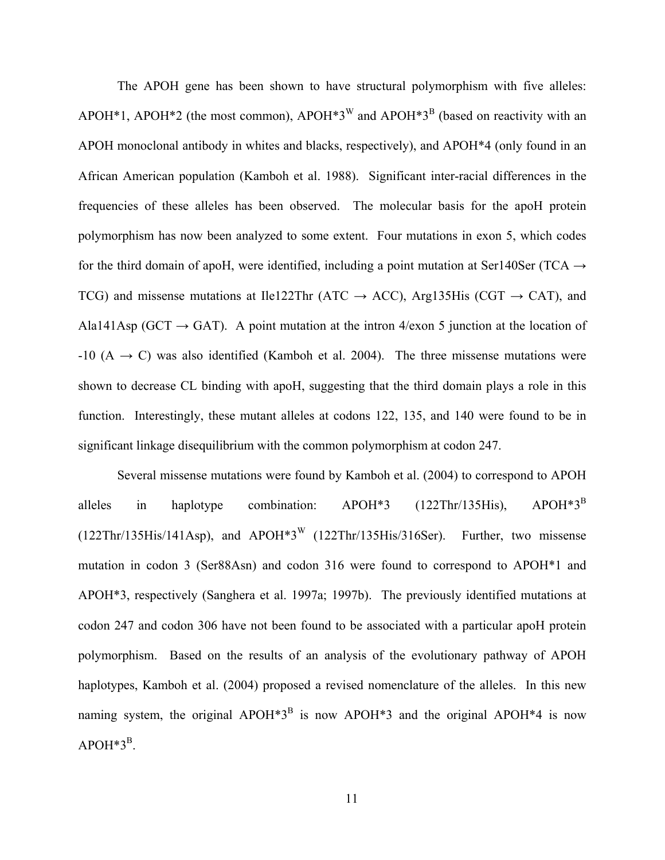The APOH gene has been shown to have structural polymorphism with five alleles: APOH<sup>\*</sup>1, APOH<sup>\*</sup>2 (the most common), APOH<sup>\*3<sup>W</sup> and APOH<sup>\*3B</sup> (based on reactivity with an</sup> APOH monoclonal antibody in whites and blacks, respectively), and APOH\*4 (only found in an African American population (Kamboh et al. 1988). Significant inter-racial differences in the frequencies of these alleles has been observed. The molecular basis for the apoH protein polymorphism has now been analyzed to some extent. Four mutations in exon 5, which codes for the third domain of apoH, were identified, including a point mutation at Ser140Ser (TCA  $\rightarrow$ TCG) and missense mutations at Ile122Thr (ATC  $\rightarrow$  ACC), Arg135His (CGT  $\rightarrow$  CAT), and Ala141Asp (GCT  $\rightarrow$  GAT). A point mutation at the intron 4/exon 5 junction at the location of  $-10$  (A  $\rightarrow$  C) was also identified (Kamboh et al. 2004). The three missense mutations were shown to decrease CL binding with apoH, suggesting that the third domain plays a role in this function. Interestingly, these mutant alleles at codons 122, 135, and 140 were found to be in significant linkage disequilibrium with the common polymorphism at codon 247.

Several missense mutations were found by Kamboh et al. (2004) to correspond to APOH alleles in haplotype combination:  $APOH*3$  (122Thr/135His),  $APOH*3^B$ (122Thr/135His/141Asp), and APOH\*3W (122Thr/135His/316Ser). Further, two missense mutation in codon 3 (Ser88Asn) and codon 316 were found to correspond to APOH\*1 and APOH\*3, respectively (Sanghera et al. 1997a; 1997b). The previously identified mutations at codon 247 and codon 306 have not been found to be associated with a particular apoH protein polymorphism. Based on the results of an analysis of the evolutionary pathway of APOH haplotypes, Kamboh et al. (2004) proposed a revised nomenclature of the alleles. In this new naming system, the original APOH<sup>\*3B</sup> is now APOH<sup>\*3</sup> and the original APOH<sup>\*4</sup> is now  $APOH*3^B$ .

11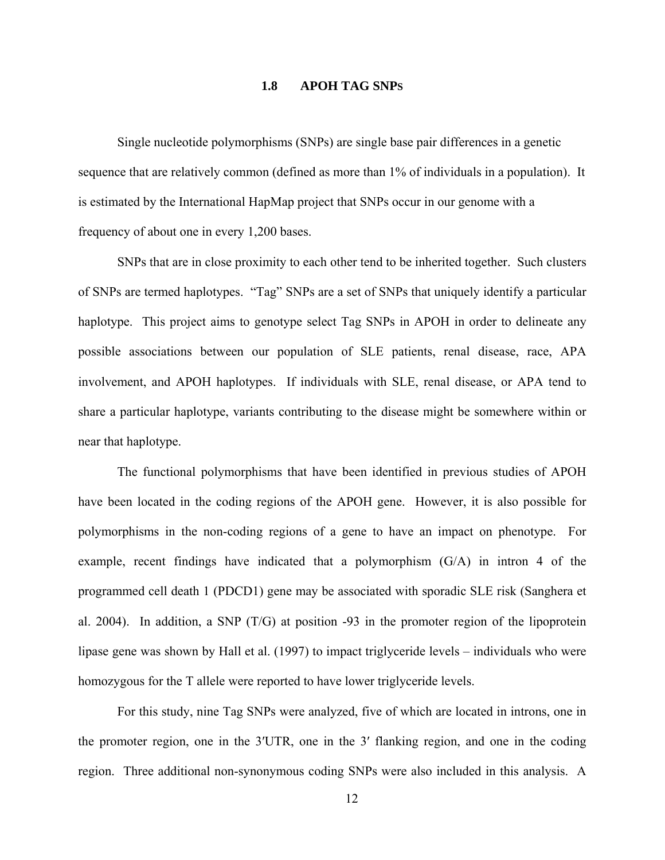#### **1.8 APOH TAG SNPS**

<span id="page-22-0"></span>Single nucleotide polymorphisms (SNPs) are single base pair differences in a genetic sequence that are relatively common (defined as more than 1% of individuals in a population). It is estimated by the International HapMap project that SNPs occur in our genome with a frequency of about one in every 1,200 bases.

SNPs that are in close proximity to each other tend to be inherited together. Such clusters of SNPs are termed haplotypes. "Tag" SNPs are a set of SNPs that uniquely identify a particular haplotype. This project aims to genotype select Tag SNPs in APOH in order to delineate any possible associations between our population of SLE patients, renal disease, race, APA involvement, and APOH haplotypes. If individuals with SLE, renal disease, or APA tend to share a particular haplotype, variants contributing to the disease might be somewhere within or near that haplotype.

The functional polymorphisms that have been identified in previous studies of APOH have been located in the coding regions of the APOH gene. However, it is also possible for polymorphisms in the non-coding regions of a gene to have an impact on phenotype. For example, recent findings have indicated that a polymorphism (G/A) in intron 4 of the programmed cell death 1 (PDCD1) gene may be associated with sporadic SLE risk (Sanghera et al. 2004). In addition, a SNP (T/G) at position -93 in the promoter region of the lipoprotein lipase gene was shown by Hall et al. (1997) to impact triglyceride levels – individuals who were homozygous for the T allele were reported to have lower triglyceride levels.

For this study, nine Tag SNPs were analyzed, five of which are located in introns, one in the promoter region, one in the 3′UTR, one in the 3′ flanking region, and one in the coding region. Three additional non-synonymous coding SNPs were also included in this analysis. A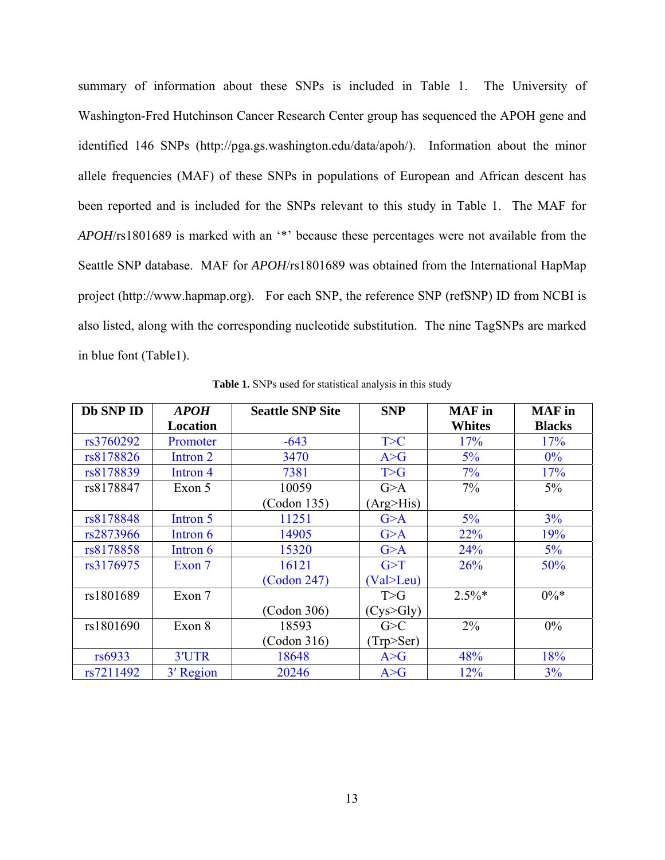<span id="page-23-0"></span>summary of information about these SNPs is included in Table 1. The University of Washington-Fred Hutchinson Cancer Research Center group has sequenced the APOH gene and identified 146 SNPs (http://pga.gs.washington.edu/data/apoh/). Information about the minor allele frequencies (MAF) of these SNPs in populations of European and African descent has been reported and is included for the SNPs relevant to this study in Table 1. The MAF for *APOH*/rs1801689 is marked with an '\*' because these percentages were not available from the Seattle SNP database. MAF for *APOH*/rs1801689 was obtained from the International HapMap project (http://www.hapmap.org). For each SNP, the reference SNP (refSNP) ID from NCBI is also listed, along with the corresponding nucleotide substitution. The nine TagSNPs are marked in blue font (Table1).

| Db SNP ID | <b>APOH</b><br>Location | <b>Seattle SNP Site</b> | <b>SNP</b>         | <b>MAF</b> in<br><b>Whites</b> | <b>MAF</b> in<br><b>Blacks</b> |
|-----------|-------------------------|-------------------------|--------------------|--------------------------------|--------------------------------|
| rs3760292 | Promoter                | $-643$                  | T>C                | 17%                            | 17%                            |
| rs8178826 | Intron 2                | 3470                    | A > G              | $5\%$                          | $0\%$                          |
| rs8178839 | Intron 4                | 7381                    | T>G                | 7%                             | 17%                            |
| rs8178847 | Exon 5                  | 10059                   | G>A                | $7\%$                          | $5\%$                          |
|           |                         | (Codon 135)             | (Arg > His)        |                                |                                |
| rs8178848 | Intron 5                | 11251                   | G>A                | 5%                             | 3%                             |
| rs2873966 | Intron 6                | 14905                   | G>A                | 22%                            | 19%                            |
| rs8178858 | Intron 6                | 15320                   | G>A                | 24%                            | $5\%$                          |
| rs3176975 | Exon 7                  | 16121                   | G>T                | 26%                            | 50%                            |
|           |                         | (Codon 247)             | (Val > Leu)        |                                |                                |
| rs1801689 | Exon 7                  |                         | T>G                | $2.5\%*$                       | $0\%*$                         |
|           |                         | (Codon 306)             | $(Cys\text{-}Gly)$ |                                |                                |
| rs1801690 | Exon 8                  | 18593                   | G>C                | $2\%$                          | $0\%$                          |
|           |                         | (Codon 316)             | (Trp>Ser)          |                                |                                |
| rs6933    | 3'UTR                   | 18648                   | A > G              | 48%                            | 18%                            |
| rs7211492 | 3' Region               | 20246                   | A > G              | 12%                            | 3%                             |

**Table 1.** SNPs used for statistical analysis in this study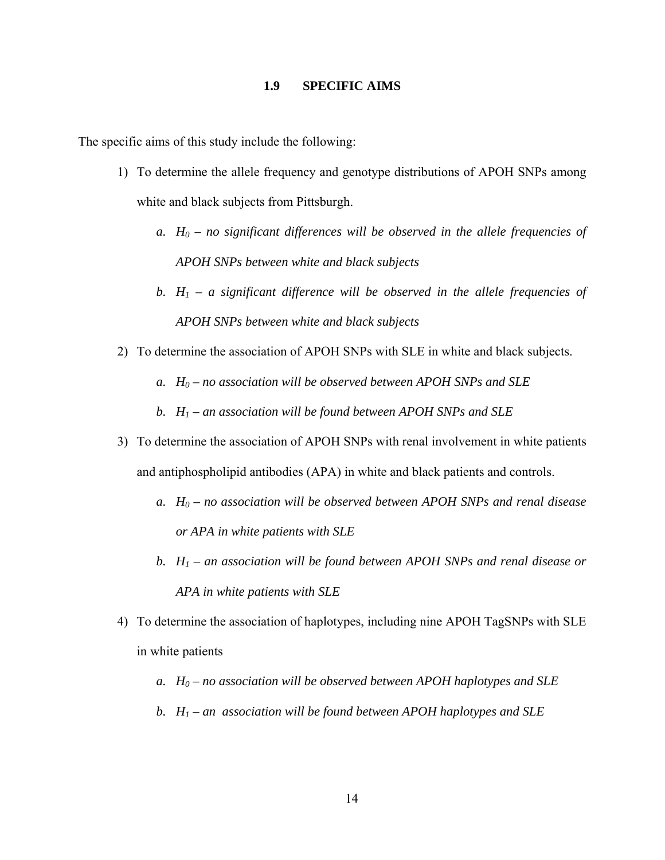#### **1.9 SPECIFIC AIMS**

<span id="page-24-0"></span>The specific aims of this study include the following:

- 1) To determine the allele frequency and genotype distributions of APOH SNPs among white and black subjects from Pittsburgh.
	- *a.*  $H_0$  no significant differences will be observed in the allele frequencies of *APOH SNPs between white and black subjects*
	- *b.*  $H_1$  a significant difference will be observed in the allele frequencies of *APOH SNPs between white and black subjects*
- 2) To determine the association of APOH SNPs with SLE in white and black subjects.
	- *a.*  $H_0$  no association will be observed between APOH SNPs and SLE
	- *b. H1 an association will be found between APOH SNPs and SLE*
- 3) To determine the association of APOH SNPs with renal involvement in white patients and antiphospholipid antibodies (APA) in white and black patients and controls.
	- *a. H0 no association will be observed between APOH SNPs and renal disease or APA in white patients with SLE*
	- *b. H1 an association will be found between APOH SNPs and renal disease or APA in white patients with SLE*
- 4) To determine the association of haplotypes, including nine APOH TagSNPs with SLE in white patients
	- *a.*  $H_0$  no association will be observed between APOH haplotypes and SLE
	- *b. H1 an association will be found between APOH haplotypes and SLE*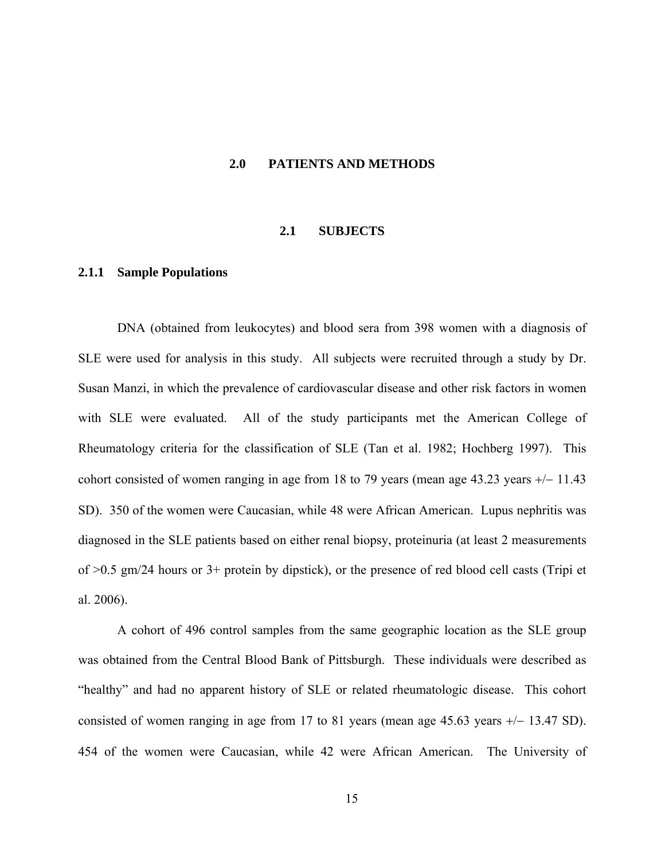#### <span id="page-25-0"></span>**2.0 PATIENTS AND METHODS**

#### **2.1 SUBJECTS**

#### **2.1.1 Sample Populations**

DNA (obtained from leukocytes) and blood sera from 398 women with a diagnosis of SLE were used for analysis in this study. All subjects were recruited through a study by Dr. Susan Manzi, in which the prevalence of cardiovascular disease and other risk factors in women with SLE were evaluated. All of the study participants met the American College of Rheumatology criteria for the classification of SLE (Tan et al. 1982; Hochberg 1997). This cohort consisted of women ranging in age from 18 to 79 years (mean age 43.23 years +/− 11.43 SD). 350 of the women were Caucasian, while 48 were African American. Lupus nephritis was diagnosed in the SLE patients based on either renal biopsy, proteinuria (at least 2 measurements of >0.5 gm/24 hours or 3+ protein by dipstick), or the presence of red blood cell casts (Tripi et al. 2006).

A cohort of 496 control samples from the same geographic location as the SLE group was obtained from the Central Blood Bank of Pittsburgh. These individuals were described as "healthy" and had no apparent history of SLE or related rheumatologic disease. This cohort consisted of women ranging in age from 17 to 81 years (mean age 45.63 years +/− 13.47 SD). 454 of the women were Caucasian, while 42 were African American. The University of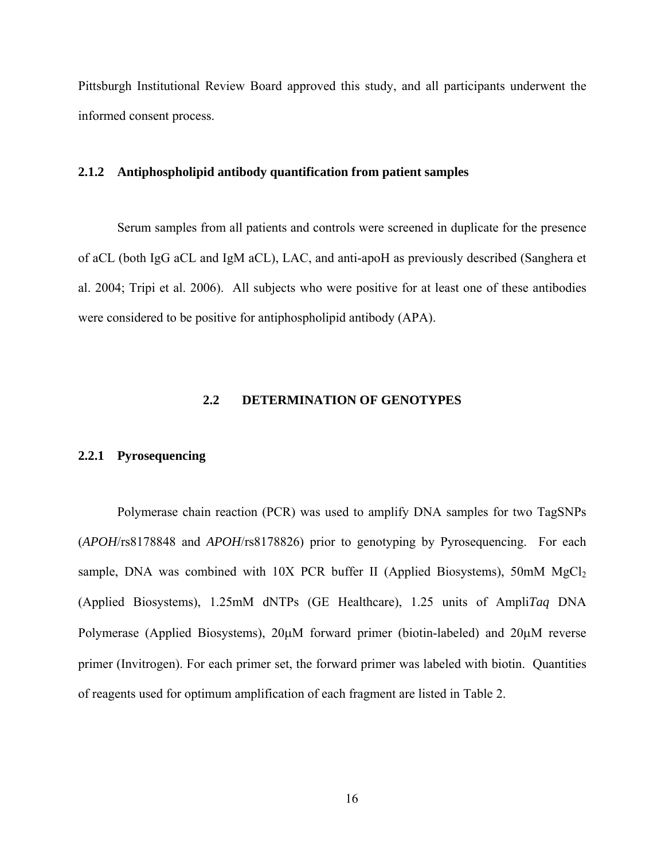<span id="page-26-0"></span>Pittsburgh Institutional Review Board approved this study, and all participants underwent the informed consent process.

#### **2.1.2 Antiphospholipid antibody quantification from patient samples**

Serum samples from all patients and controls were screened in duplicate for the presence of aCL (both IgG aCL and IgM aCL), LAC, and anti-apoH as previously described (Sanghera et al. 2004; Tripi et al. 2006). All subjects who were positive for at least one of these antibodies were considered to be positive for antiphospholipid antibody (APA).

## **2.2 DETERMINATION OF GENOTYPES**

#### **2.2.1 Pyrosequencing**

Polymerase chain reaction (PCR) was used to amplify DNA samples for two TagSNPs (*APOH*/rs8178848 and *APOH*/rs8178826) prior to genotyping by Pyrosequencing. For each sample, DNA was combined with  $10X$  PCR buffer II (Applied Biosystems), 50mM  $MgCl<sub>2</sub>$ (Applied Biosystems), 1.25mM dNTPs (GE Healthcare), 1.25 units of Ampli*Taq* DNA Polymerase (Applied Biosystems), 20μM forward primer (biotin-labeled) and 20μM reverse primer (Invitrogen). For each primer set, the forward primer was labeled with biotin. Quantities of reagents used for optimum amplification of each fragment are listed in Table 2.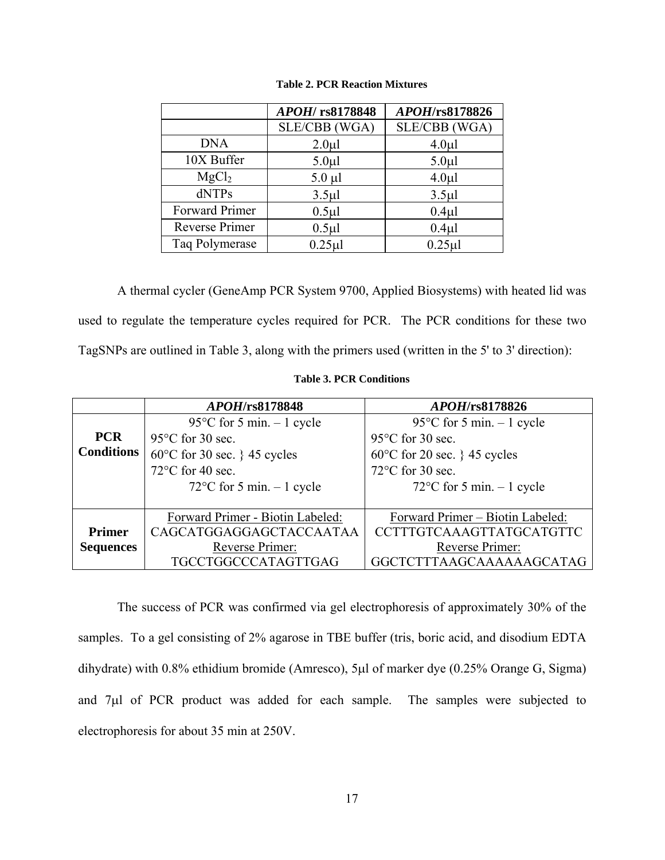<span id="page-27-0"></span>

|                   | APOH/rs8178848   | APOH/rs8178826   |
|-------------------|------------------|------------------|
|                   | SLE/CBB (WGA)    | SLE/CBB (WGA)    |
| <b>DNA</b>        | $2.0 \mu l$      | 4.0 <sub>µ</sub> |
| 10X Buffer        | 5.0 <sub>µ</sub> | $5.0 \mu l$      |
| MgCl <sub>2</sub> | $5.0 \mu l$      | 4.0 <sub>µ</sub> |
| dNTPs             | 3.5 <sub>µ</sub> | $3.5 \mu$        |
| Forward Primer    | $0.5$ µl         | $0.4\mu$ l       |
| Reverse Primer    | $0.5$ µl         | $0.4\mu$ l       |
| Taq Polymerase    | $0.25$ µl        | $0.25 \mu$       |

#### **Table 2. PCR Reaction Mixtures**

A thermal cycler (GeneAmp PCR System 9700, Applied Biosystems) with heated lid was used to regulate the temperature cycles required for PCR. The PCR conditions for these two TagSNPs are outlined in Table 3, along with the primers used (written in the 5' to 3' direction):

|                   | <i>APOH</i> /rs8178848                 | <i>APOH</i> /rs8178826                 |
|-------------------|----------------------------------------|----------------------------------------|
|                   | 95 $\degree$ C for 5 min. - 1 cycle    | 95 $\degree$ C for 5 min. - 1 cycle    |
| <b>PCR</b>        | $95^{\circ}$ C for 30 sec.             | $95^{\circ}$ C for 30 sec.             |
| <b>Conditions</b> | $60^{\circ}$ C for 30 sec. } 45 cycles | $60^{\circ}$ C for 20 sec. } 45 cycles |
|                   | $72^{\circ}$ C for 40 sec.             | $72^{\circ}$ C for 30 sec.             |
|                   | $72^{\circ}$ C for 5 min. - 1 cycle    | $72^{\circ}$ C for 5 min. $-1$ cycle   |
|                   |                                        |                                        |
|                   | Forward Primer - Biotin Labeled:       | Forward Primer - Biotin Labeled:       |
| <b>Primer</b>     | CAGCATGGAGGAGCTACCAATAA                | CCTTTGTCAAAGTTATGCATGTTC               |
| <b>Sequences</b>  | Reverse Primer:                        | Reverse Primer:                        |
|                   | TGCCTGGCCCATAGTTGAG                    | GGCTCTTTAAGCAAAAAAGCATAG               |

**Table 3. PCR Conditions** 

The success of PCR was confirmed via gel electrophoresis of approximately 30% of the samples. To a gel consisting of 2% agarose in TBE buffer (tris, boric acid, and disodium EDTA dihydrate) with 0.8% ethidium bromide (Amresco), 5μl of marker dye (0.25% Orange G, Sigma) and 7μl of PCR product was added for each sample. The samples were subjected to electrophoresis for about 35 min at 250V.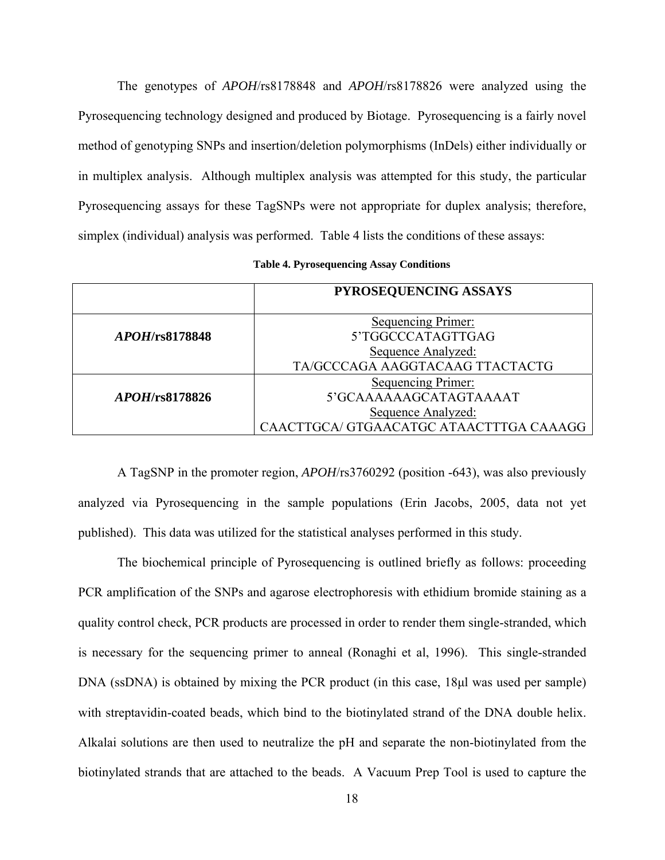<span id="page-28-0"></span>The genotypes of *APOH*/rs8178848 and *APOH*/rs8178826 were analyzed using the Pyrosequencing technology designed and produced by Biotage. Pyrosequencing is a fairly novel method of genotyping SNPs and insertion/deletion polymorphisms (InDels) either individually or in multiplex analysis. Although multiplex analysis was attempted for this study, the particular Pyrosequencing assays for these TagSNPs were not appropriate for duplex analysis; therefore, simplex (individual) analysis was performed. Table 4 lists the conditions of these assays:

| <b>Table 4. Pyrosequencing Assay Conditions</b> |  |
|-------------------------------------------------|--|
|-------------------------------------------------|--|

|                        | PYROSEQUENCING ASSAYS                   |
|------------------------|-----------------------------------------|
|                        | Sequencing Primer:                      |
| <i>APOH</i> /rs8178848 | 5'TGGCCCATAGTTGAG                       |
|                        | Sequence Analyzed:                      |
|                        | TA/GCCCAGA AAGGTACAAG TTACTACTG         |
|                        | <b>Sequencing Primer:</b>               |
| <i>APOH</i> /rs8178826 | 5'GCAAAAAAGCATAGTAAAAT                  |
|                        | Sequence Analyzed:                      |
|                        | CAACTTGCA/ GTGAACATGC ATAACTTTGA CAAAGG |

A TagSNP in the promoter region, *APOH*/rs3760292 (position -643), was also previously analyzed via Pyrosequencing in the sample populations (Erin Jacobs, 2005, data not yet published). This data was utilized for the statistical analyses performed in this study.

The biochemical principle of Pyrosequencing is outlined briefly as follows: proceeding PCR amplification of the SNPs and agarose electrophoresis with ethidium bromide staining as a quality control check, PCR products are processed in order to render them single-stranded, which is necessary for the sequencing primer to anneal (Ronaghi et al, 1996). This single-stranded DNA (ssDNA) is obtained by mixing the PCR product (in this case, 18μl was used per sample) with streptavidin-coated beads, which bind to the biotinylated strand of the DNA double helix. Alkalai solutions are then used to neutralize the pH and separate the non-biotinylated from the biotinylated strands that are attached to the beads. A Vacuum Prep Tool is used to capture the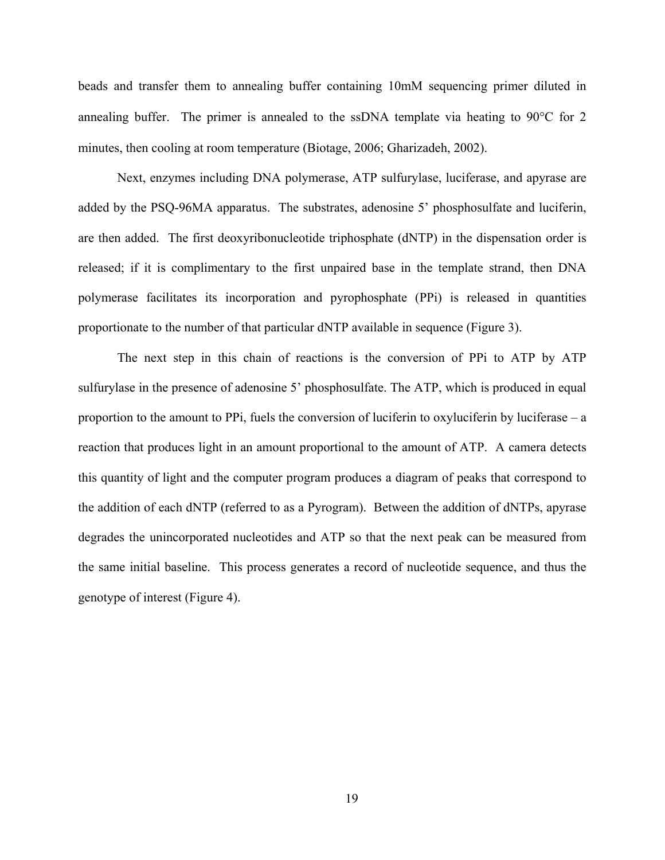beads and transfer them to annealing buffer containing 10mM sequencing primer diluted in annealing buffer. The primer is annealed to the ssDNA template via heating to 90°C for 2 minutes, then cooling at room temperature (Biotage, 2006; Gharizadeh, 2002).

Next, enzymes including DNA polymerase, ATP sulfurylase, luciferase, and apyrase are added by the PSQ-96MA apparatus. The substrates, adenosine 5' phosphosulfate and luciferin, are then added. The first deoxyribonucleotide triphosphate (dNTP) in the dispensation order is released; if it is complimentary to the first unpaired base in the template strand, then DNA polymerase facilitates its incorporation and pyrophosphate (PPi) is released in quantities proportionate to the number of that particular dNTP available in sequence (Figure 3).

The next step in this chain of reactions is the conversion of PPi to ATP by ATP sulfurylase in the presence of adenosine 5' phosphosulfate. The ATP, which is produced in equal proportion to the amount to PPi, fuels the conversion of luciferin to oxyluciferin by luciferase – a reaction that produces light in an amount proportional to the amount of ATP. A camera detects this quantity of light and the computer program produces a diagram of peaks that correspond to the addition of each dNTP (referred to as a Pyrogram). Between the addition of dNTPs, apyrase degrades the unincorporated nucleotides and ATP so that the next peak can be measured from the same initial baseline. This process generates a record of nucleotide sequence, and thus the genotype of interest (Figure 4).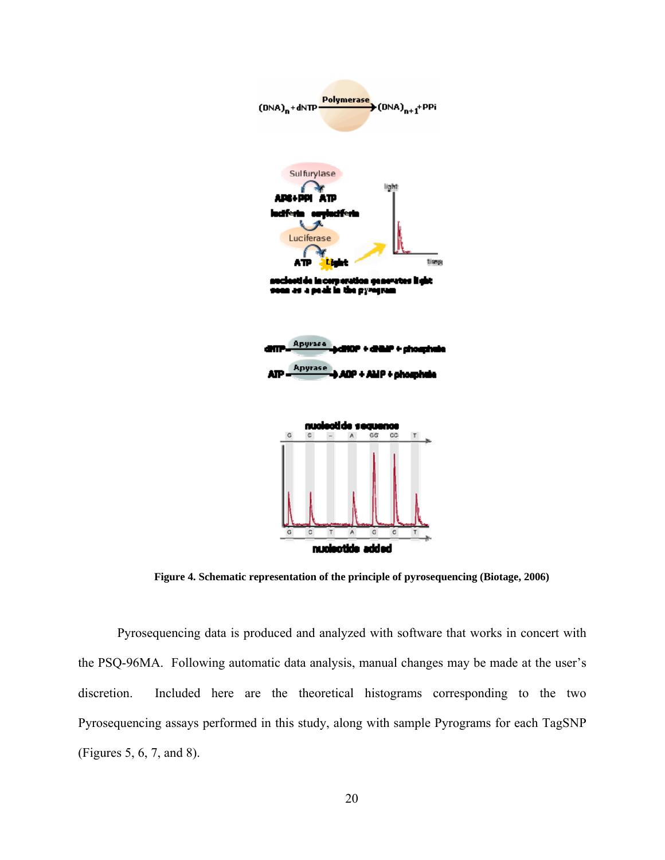<span id="page-30-0"></span>

**Figure 4. Schematic representation of the principle of pyrosequencing (Biotage, 2006)** 

Pyrosequencing data is produced and analyzed with software that works in concert with the PSQ-96MA. Following automatic data analysis, manual changes may be made at the user's discretion. Included here are the theoretical histograms corresponding to the two Pyrosequencing assays performed in this study, along with sample Pyrograms for each TagSNP (Figures 5, 6, 7, and 8).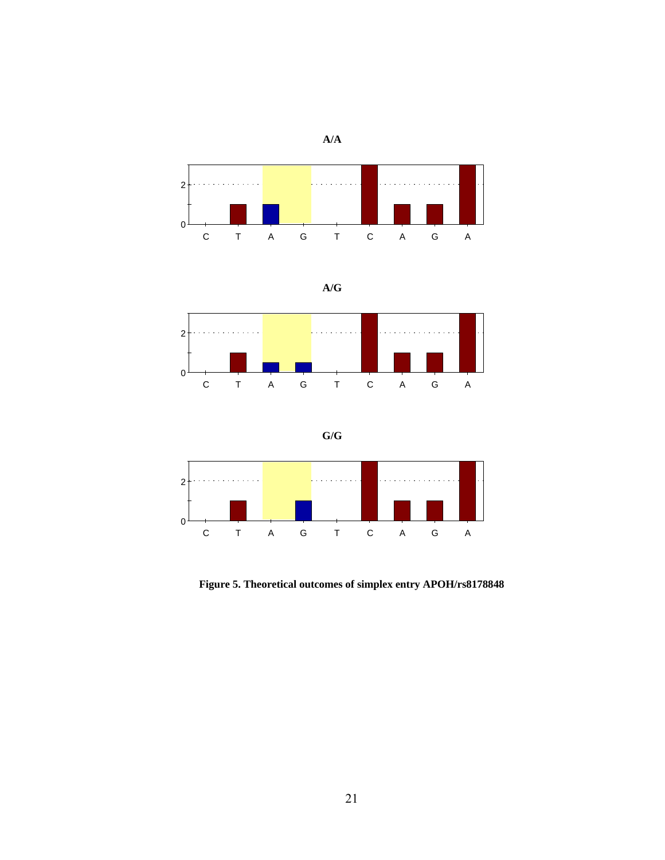

<span id="page-31-0"></span>

$$
A/G
$$



**G/G** 



**Figure 5. Theoretical outcomes of simplex entry APOH/rs8178848**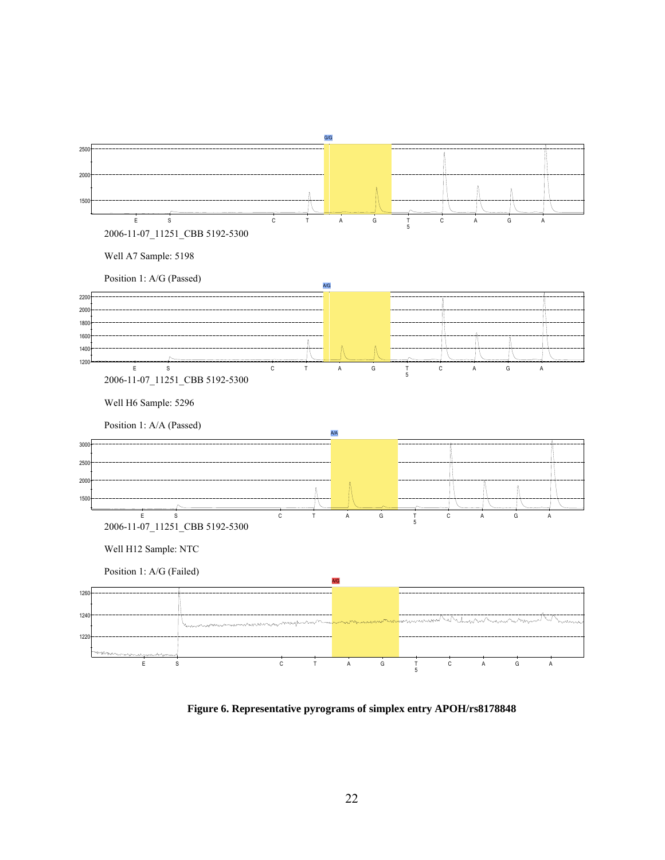<span id="page-32-0"></span>

**Figure 6. Representative pyrograms of simplex entry APOH/rs8178848**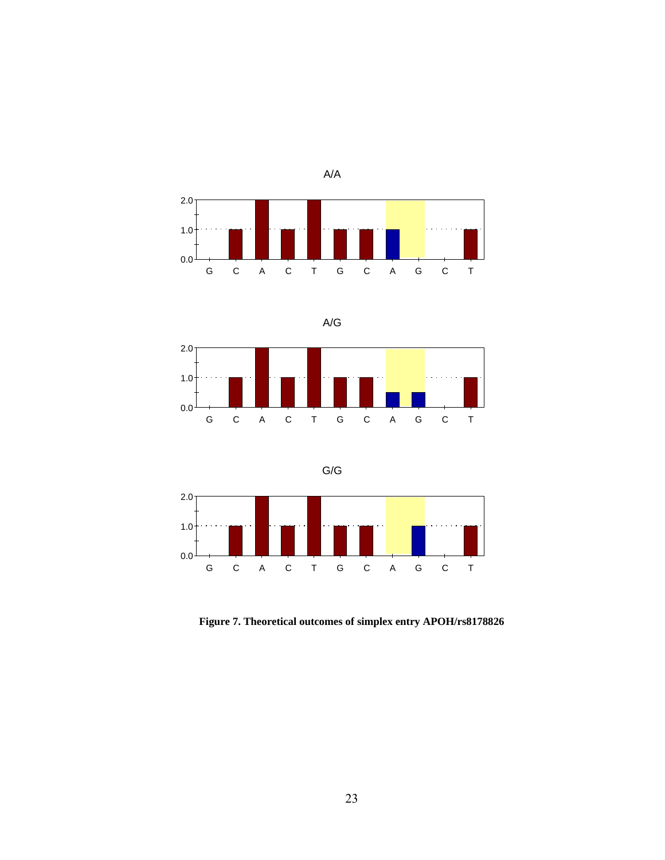<span id="page-33-0"></span>

$$
\mathsf{A}/\mathsf{G}
$$



$$
G/G
$$



**Figure 7. Theoretical outcomes of simplex entry APOH/rs8178826**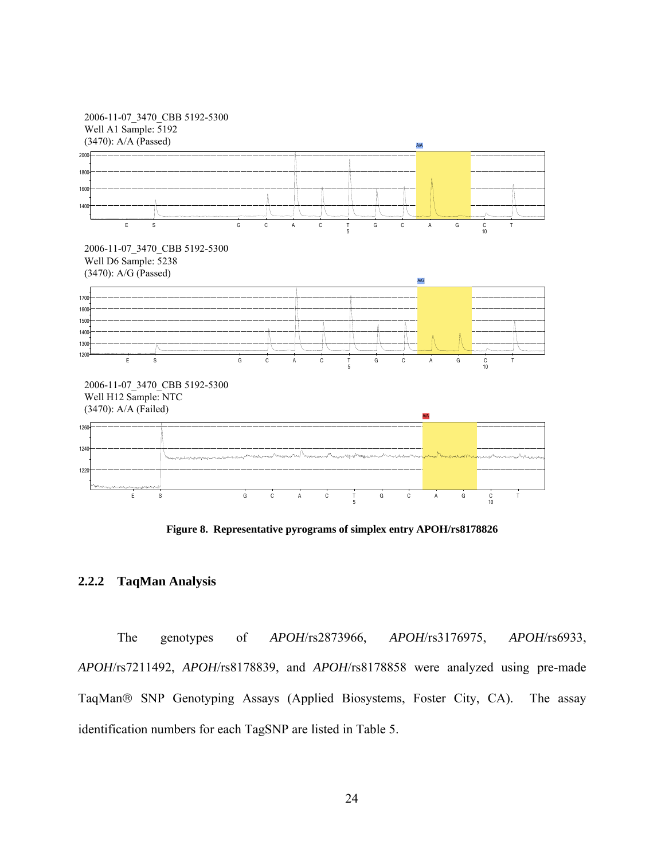<span id="page-34-0"></span>

**Figure 8. Representative pyrograms of simplex entry APOH/rs8178826** 

## **2.2.2 TaqMan Analysis**

The genotypes of *APOH*/rs2873966, *APOH*/rs3176975, *APOH*/rs6933, *APOH*/rs7211492, *APOH*/rs8178839, and *APOH*/rs8178858 were analyzed using pre-made TaqMan® SNP Genotyping Assays (Applied Biosystems, Foster City, CA). The assay identification numbers for each TagSNP are listed in Table 5.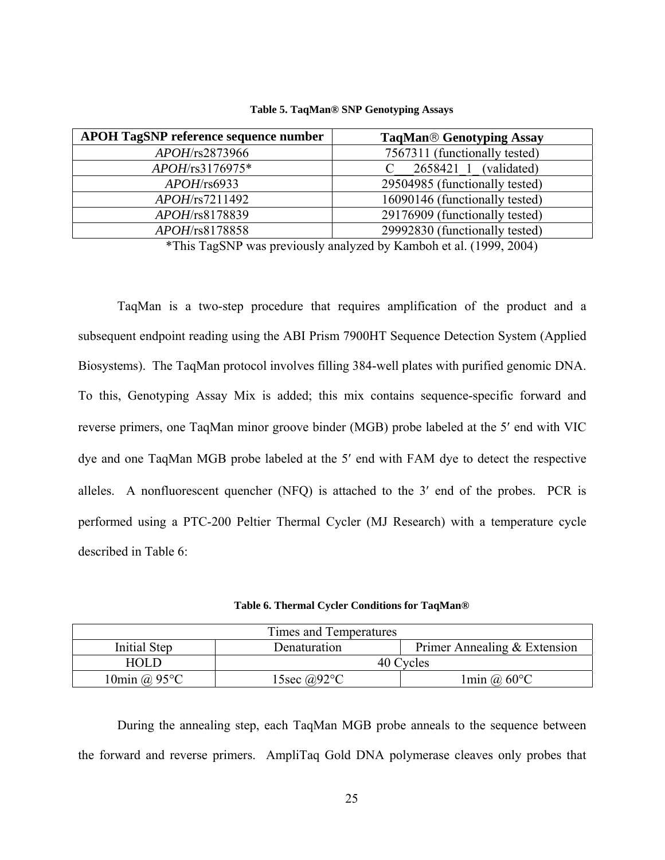<span id="page-35-0"></span>

| <b>APOH TagSNP reference sequence number</b> | <b>TaqMan<sup>®</sup> Genotyping Assay</b> |
|----------------------------------------------|--------------------------------------------|
| APOH/rs2873966                               | 7567311 (functionally tested)              |
| APOH/rs3176975*                              | 2658421 1 (validated)                      |
| $APOH$ /rs6933                               | 29504985 (functionally tested)             |
| $APOH$ /rs7211492                            | 16090146 (functionally tested)             |
| APOH/rs8178839                               | 29176909 (functionally tested)             |
| APOH/rs8178858                               | 29992830 (functionally tested)             |

**Table 5. TaqMan® SNP Genotyping Assays** 

\*This TagSNP was previously analyzed by Kamboh et al. (1999, 2004)

TaqMan is a two-step procedure that requires amplification of the product and a subsequent endpoint reading using the ABI Prism 7900HT Sequence Detection System (Applied Biosystems). The TaqMan protocol involves filling 384-well plates with purified genomic DNA. To this, Genotyping Assay Mix is added; this mix contains sequence-specific forward and reverse primers, one TaqMan minor groove binder (MGB) probe labeled at the 5′ end with VIC dye and one TaqMan MGB probe labeled at the 5′ end with FAM dye to detect the respective alleles. A nonfluorescent quencher (NFQ) is attached to the 3′ end of the probes. PCR is performed using a PTC-200 Peltier Thermal Cycler (MJ Research) with a temperature cycle described in Table 6:

**Table 6. Thermal Cycler Conditions for TaqMan®** 

| Times and Temperatures |                            |                                              |  |  |  |
|------------------------|----------------------------|----------------------------------------------|--|--|--|
| Initial Step           | Denaturation               | Primer Annealing $&$ Extension               |  |  |  |
| <b>HOLD</b>            | 40 Cycles                  |                                              |  |  |  |
| 10min @ $95^{\circ}$ C | 15sec @92 $\rm{^{\circ}C}$ | $1\text{min}$ ( <i>a</i> ) 60 <sup>o</sup> C |  |  |  |

During the annealing step, each TaqMan MGB probe anneals to the sequence between the forward and reverse primers. AmpliTaq Gold DNA polymerase cleaves only probes that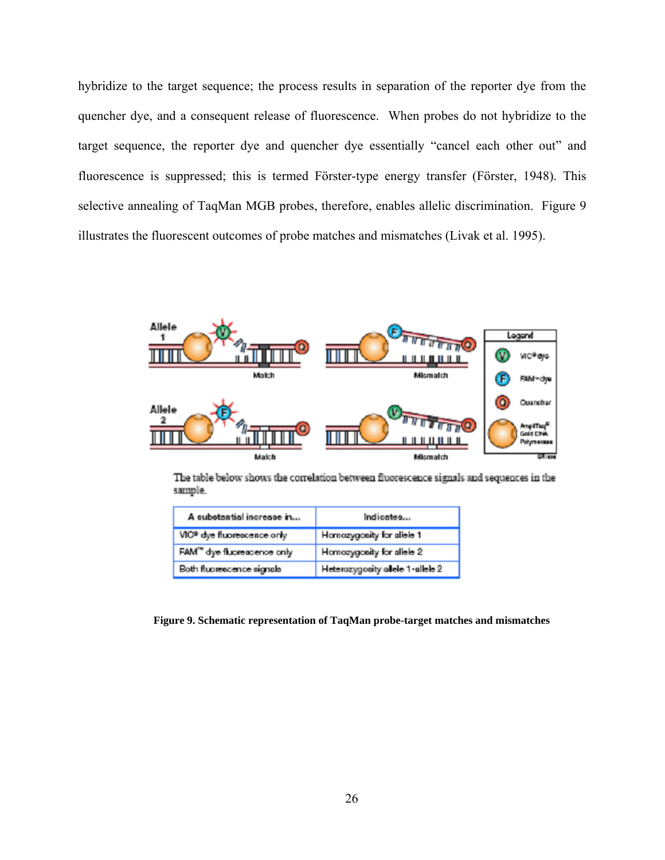hybridize to the target sequence; the process results in separation of the reporter dye from the quencher dye, and a consequent release of fluorescence. When probes do not hybridize to the target sequence, the reporter dye and quencher dye essentially "cancel each other out" and fluorescence is suppressed; this is termed Förster-type energy transfer (Förster, 1948). This selective annealing of TaqMan MGB probes, therefore, enables allelic discrimination. Figure 9 illustrates the fluorescent outcomes of probe matches and mismatches (Livak et al. 1995).



The table below shows the correlation between fluorescence signals and sequences in the sample.

| A cubotantial increase in               | Indicates                        |
|-----------------------------------------|----------------------------------|
| VIC® dye fluorescence only              | Homozygosity for allele 1        |
| FAM <sup>ne</sup> dye fluoreasence only | Homozygosity for allele 2        |
| Both fluorescence signals               | Heterozygosity allele 1-allele 2 |

**Figure 9. Schematic representation of TaqMan probe-target matches and mismatches**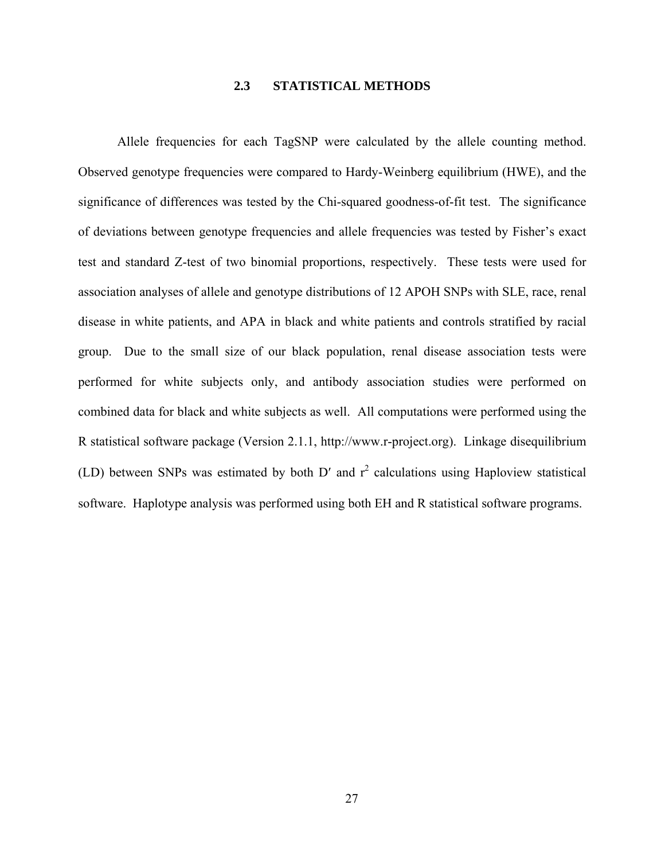### **2.3 STATISTICAL METHODS**

Allele frequencies for each TagSNP were calculated by the allele counting method. Observed genotype frequencies were compared to Hardy-Weinberg equilibrium (HWE), and the significance of differences was tested by the Chi-squared goodness-of-fit test. The significance of deviations between genotype frequencies and allele frequencies was tested by Fisher's exact test and standard Z-test of two binomial proportions, respectively. These tests were used for association analyses of allele and genotype distributions of 12 APOH SNPs with SLE, race, renal disease in white patients, and APA in black and white patients and controls stratified by racial group. Due to the small size of our black population, renal disease association tests were performed for white subjects only, and antibody association studies were performed on combined data for black and white subjects as well. All computations were performed using the R statistical software package (Version 2.1.1, http://www.r-project.org). Linkage disequilibrium (LD) between SNPs was estimated by both D' and  $r^2$  calculations using Haploview statistical software. Haplotype analysis was performed using both EH and R statistical software programs.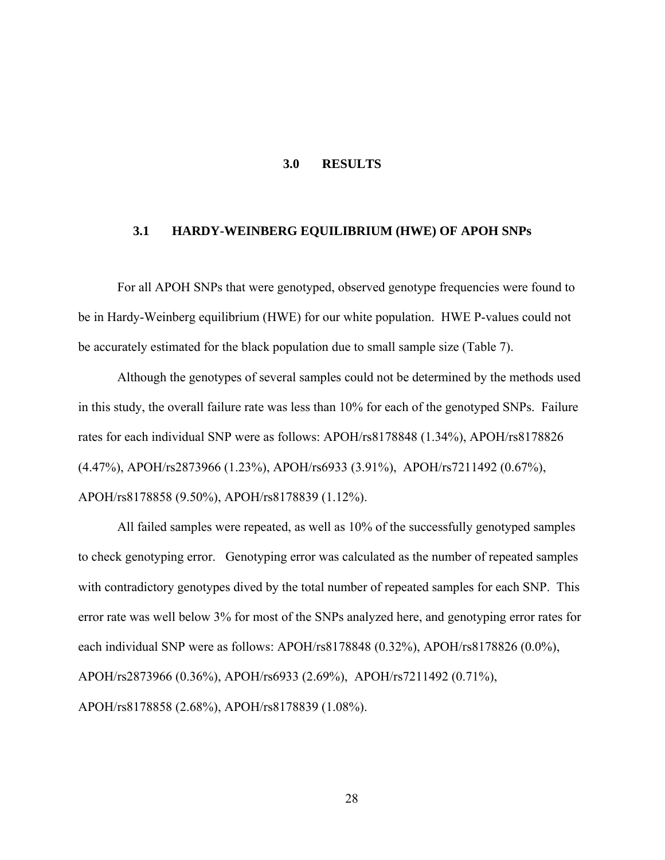### **3.0 RESULTS**

#### **3.1 HARDY-WEINBERG EQUILIBRIUM (HWE) OF APOH SNPs**

For all APOH SNPs that were genotyped, observed genotype frequencies were found to be in Hardy-Weinberg equilibrium (HWE) for our white population. HWE P-values could not be accurately estimated for the black population due to small sample size (Table 7).

Although the genotypes of several samples could not be determined by the methods used in this study, the overall failure rate was less than 10% for each of the genotyped SNPs. Failure rates for each individual SNP were as follows: APOH/rs8178848 (1.34%), APOH/rs8178826 (4.47%), APOH/rs2873966 (1.23%), APOH/rs6933 (3.91%), APOH/rs7211492 (0.67%), APOH/rs8178858 (9.50%), APOH/rs8178839 (1.12%).

All failed samples were repeated, as well as 10% of the successfully genotyped samples to check genotyping error. Genotyping error was calculated as the number of repeated samples with contradictory genotypes dived by the total number of repeated samples for each SNP. This error rate was well below 3% for most of the SNPs analyzed here, and genotyping error rates for each individual SNP were as follows: APOH/rs8178848 (0.32%), APOH/rs8178826 (0.0%), APOH/rs2873966 (0.36%), APOH/rs6933 (2.69%), APOH/rs7211492 (0.71%), APOH/rs8178858 (2.68%), APOH/rs8178839 (1.08%).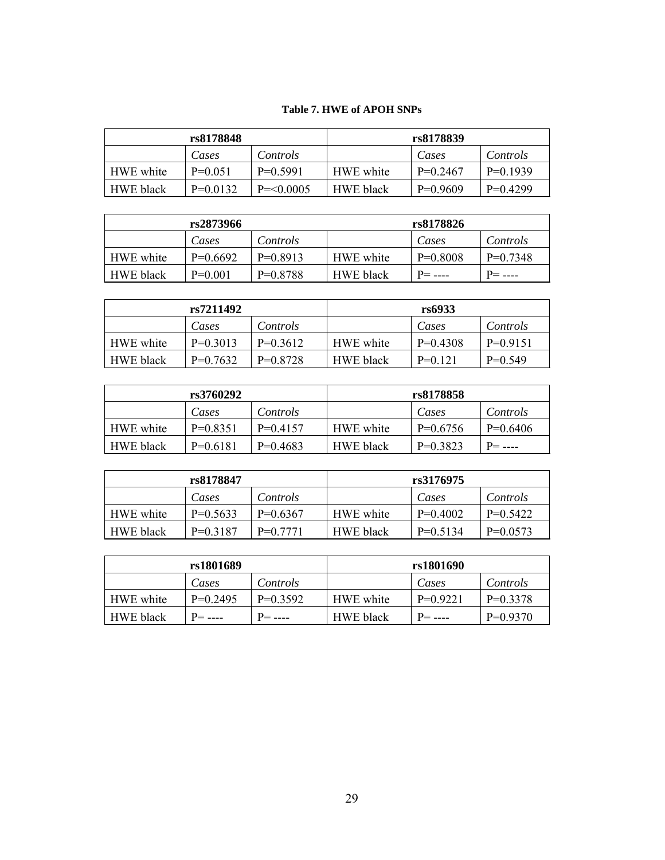# **Table 7. HWE of APOH SNPs**

| rs8178848        |            |              |                  | rs8178839  |            |
|------------------|------------|--------------|------------------|------------|------------|
|                  | Cases      | Controls     |                  | Cases      | Controls   |
| HWE white        | $P=0.051$  | $P=0.5991$   | HWE white        | $P=0.2467$ | $P=0.1939$ |
| <b>HWE</b> black | $P=0.0132$ | $P = 0.0005$ | <b>HWE</b> black | $P=0.9609$ | $P=0.4299$ |

| rs2873966        |            |            | rs8178826        |            |            |
|------------------|------------|------------|------------------|------------|------------|
|                  | Cases      | Controls   |                  | Cases      | Controls   |
| HWE white        | $P=0.6692$ | $P=0.8913$ | HWE white        | $P=0.8008$ | $P=0.7348$ |
| <b>HWE</b> black | $P=0.001$  | $P=0.8788$ | <b>HWE</b> black |            | $P=$ ----  |

| rs7211492        |            |                 |                  | rs6933     |            |
|------------------|------------|-----------------|------------------|------------|------------|
|                  | Cases      | <i>Controls</i> |                  | Cases      | Controls   |
| HWE white        | $P=0.3013$ | $P=0.3612$      | HWE white        | $P=0.4308$ | $P=0.9151$ |
| <b>HWE</b> black | $P=0.7632$ | $P=0.8728$      | <b>HWE</b> black | $P=0.121$  | $P=0.549$  |

| rs3760292        |            |            |                  | rs8178858  |            |
|------------------|------------|------------|------------------|------------|------------|
|                  | Cases      | Controls   |                  | Cases      | Controls   |
| HWE white        | $P=0.8351$ | $P=0.4157$ | HWE white        | $P=0.6756$ | $P=0.6406$ |
| <b>HWE</b> black | $P=0.6181$ | $P=0.4683$ | <b>HWE</b> black | $P=0.3823$ | $P =$      |

| rs8178847        |            |            | rs3176975        |            |            |
|------------------|------------|------------|------------------|------------|------------|
|                  | Cases      | Controls   |                  | Cases      | Controls   |
| HWE white        | $P=0.5633$ | $P=0.6367$ | HWE white        | $P=0.4002$ | $P=0.5422$ |
| <b>HWE</b> black | $P=0.3187$ | $P=0.7771$ | <b>HWE</b> black | $P=0.5134$ | $P=0.0573$ |

| rs1801689        |            |            | rs1801690        |            |            |
|------------------|------------|------------|------------------|------------|------------|
|                  | Cases      | Controls   |                  | Cases      | Controls   |
| HWE white        | $P=0.2495$ | $P=0.3592$ | HWE white        | $P=0.9221$ | $P=0.3378$ |
| <b>HWE</b> black |            | $P =$ ---- | <b>HWE</b> black | $P =$ ---- | $P=0.9370$ |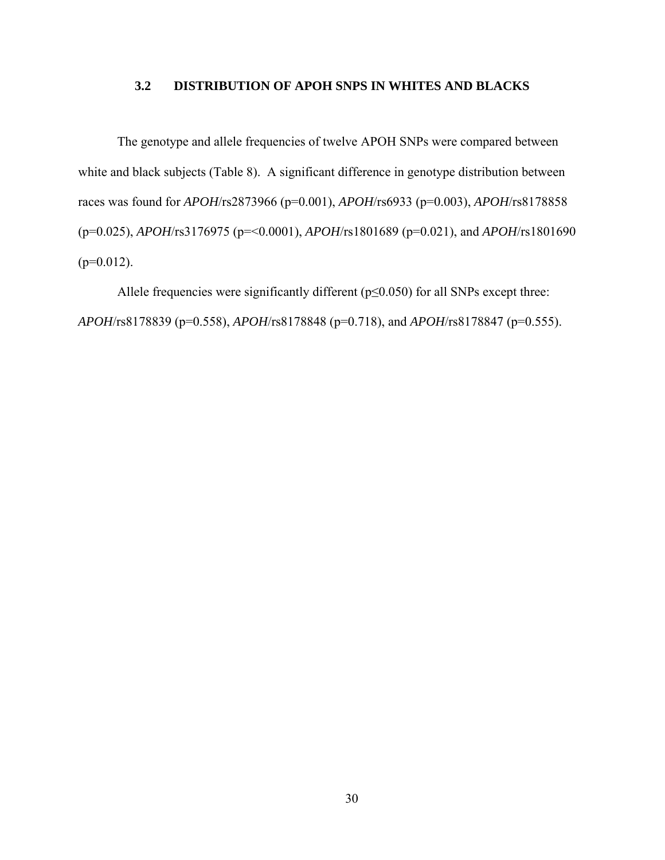# **3.2 DISTRIBUTION OF APOH SNPS IN WHITES AND BLACKS**

The genotype and allele frequencies of twelve APOH SNPs were compared between white and black subjects (Table 8). A significant difference in genotype distribution between races was found for *APOH*/rs2873966 (p=0.001), *APOH*/rs6933 (p=0.003), *APOH*/rs8178858 (p=0.025), *APOH*/rs3176975 (p=<0.0001), *APOH*/rs1801689 (p=0.021), and *APOH*/rs1801690  $(p=0.012)$ .

Allele frequencies were significantly different ( $p \le 0.050$ ) for all SNPs except three: *APOH*/rs8178839 (p=0.558), *APOH*/rs8178848 (p=0.718), and *APOH*/rs8178847 (p=0.555).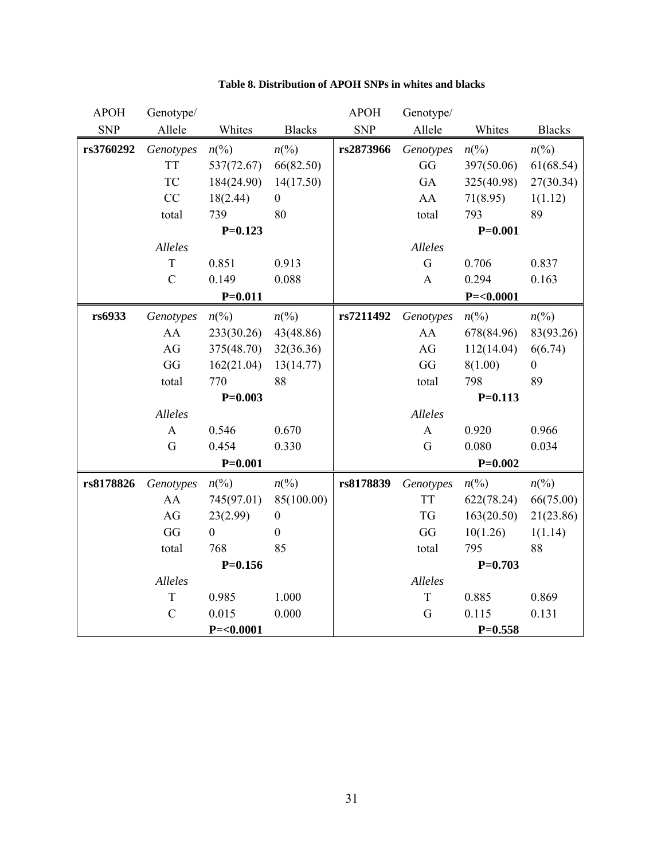| <b>APOH</b> | Genotype/     |                  |                  | <b>APOH</b> | Genotype/    |                 |                  |
|-------------|---------------|------------------|------------------|-------------|--------------|-----------------|------------------|
| <b>SNP</b>  | Allele        | Whites           | <b>Blacks</b>    | <b>SNP</b>  | Allele       | Whites          | <b>Blacks</b>    |
| rs3760292   | Genotypes     | $n\binom{0}{0}$  | $n\binom{0}{0}$  | rs2873966   | Genotypes    | $n\binom{0}{0}$ | $n\binom{0}{0}$  |
|             | <b>TT</b>     | 537(72.67)       | 66(82.50)        |             | GG           | 397(50.06)      | 61(68.54)        |
|             | <b>TC</b>     | 184(24.90)       | 14(17.50)        |             | GA           | 325(40.98)      | 27(30.34)        |
|             | CC            | 18(2.44)         | $\overline{0}$   |             | AA           | 71(8.95)        | 1(1.12)          |
|             | total         | 739              | 80               |             | total        | 793             | 89               |
|             |               | $P=0.123$        |                  |             |              | $P=0.001$       |                  |
|             | Alleles       |                  |                  |             | Alleles      |                 |                  |
|             | T             | 0.851            | 0.913            |             | G            | 0.706           | 0.837            |
|             | $\mathcal{C}$ | 0.149            | 0.088            |             | $\mathbf{A}$ | 0.294           | 0.163            |
|             |               | $P=0.011$        |                  |             |              | $P = < 0.0001$  |                  |
| rs6933      | Genotypes     | $n\frac{6}{9}$   | $n\binom{0}{0}$  | rs7211492   | Genotypes    | $n\binom{0}{0}$ | $n\binom{0}{0}$  |
|             | AA            | 233(30.26)       | 43(48.86)        |             | AA           | 678(84.96)      | 83(93.26)        |
|             | AG            | 375(48.70)       | 32(36.36)        |             | AG           | 112(14.04)      | 6(6.74)          |
|             | GG            | 162(21.04)       | 13(14.77)        |             | GG           | 8(1.00)         | $\boldsymbol{0}$ |
|             | total         | 770              | 88               |             | total        | 798             | 89               |
|             |               | $P=0.003$        |                  |             |              | $P=0.113$       |                  |
|             | Alleles       |                  |                  |             | Alleles      |                 |                  |
|             | $\mathbf{A}$  | 0.546            | 0.670            |             | $\mathbf{A}$ | 0.920           | 0.966            |
|             | G             | 0.454            | 0.330            |             | G            | 0.080           | 0.034            |
|             |               | $P = 0.001$      |                  |             |              | $P=0.002$       |                  |
| rs8178826   | Genotypes     | $n\frac{6}{9}$   | $n\binom{0}{0}$  | rs8178839   | Genotypes    | $n\binom{0}{0}$ | $n\binom{0}{0}$  |
|             | AA            | 745(97.01)       | 85(100.00)       |             | <b>TT</b>    | 622(78.24)      | 66(75.00)        |
|             | AG            | 23(2.99)         | $\boldsymbol{0}$ |             | <b>TG</b>    | 163(20.50)      | 21(23.86)        |
|             | GG            | $\boldsymbol{0}$ | $\boldsymbol{0}$ |             | GG           | 10(1.26)        | 1(1.14)          |
|             | total         | 768              | 85               |             | total        | 795             | 88               |
|             |               | $P=0.156$        |                  |             |              | $P=0.703$       |                  |
|             | Alleles       |                  |                  |             | Alleles      |                 |                  |
|             | $\mathbf T$   | 0.985            | 1.000            |             | T            | 0.885           | 0.869            |
|             | $\mathcal{C}$ | 0.015            | 0.000            |             | G            | 0.115           | 0.131            |
|             |               | $P = < 0.0001$   |                  |             |              | $P=0.558$       |                  |

# **Table 8. Distribution of APOH SNPs in whites and blacks**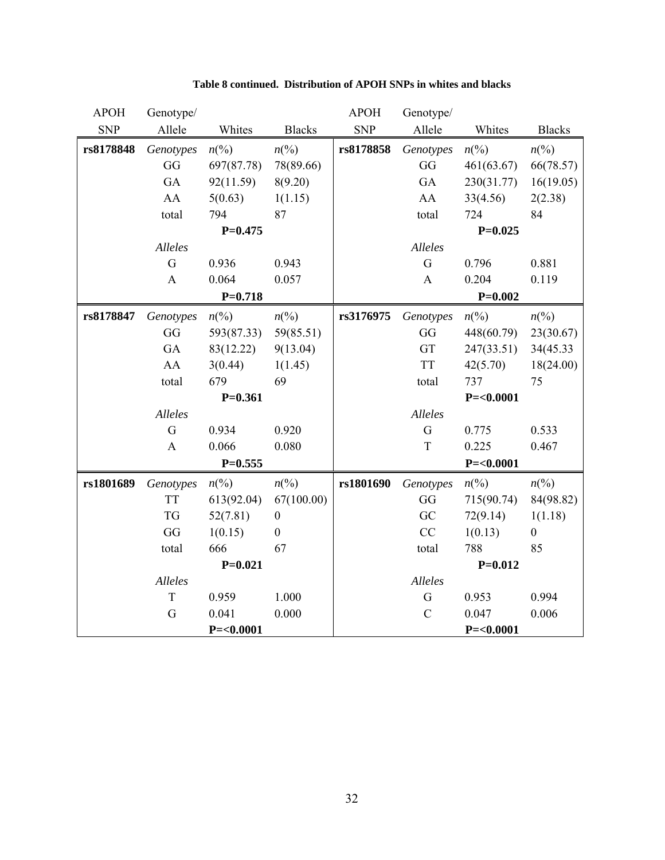| <b>APOH</b> | Genotype/    |                 |                  | <b>APOH</b> | Genotype/     |                 |                  |
|-------------|--------------|-----------------|------------------|-------------|---------------|-----------------|------------------|
| <b>SNP</b>  | Allele       | Whites          | <b>Blacks</b>    | <b>SNP</b>  | Allele        | Whites          | <b>Blacks</b>    |
| rs8178848   | Genotypes    | $n\binom{0}{0}$ | $n\binom{0}{0}$  | rs8178858   | Genotypes     | $n\binom{0}{0}$ | $n\binom{0}{0}$  |
|             | GG           | 697(87.78)      | 78(89.66)        |             | GG            | 461(63.67)      | 66(78.57)        |
|             | GA           | 92(11.59)       | 8(9.20)          |             | GA            | 230(31.77)      | 16(19.05)        |
|             | AA           | 5(0.63)         | 1(1.15)          |             | AA            | 33(4.56)        | 2(2.38)          |
|             | total        | 794             | 87               |             | total         | 724             | 84               |
|             |              | $P=0.475$       |                  |             |               | $P=0.025$       |                  |
|             | Alleles      |                 |                  |             | Alleles       |                 |                  |
|             | G            | 0.936           | 0.943            |             | G             | 0.796           | 0.881            |
|             | $\mathbf{A}$ | 0.064           | 0.057            |             | $\mathbf{A}$  | 0.204           | 0.119            |
|             |              | $P=0.718$       |                  |             |               | $P = 0.002$     |                  |
| rs8178847   | Genotypes    | $n\binom{0}{0}$ | $n\binom{0}{0}$  | rs3176975   | Genotypes     | $n\binom{0}{0}$ | $n\binom{0}{0}$  |
|             | GG           | 593(87.33)      | 59(85.51)        |             | GG            | 448(60.79)      | 23(30.67)        |
|             | GA           | 83(12.22)       | 9(13.04)         |             | GT            | 247(33.51)      | 34(45.33)        |
|             | AA           | 3(0.44)         | 1(1.45)          |             | <b>TT</b>     | 42(5.70)        | 18(24.00)        |
|             | total        | 679             | 69               |             | total         | 737             | 75               |
|             |              | $P=0.361$       |                  |             |               | $P = < 0.0001$  |                  |
|             | Alleles      |                 |                  |             | Alleles       |                 |                  |
|             | G            | 0.934           | 0.920            |             | G             | 0.775           | 0.533            |
|             | $\mathbf{A}$ | 0.066           | 0.080            |             | T             | 0.225           | 0.467            |
|             |              | $P=0.555$       |                  |             |               | $P = < 0.0001$  |                  |
| rs1801689   | Genotypes    | $n\frac{6}{9}$  | $n\frac{6}{6}$   | rs1801690   | Genotypes     | $n\binom{0}{0}$ | $n\binom{0}{0}$  |
|             | <b>TT</b>    | 613(92.04)      | 67(100.00)       |             | GG            | 715(90.74)      | 84(98.82)        |
|             | <b>TG</b>    | 52(7.81)        | $\boldsymbol{0}$ |             | GC            | 72(9.14)        | 1(1.18)          |
|             | GG           | 1(0.15)         | $\boldsymbol{0}$ |             | CC            | 1(0.13)         | $\boldsymbol{0}$ |
|             | total        | 666             | 67               |             | total         | 788             | 85               |
|             |              | $P=0.021$       |                  |             |               | $P=0.012$       |                  |
|             | Alleles      |                 |                  |             | Alleles       |                 |                  |
|             | T            | 0.959           | 1.000            |             | G             | 0.953           | 0.994            |
|             | $\mathbf G$  | 0.041           | 0.000            |             | $\mathcal{C}$ | 0.047           | 0.006            |
|             |              | $P = < 0.0001$  |                  |             |               | $P = < 0.0001$  |                  |

# **Table 8 continued. Distribution of APOH SNPs in whites and blacks**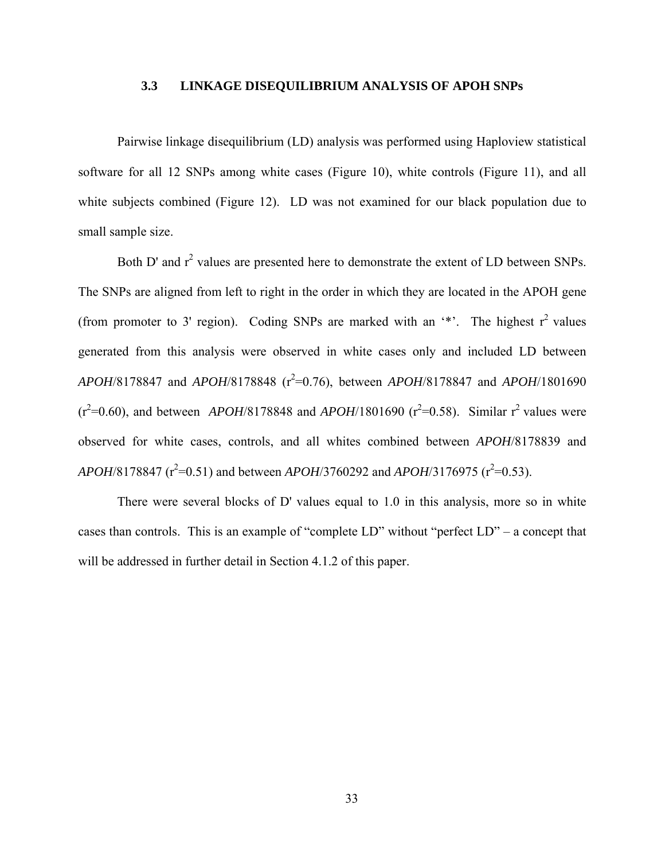### **3.3 LINKAGE DISEQUILIBRIUM ANALYSIS OF APOH SNPs**

Pairwise linkage disequilibrium (LD) analysis was performed using Haploview statistical software for all 12 SNPs among white cases (Figure 10), white controls (Figure 11), and all white subjects combined (Figure 12). LD was not examined for our black population due to small sample size.

Both D' and  $r^2$  values are presented here to demonstrate the extent of LD between SNPs. The SNPs are aligned from left to right in the order in which they are located in the APOH gene (from promoter to 3' region). Coding SNPs are marked with an  $**$ . The highest  $r^2$  values generated from this analysis were observed in white cases only and included LD between *APOH*/8178847 and *APOH*/8178848 ( $r^2$ =0.76), between *APOH*/8178847 and *APOH*/1801690  $(r^2=0.60)$ , and between *APOH*/8178848 and *APOH*/1801690  $(r^2=0.58)$ . Similar r<sup>2</sup> values were observed for white cases, controls, and all whites combined between *APOH*/8178839 and  $APOH/8178847$  ( $r^2$ =0.51) and between  $APOH/3760292$  and  $APOH/3176975$  ( $r^2$ =0.53).

There were several blocks of D' values equal to 1.0 in this analysis, more so in white cases than controls. This is an example of "complete LD" without "perfect LD" – a concept that will be addressed in further detail in Section 4.1.2 of this paper.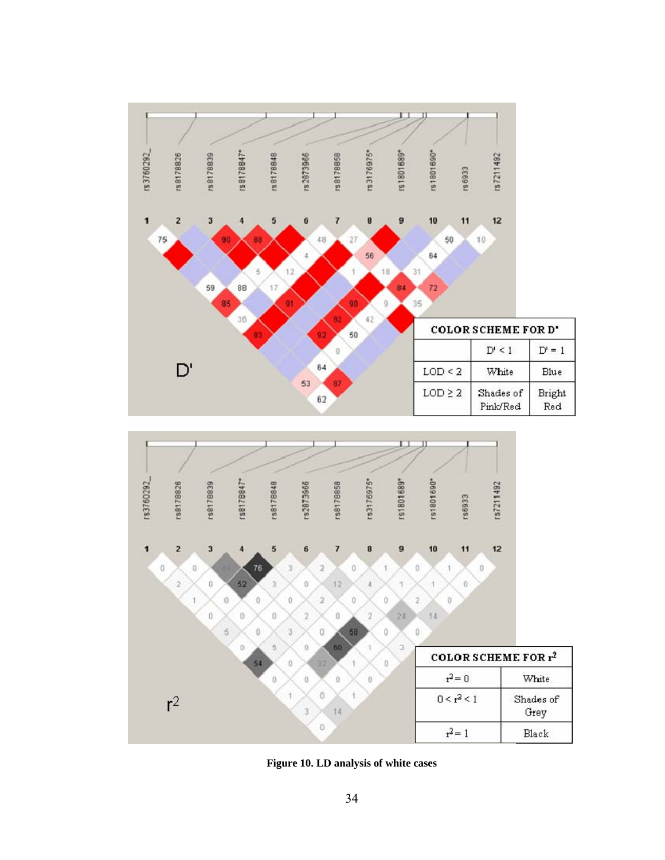



**Figure 10. LD analysis of white cases**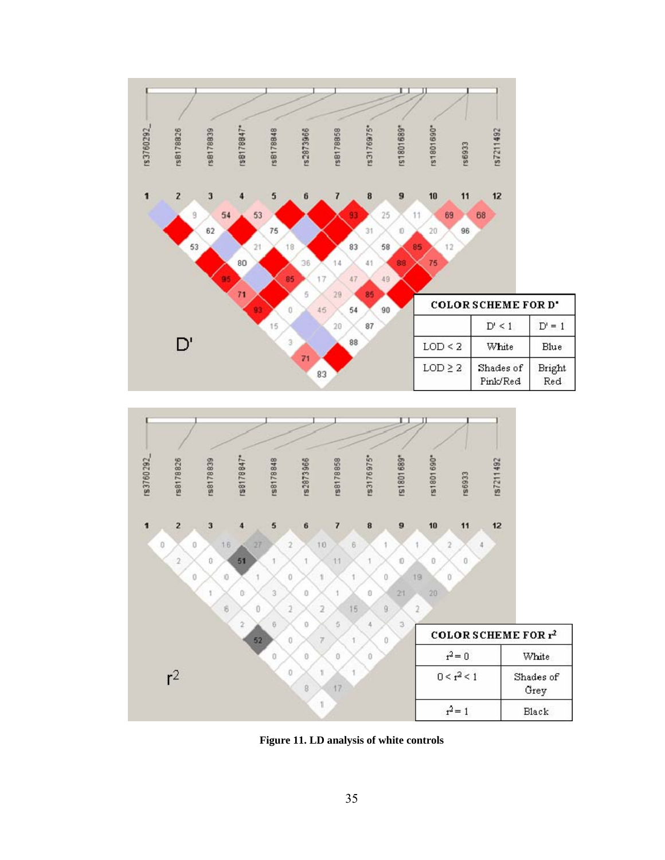



**Figure 11. LD analysis of white controls**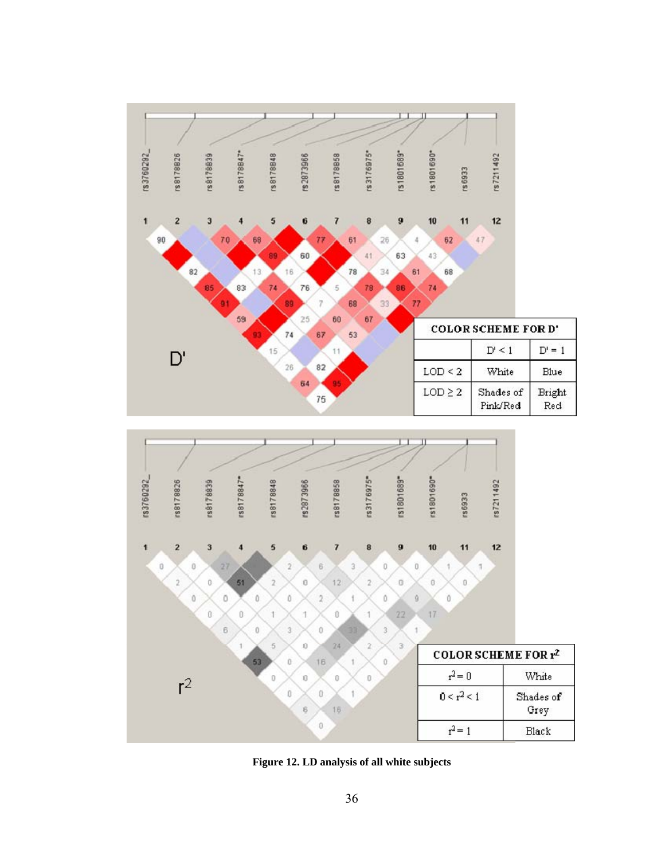

**Figure 12. LD analysis of all white subjects**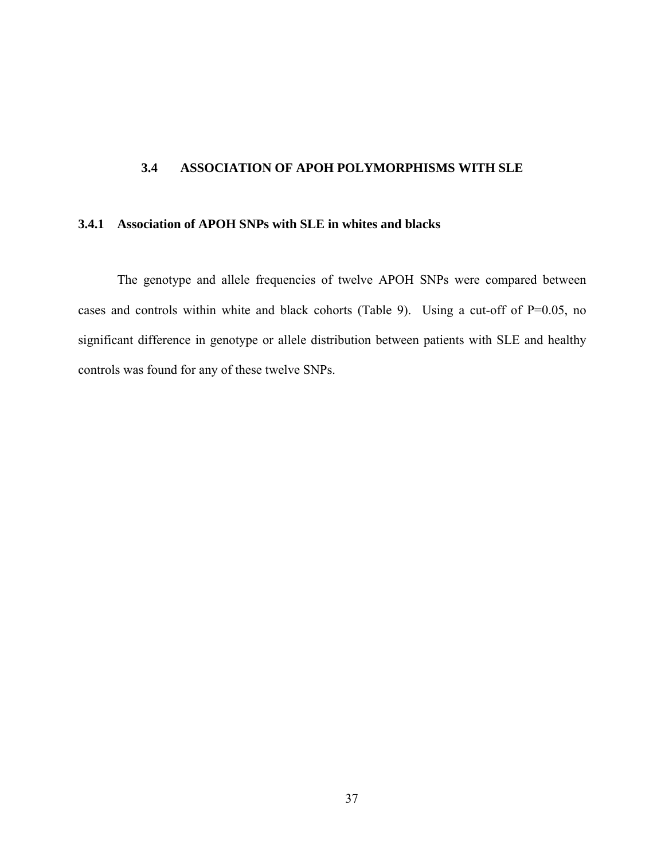# **3.4 ASSOCIATION OF APOH POLYMORPHISMS WITH SLE**

### **3.4.1 Association of APOH SNPs with SLE in whites and blacks**

The genotype and allele frequencies of twelve APOH SNPs were compared between cases and controls within white and black cohorts (Table 9). Using a cut-off of P=0.05, no significant difference in genotype or allele distribution between patients with SLE and healthy controls was found for any of these twelve SNPs.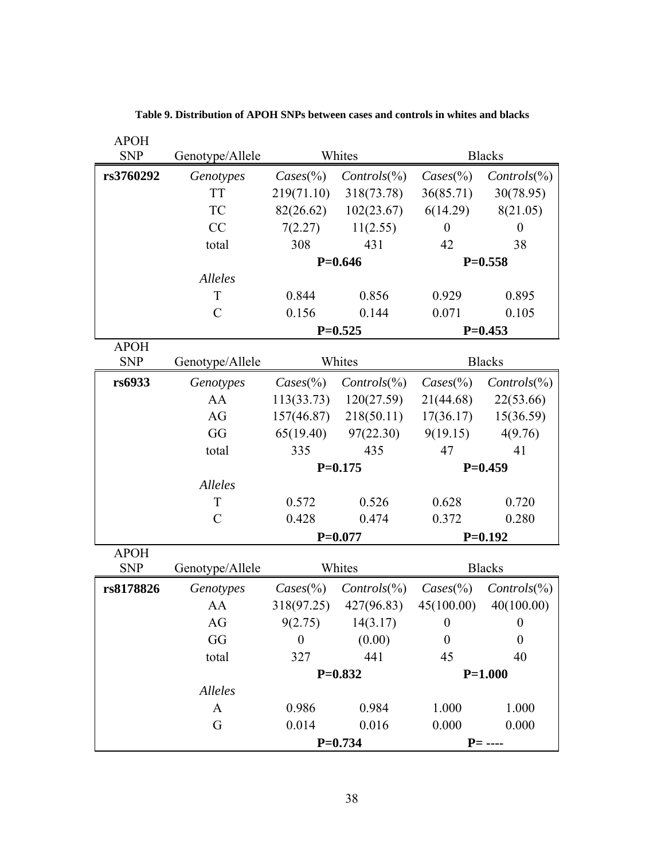| <b>APOH</b> |                 |                               |                       |                    |                       |
|-------------|-----------------|-------------------------------|-----------------------|--------------------|-----------------------|
| <b>SNP</b>  | Genotype/Allele |                               | Whites                |                    | <b>Blacks</b>         |
| rs3760292   | Genotypes       | $\text{Cases}$ <sup>(%)</sup> | $\text{Controls}(\%)$ | $\text{Cases}(\%)$ | $\text{Controls}(\%)$ |
|             | <b>TT</b>       | 219(71.10)                    | 318(73.78)            | 36(85.71)          | 30(78.95)             |
|             | TC              | 82(26.62)                     | 102(23.67)            | 6(14.29)           | 8(21.05)              |
|             | CC              | 7(2.27)                       | 11(2.55)              | $\boldsymbol{0}$   | $\boldsymbol{0}$      |
|             | total           | 308                           | 431                   | 42                 | 38                    |
|             |                 |                               | $P=0.646$             |                    | $P=0.558$             |
|             | Alleles         |                               |                       |                    |                       |
|             | T               | 0.844                         | 0.856                 | 0.929              | 0.895                 |
|             | $\mathcal{C}$   | 0.156                         | 0.144                 | 0.071              | 0.105                 |
|             |                 |                               | $P=0.525$             |                    | $P=0.453$             |
| <b>APOH</b> |                 |                               |                       |                    |                       |
| <b>SNP</b>  | Genotype/Allele |                               | Whites                |                    | <b>Blacks</b>         |
| rs6933      | Genotypes       | $\text{Cases}(\%)$            | $\text{Controls}(\%)$ | $\text{Cases}(\%)$ | $\text{Controls}(\%)$ |
|             | AA              | 113(33.73)                    | 120(27.59)            | 21(44.68)          | 22(53.66)             |
|             | AG              | 157(46.87)                    | 218(50.11)            | 17(36.17)          | 15(36.59)             |
|             | GG              | 65(19.40)                     | 97(22.30)             | 9(19.15)           | 4(9.76)               |
|             | total           | 335                           | 435                   | 47                 | 41                    |
|             |                 |                               | $P=0.175$             | $P=0.459$          |                       |
|             | Alleles         |                               |                       |                    |                       |
|             | T               | 0.572                         | 0.526                 | 0.628              | 0.720                 |
|             | $\mathcal{C}$   | 0.428                         | 0.474                 | 0.372              | 0.280                 |
|             |                 |                               | $P=0.077$             |                    | $P=0.192$             |
| <b>APOH</b> |                 |                               |                       |                    |                       |
| <b>SNP</b>  | Genotype/Allele |                               | Whites                |                    | <b>Blacks</b>         |
| rs8178826   | Genotypes       | $\text{Cases}(\%)$            | $\text{Controls}(\%)$ | $\text{Cases}(\%)$ | $\text{Controls}(\%)$ |
|             | AA              | 318(97.25)                    | 427(96.83)            | 45(100.00)         | 40(100.00)            |
|             | AG              | 9(2.75)                       | 14(3.17)              | $\boldsymbol{0}$   | $\boldsymbol{0}$      |
|             | GG              | $\theta$                      | (0.00)                | $\boldsymbol{0}$   | $\boldsymbol{0}$      |
|             | total           | 327                           | 441                   | 45                 | 40                    |
|             |                 |                               | $P=0.832$             |                    | $P=1.000$             |
|             | Alleles         |                               |                       |                    |                       |
|             | $\mathbf{A}$    | 0.986                         | 0.984                 | 1.000              | 1.000                 |
|             | G               | 0.014                         | 0.016                 | 0.000              | 0.000                 |
|             |                 | $P=0.734$                     |                       |                    | $P = - - -$           |

**Table 9. Distribution of APOH SNPs between cases and controls in whites and blacks**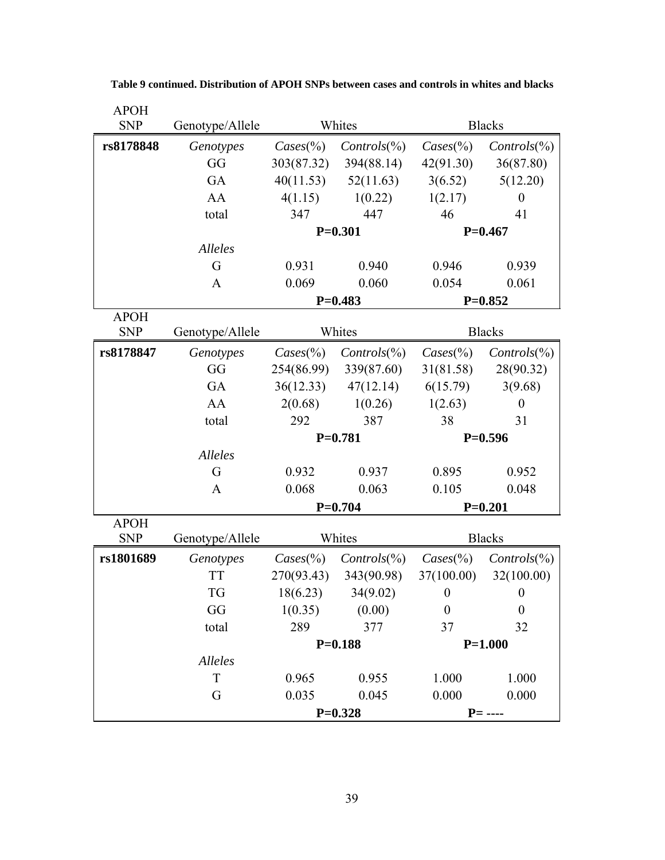| <b>APOH</b> |                 |                    |                       |                    |                       |
|-------------|-----------------|--------------------|-----------------------|--------------------|-----------------------|
| <b>SNP</b>  | Genotype/Allele |                    | Whites                |                    | <b>Blacks</b>         |
| rs8178848   | Genotypes       | $\text{Cases}(\%)$ | $\text{Controls}(\%)$ | $\text{Cases}(\%)$ | $\text{Controls}(\%)$ |
|             | GG              | 303(87.32)         | 394(88.14)            | 42(91.30)          | 36(87.80)             |
|             | GA              | 40(11.53)          | 52(11.63)             | 3(6.52)            | 5(12.20)              |
|             | AA              | 4(1.15)            | 1(0.22)               | 1(2.17)            | $\boldsymbol{0}$      |
|             | total           | 347                | 447                   | 46                 | 41                    |
|             |                 |                    | $P=0.301$             |                    | $P=0.467$             |
|             | Alleles         |                    |                       |                    |                       |
|             | G               | 0.931              | 0.940                 | 0.946              | 0.939                 |
|             | A               | 0.069              | 0.060                 | 0.054              | 0.061                 |
|             |                 |                    | $P=0.483$             |                    | $P=0.852$             |
| <b>APOH</b> |                 |                    |                       |                    |                       |
| <b>SNP</b>  | Genotype/Allele |                    | Whites                |                    | <b>Blacks</b>         |
| rs8178847   | Genotypes       | $\text{Cases}(\%)$ | $\text{Controls}(\%)$ | $\text{Cases}(\%)$ | $\text{Controls}(\%)$ |
|             | GG              | 254(86.99)         | 339(87.60)            | 31(81.58)          | 28(90.32)             |
|             | GA              | 36(12.33)          | 47(12.14)             | 6(15.79)           | 3(9.68)               |
|             | AA              | 2(0.68)            | 1(0.26)               | 1(2.63)            | $\boldsymbol{0}$      |
|             | total           | 292                | 387                   | 38                 | 31                    |
|             |                 |                    | $P=0.781$             | $P=0.596$          |                       |
|             | Alleles         |                    |                       |                    |                       |
|             | G               | 0.932              | 0.937                 | 0.895              | 0.952                 |
|             | $\mathbf{A}$    | 0.068              | 0.063                 | 0.105              | 0.048                 |
|             |                 |                    | $P=0.704$             |                    | $P=0.201$             |
| <b>APOH</b> |                 |                    |                       |                    |                       |
| <b>SNP</b>  | Genotype/Allele |                    | Whites                |                    | <b>Blacks</b>         |
| rs1801689   | Genotypes       | $\text{Cases}(\%)$ | $\text{Controls}(\%)$ | $\text{Cases}(\%)$ | $Controls(\%)$        |
|             | <b>TT</b>       | 270(93.43)         | 343(90.98)            | 37(100.00)         | 32(100.00)            |
|             | <b>TG</b>       | 18(6.23)           | 34(9.02)              | $\boldsymbol{0}$   | $\boldsymbol{0}$      |
|             | GG              | 1(0.35)            | (0.00)                | $\boldsymbol{0}$   | $\boldsymbol{0}$      |
|             | total           | 289                | 377                   | 37                 | 32                    |
|             |                 |                    | $P=0.188$             |                    | $P=1.000$             |
|             | Alleles         |                    |                       |                    |                       |
|             | $\mathbf T$     | 0.965              | 0.955                 | 1.000              | 1.000                 |
|             | G               | 0.035              | 0.045                 | 0.000              | 0.000                 |
|             |                 |                    | $P=0.328$             |                    | $P = - - -$           |

**Table 9 continued. Distribution of APOH SNPs between cases and controls in whites and blacks**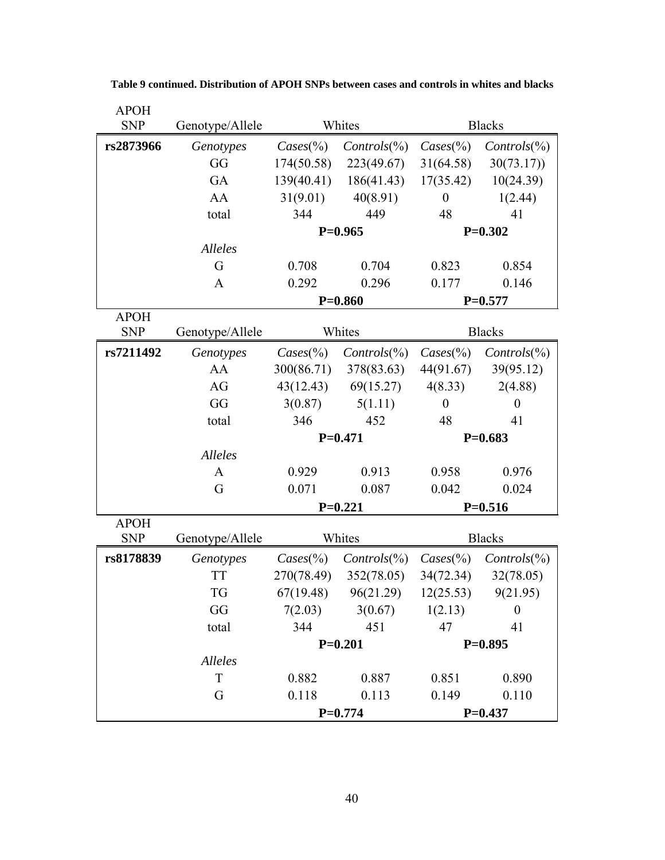| <b>APOH</b> |                 |                    |                                                |                    |                       |
|-------------|-----------------|--------------------|------------------------------------------------|--------------------|-----------------------|
| <b>SNP</b>  | Genotype/Allele |                    | Whites                                         |                    | <b>Blacks</b>         |
| rs2873966   | Genotypes       | $\text{Cases}(\%)$ | $\text{Controls}(\%)$                          | $\text{Cases}(\%)$ | $\text{Controls}(\%)$ |
|             | GG              | 174(50.58)         | 223(49.67)                                     | 31(64.58)          | 30(73.17)             |
|             | GA              | 139(40.41)         | 186(41.43)                                     | 17(35.42)          | 10(24.39)             |
|             | AA              | 31(9.01)           | 40(8.91)                                       | $\mathbf{0}$       | 1(2.44)               |
|             | total           | 344                | 449                                            | 48                 | 41                    |
|             |                 |                    | $P=0.965$                                      |                    | $P=0.302$             |
|             | <b>Alleles</b>  |                    |                                                |                    |                       |
|             | G               | 0.708              | 0.704                                          | 0.823              | 0.854                 |
|             | A               | 0.292              | 0.296                                          | 0.177              | 0.146                 |
|             |                 |                    | $P=0.860$                                      |                    | $P=0.577$             |
| <b>APOH</b> |                 |                    |                                                |                    |                       |
| <b>SNP</b>  | Genotype/Allele |                    | Whites                                         |                    | <b>Blacks</b>         |
| rs7211492   | Genotypes       | $\text{Cases}(\%)$ | $\text{Controls}(\%)$                          | $\text{Cases}(\%)$ | $\text{Controls}(\%)$ |
|             | AA              | 300(86.71)         | 378(83.63)                                     | 44(91.67)          | 39(95.12)             |
|             | AG              | 43(12.43)          | 69(15.27)                                      | 4(8.33)            | 2(4.88)               |
|             | GG              | 3(0.87)            | 5(1.11)                                        | $\theta$           | $\boldsymbol{0}$      |
|             | total           | 452<br>346         |                                                | 48                 | 41                    |
|             |                 |                    | $P=0.471$                                      | $P=0.683$          |                       |
|             | Alleles         |                    |                                                |                    |                       |
|             | A               | 0.929              | 0.913                                          | 0.958              | 0.976                 |
|             | G               | 0.071              | 0.087                                          | 0.042              | 0.024                 |
|             |                 |                    | $P=0.221$                                      |                    | $P=0.516$             |
| <b>APOH</b> |                 |                    |                                                |                    |                       |
| <b>SNP</b>  | Genotype/Allele |                    | Whites                                         |                    | <b>Blacks</b>         |
| rs8178839   | Genotypes       | $\text{Cases}(\%)$ | $\text{Controls}(\%)$                          | $\text{Cases}(\%)$ | $\text{Controls}(\%)$ |
|             | <b>TT</b>       | 270(78.49)         | 352(78.05)                                     | 34(72.34)          | 32(78.05)             |
|             | <b>TG</b>       |                    | $67(19.48)$ $96(21.29)$ $12(25.53)$ $9(21.95)$ |                    |                       |
|             | GG              | 7(2.03)            | $3(0.67)$ $1(2.13)$                            |                    | $\mathbf{0}$          |
|             | total           | 344                | 451                                            | 47                 | 41                    |
|             |                 |                    | $P=0.201$                                      |                    | $P=0.895$             |
|             | <b>Alleles</b>  |                    |                                                |                    |                       |
|             | T               | 0.882              | 0.887                                          | 0.851              | 0.890                 |
|             | G               | 0.118              | 0.113                                          | 0.149              | 0.110                 |
|             |                 |                    | $P=0.774$                                      |                    | $P=0.437$             |

**Table 9 continued. Distribution of APOH SNPs between cases and controls in whites and blacks**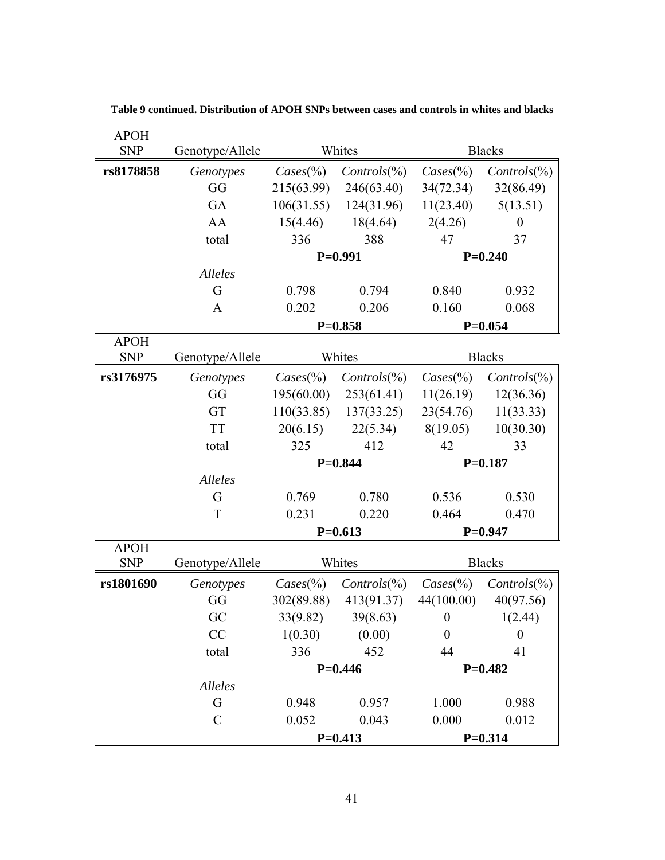| <b>APOH</b> |                 |                    |                       |                    |                       |
|-------------|-----------------|--------------------|-----------------------|--------------------|-----------------------|
| <b>SNP</b>  | Genotype/Allele | Whites             |                       |                    | <b>Blacks</b>         |
| rs8178858   | Genotypes       | $\text{Cases}(\%)$ | $Controls(\%)$        | $\text{Cases}(\%)$ | $Controls(\%)$        |
|             | GG              | 215(63.99)         | 246(63.40)            | 34(72.34)          | 32(86.49)             |
|             | GA              | 106(31.55)         | 124(31.96)            | 11(23.40)          | 5(13.51)              |
|             | AA              | 15(4.46)           | 18(4.64)              | 2(4.26)            | $\boldsymbol{0}$      |
|             | total           | 388<br>336         |                       | 47                 | 37                    |
|             |                 |                    | $P=0.991$             |                    | $P=0.240$             |
|             | Alleles         |                    |                       |                    |                       |
|             | G               | 0.798              | 0.794                 | 0.840              | 0.932                 |
|             | $\mathbf{A}$    | 0.202              | 0.206                 | 0.160              | 0.068                 |
|             |                 |                    | $P=0.858$             | $P=0.054$          |                       |
| <b>APOH</b> |                 |                    |                       |                    |                       |
| <b>SNP</b>  | Genotype/Allele |                    | Whites                |                    | <b>Blacks</b>         |
| rs3176975   | Genotypes       | $\text{Cases}(\%)$ | $\text{Controls}(\%)$ | $\text{Cases}(\%)$ | $\text{Controls}(\%)$ |
|             | GG              | 195(60.00)         | 253(61.41)            | 11(26.19)          | 12(36.36)             |
|             | GT              | 110(33.85)         | 137(33.25)            | 23(54.76)          | 11(33.33)             |
|             | <b>TT</b>       | 20(6.15)           | 22(5.34)              | 8(19.05)           | 10(30.30)             |
|             | total           | 325                | 412                   | 42                 | 33                    |
|             |                 |                    | $P=0.844$             |                    | $P=0.187$             |
|             | Alleles         |                    |                       |                    |                       |
|             | G               | 0.769              | 0.780                 | 0.536              | 0.530                 |
|             | T               | 0.231              | 0.220                 | 0.464              | 0.470                 |
|             |                 |                    | $P=0.613$             | $P=0.947$          |                       |
| <b>APOH</b> |                 |                    | Whites                |                    |                       |
| <b>SNP</b>  | Genotype/Allele |                    |                       |                    | <b>Blacks</b>         |
| rs1801690   | Genotypes       | $\text{Cases}(\%)$ | $\text{Controls}(\%)$ | $\text{Cases}(\%)$ | $\text{Controls}(\%)$ |
|             | GG              | 302(89.88)         | 413(91.37)            | 44(100.00)         | 40(97.56)             |
|             | GC              | 33(9.82)           | 39(8.63)              | $\boldsymbol{0}$   | 1(2.44)               |
|             | CC              | 1(0.30)            | (0.00)                | $\boldsymbol{0}$   | $\boldsymbol{0}$      |
|             | total           | 336                | 452                   | 44                 | 41                    |
|             |                 |                    | $P=0.446$             |                    | $P=0.482$             |
|             | Alleles         |                    |                       |                    |                       |
|             | G               | 0.948              | 0.957                 | 1.000              | 0.988                 |
|             | $\mathcal{C}$   | 0.052              | 0.043                 | 0.000              | 0.012                 |
|             |                 |                    | $P=0.413$             |                    | $P=0.314$             |

**Table 9 continued. Distribution of APOH SNPs between cases and controls in whites and blacks**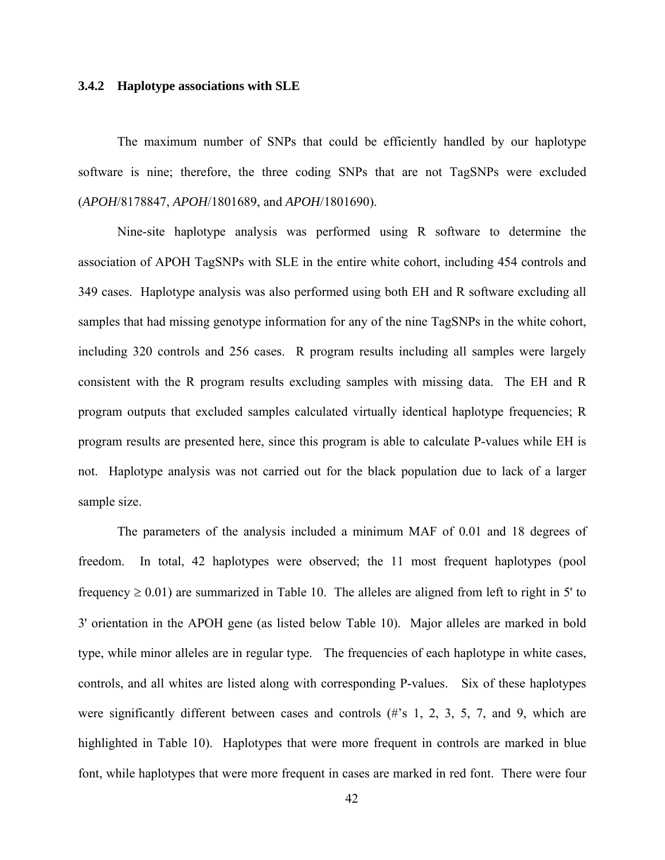### **3.4.2 Haplotype associations with SLE**

The maximum number of SNPs that could be efficiently handled by our haplotype software is nine; therefore, the three coding SNPs that are not TagSNPs were excluded (*APOH*/8178847, *APOH*/1801689, and *APOH*/1801690).

Nine-site haplotype analysis was performed using R software to determine the association of APOH TagSNPs with SLE in the entire white cohort, including 454 controls and 349 cases. Haplotype analysis was also performed using both EH and R software excluding all samples that had missing genotype information for any of the nine TagSNPs in the white cohort, including 320 controls and 256 cases. R program results including all samples were largely consistent with the R program results excluding samples with missing data. The EH and R program outputs that excluded samples calculated virtually identical haplotype frequencies; R program results are presented here, since this program is able to calculate P-values while EH is not. Haplotype analysis was not carried out for the black population due to lack of a larger sample size.

The parameters of the analysis included a minimum MAF of 0.01 and 18 degrees of freedom. In total, 42 haplotypes were observed; the 11 most frequent haplotypes (pool frequency  $\geq 0.01$ ) are summarized in Table 10. The alleles are aligned from left to right in 5' to 3' orientation in the APOH gene (as listed below Table 10). Major alleles are marked in bold type, while minor alleles are in regular type. The frequencies of each haplotype in white cases, controls, and all whites are listed along with corresponding P-values. Six of these haplotypes were significantly different between cases and controls (#'s 1, 2, 3, 5, 7, and 9, which are highlighted in Table 10). Haplotypes that were more frequent in controls are marked in blue font, while haplotypes that were more frequent in cases are marked in red font. There were four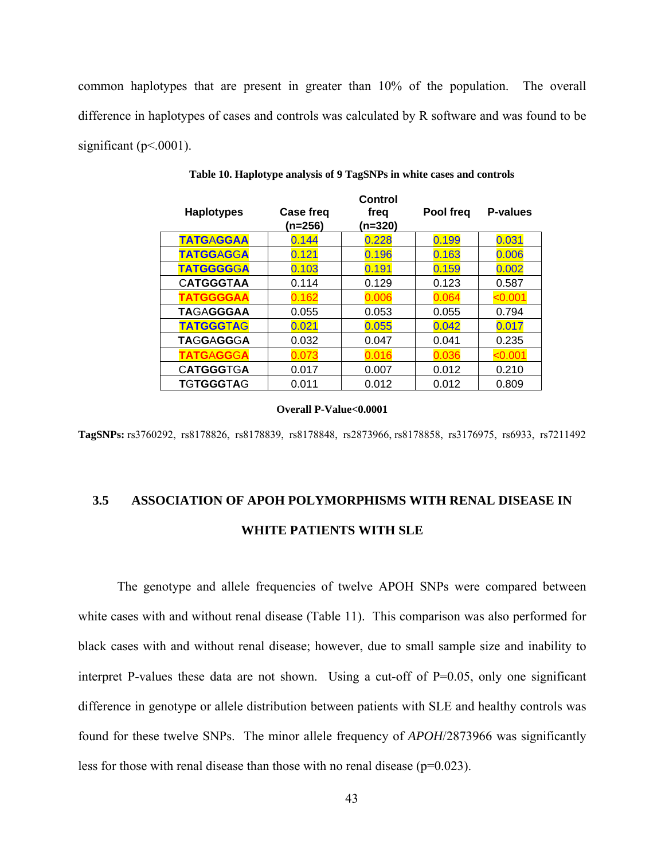common haplotypes that are present in greater than 10% of the population. The overall difference in haplotypes of cases and controls was calculated by R software and was found to be significant ( $p<0001$ ).

| <b>Haplotypes</b> | Case freq<br>(n=256) | Control<br>freq<br>(n=320) | Pool freq | P-values |
|-------------------|----------------------|----------------------------|-----------|----------|
| <b>TATGAGGAA</b>  | 0.144                | 0.228                      | 0.199     | 0.031    |
| <b>TATGGAGGA</b>  | 0.121                | 0.196                      | 0.163     | 0.006    |
| <b>TATGGGGGA</b>  | 0.103                | 0.191                      | 0.159     | 0.002    |
| <b>CATGGGTAA</b>  | 0.114                | 0.129                      | 0.123     | 0.587    |
| <b>TATGGGGAA</b>  | 0.162                | 0.006                      | 0.064     | < 0.001  |
| <b>TAGAGGGAA</b>  | 0.055                | 0.053                      | 0.055     | 0.794    |
| <b>TATGGGTAG</b>  | 0.021                | 0.055                      | 0.042     | 0.017    |
| <b>TAGGAGGGA</b>  | 0.032                | 0.047                      | 0.041     | 0.235    |
| <b>TATGAGGGA</b>  | 0.073                | 0.016                      | 0.036     | <0.001   |
| <b>CATGGGTGA</b>  | 0.017                | 0.007                      | 0.012     | 0.210    |
| <b>TGTGGGTAG</b>  | 0.011                | 0.012                      | 0.012     | 0.809    |

**Table 10. Haplotype analysis of 9 TagSNPs in white cases and controls** 

#### **Overall P-Value<0.0001**

**TagSNPs:** rs3760292,rs8178826,rs8178839,rs8178848,rs2873966, rs8178858,rs3176975,rs6933,rs7211492

# **3.5 ASSOCIATION OF APOH POLYMORPHISMS WITH RENAL DISEASE IN WHITE PATIENTS WITH SLE**

The genotype and allele frequencies of twelve APOH SNPs were compared between white cases with and without renal disease (Table 11). This comparison was also performed for black cases with and without renal disease; however, due to small sample size and inability to interpret P-values these data are not shown. Using a cut-off of  $P=0.05$ , only one significant difference in genotype or allele distribution between patients with SLE and healthy controls was found for these twelve SNPs. The minor allele frequency of *APOH*/2873966 was significantly less for those with renal disease than those with no renal disease ( $p=0.023$ ).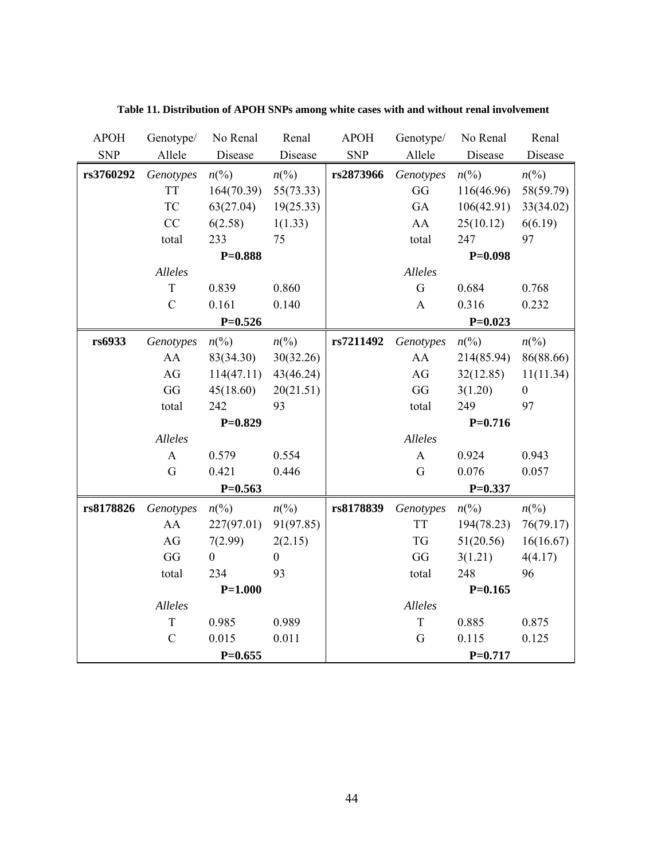| <b>APOH</b> | Genotype/     | No Renal         | Renal            | <b>APOH</b> | Genotype/    | No Renal        | Renal              |
|-------------|---------------|------------------|------------------|-------------|--------------|-----------------|--------------------|
| <b>SNP</b>  | Allele        | Disease          | Disease          | <b>SNP</b>  | Allele       | Disease         | Disease            |
| rs3760292   | Genotypes     | $n\binom{0}{0}$  | $n\binom{0}{0}$  | rs2873966   | Genotypes    | $n\binom{0}{0}$ | $n\binom{0}{0}$    |
|             | <b>TT</b>     | 164(70.39)       | 55(73.33)        |             | GG           | 116(46.96)      | 58(59.79)          |
|             | <b>TC</b>     | 63(27.04)        | 19(25.33)        |             | GA           | 106(42.91)      | 33(34.02)          |
|             | CC            | 6(2.58)          | 1(1.33)          |             | AA           | 25(10.12)       | 6(6.19)            |
|             | total         | 233              | 75               |             | total        | 247             | 97                 |
|             |               | $P=0.888$        |                  |             |              | $P=0.098$       |                    |
|             | Alleles       |                  |                  |             | Alleles      |                 |                    |
|             | T             | 0.839            | 0.860            |             | G            | 0.684           | 0.768              |
|             | $\mathcal{C}$ | 0.161            | 0.140            |             | $\mathbf{A}$ | 0.316           | 0.232              |
|             |               | $P=0.526$        |                  |             |              | $P=0.023$       |                    |
| rs6933      | Genotypes     | $n\binom{0}{0}$  | $n\binom{0}{0}$  | rs7211492   | Genotypes    | $n\binom{0}{0}$ | $n\left(\%\right)$ |
|             | AA            | 83(34.30)        | 30(32.26)        |             | AA           | 214(85.94)      | 86(88.66)          |
|             | AG            | 114(47.11)       | 43(46.24)        |             | AG           | 32(12.85)       | 11(11.34)          |
|             | GG            | 45(18.60)        | 20(21.51)        |             | GG           | 3(1.20)         | $\boldsymbol{0}$   |
|             | total         | 242              | 93               |             | total        | 249             | 97                 |
|             |               | $P=0.829$        |                  |             |              | $P=0.716$       |                    |
|             | Alleles       |                  |                  |             | Alleles      |                 |                    |
|             | $\mathbf{A}$  | 0.579            | 0.554            |             | $\mathbf{A}$ | 0.924           | 0.943              |
|             | G             | 0.421            | 0.446            |             | G            | 0.076           | 0.057              |
|             |               | $P=0.563$        |                  |             |              | $P=0.337$       |                    |
| rs8178826   | Genotypes     | $n\binom{0}{0}$  | $n\binom{0}{0}$  | rs8178839   | Genotypes    | $n\binom{0}{0}$ | $n\left(\%\right)$ |
|             | AA            | 227(97.01)       | 91(97.85)        |             | <b>TT</b>    | 194(78.23)      | 76(79.17)          |
|             | AG            | 7(2.99)          | 2(2.15)          |             | <b>TG</b>    | 51(20.56)       | 16(16.67)          |
|             | GG            | $\boldsymbol{0}$ | $\boldsymbol{0}$ |             | GG           | 3(1.21)         | 4(4.17)            |
|             | total         | 234              | 93               |             | total        | 248             | 96                 |
|             |               | $P=1.000$        |                  |             |              | $P=0.165$       |                    |
|             | Alleles       |                  |                  |             | Alleles      |                 |                    |
|             | T             | 0.985            | 0.989            |             | $\mathbf T$  | 0.885           | 0.875              |
|             | $\mathcal{C}$ | 0.015            | 0.011            |             | $\mathbf G$  | 0.115           | 0.125              |
|             |               | $P=0.655$        |                  |             |              | $P=0.717$       |                    |

**Table 11. Distribution of APOH SNPs among white cases with and without renal involvement**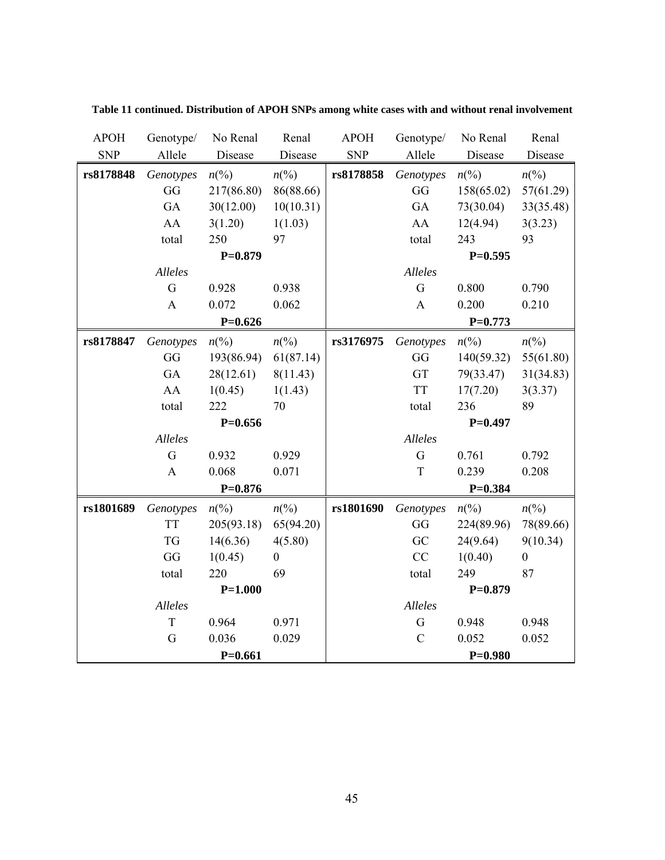| <b>APOH</b> | Genotype/    | No Renal        | Renal            | <b>APOH</b> | Genotype/      | No Renal        | Renal                       |
|-------------|--------------|-----------------|------------------|-------------|----------------|-----------------|-----------------------------|
| <b>SNP</b>  | Allele       | Disease         | Disease          | <b>SNP</b>  | Allele         | Disease         | Disease                     |
| rs8178848   | Genotypes    | $n\binom{0}{0}$ | $n\binom{0}{0}$  | rs8178858   | Genotypes      | $n\binom{0}{0}$ | $n\left(\%\right)$          |
|             | GG           | 217(86.80)      | 86(88.66)        |             | GG             | 158(65.02)      | 57(61.29)                   |
|             | GA           | 30(12.00)       | 10(10.31)        |             | GA             | 73(30.04)       | 33(35.48)                   |
|             | AA           | 3(1.20)         | 1(1.03)          |             | AA             | 12(4.94)        | 3(3.23)                     |
|             | total        | 250             | 97               |             | total          | 243             | 93                          |
|             |              | $P=0.879$       |                  |             |                | $P=0.595$       |                             |
|             | Alleles      |                 |                  |             | Alleles        |                 |                             |
|             | G            | 0.928           | 0.938            |             | G              | 0.800           | 0.790                       |
|             | $\mathbf{A}$ | 0.072           | 0.062            |             | $\mathbf{A}$   | 0.200           | 0.210                       |
|             |              | $P=0.626$       |                  |             |                | $P=0.773$       |                             |
| rs8178847   | Genotypes    | $n\frac{6}{9}$  | $n\binom{0}{0}$  | rs3176975   | Genotypes      | $n\binom{0}{0}$ | $n\left(\%\right)$          |
|             | GG           | 193(86.94)      | 61(87.14)        |             | GG             | 140(59.32)      | 55(61.80)                   |
|             | GA           | 28(12.61)       | 8(11.43)         |             | GT             | 79(33.47)       | 31(34.83)                   |
|             | AA           | 1(0.45)         | 1(1.43)          |             | <b>TT</b>      | 17(7.20)        | 3(3.37)                     |
|             | total        | 222             | 70               |             | total          | 236             | 89                          |
|             |              | $P=0.656$       |                  |             |                | $P=0.497$       |                             |
|             | Alleles      |                 |                  |             | Alleles        |                 |                             |
|             | G            | 0.932           | 0.929            |             | $\overline{G}$ | 0.761           | 0.792                       |
|             | $\mathbf{A}$ | 0.068           | 0.071            |             | $\mathbf T$    | 0.239           | 0.208                       |
|             |              | $P=0.876$       |                  |             |                | $P = 0.384$     |                             |
| rs1801689   | Genotypes    | $n\binom{0}{0}$ | $n\binom{0}{0}$  | rs1801690   | Genotypes      | $n\binom{0}{0}$ | $n\left(\frac{0}{0}\right)$ |
|             | <b>TT</b>    | 205(93.18)      | 65(94.20)        |             | GG             | 224(89.96)      | 78(89.66)                   |
|             | <b>TG</b>    | 14(6.36)        | 4(5.80)          |             | GC             | 24(9.64)        | 9(10.34)                    |
|             | GG           | 1(0.45)         | $\boldsymbol{0}$ |             | CC             | 1(0.40)         | $\boldsymbol{0}$            |
|             | total        | 220             | 69               |             | total          | 249             | 87                          |
|             |              | $P=1.000$       |                  |             |                | $P=0.879$       |                             |
|             | Alleles      |                 |                  |             | Alleles        |                 |                             |
|             | T            | 0.964           | 0.971            |             | G              | 0.948           | 0.948                       |
|             | G            | 0.036           | 0.029            |             | $\mathcal{C}$  | 0.052           | 0.052                       |
|             |              | $P=0.661$       |                  |             |                | $P=0.980$       |                             |

**Table 11 continued. Distribution of APOH SNPs among white cases with and without renal involvement**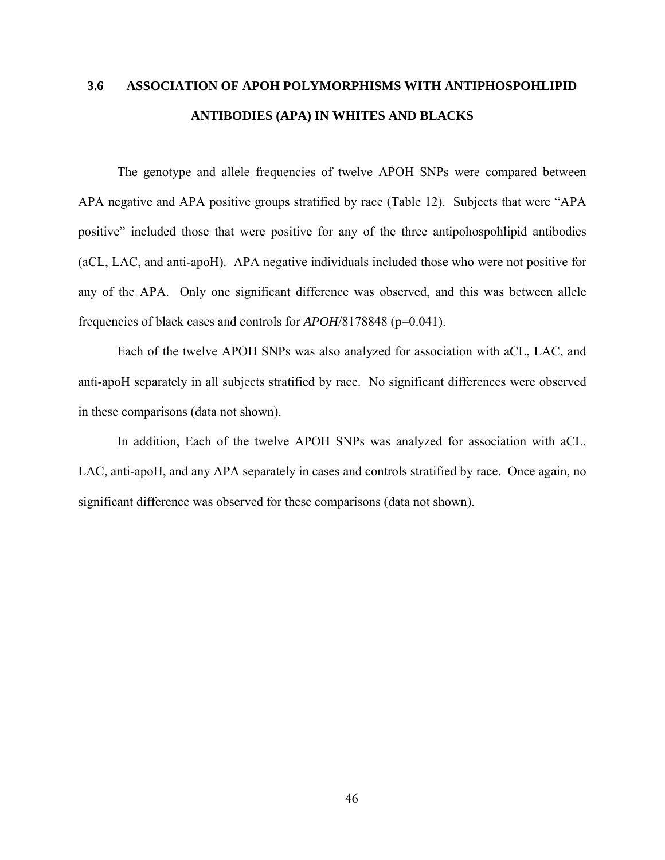# **3.6 ASSOCIATION OF APOH POLYMORPHISMS WITH ANTIPHOSPOHLIPID ANTIBODIES (APA) IN WHITES AND BLACKS**

The genotype and allele frequencies of twelve APOH SNPs were compared between APA negative and APA positive groups stratified by race (Table 12). Subjects that were "APA positive" included those that were positive for any of the three antipohospohlipid antibodies (aCL, LAC, and anti-apoH). APA negative individuals included those who were not positive for any of the APA. Only one significant difference was observed, and this was between allele frequencies of black cases and controls for *APOH*/8178848 (p=0.041).

Each of the twelve APOH SNPs was also analyzed for association with aCL, LAC, and anti-apoH separately in all subjects stratified by race. No significant differences were observed in these comparisons (data not shown).

In addition, Each of the twelve APOH SNPs was analyzed for association with aCL, LAC, anti-apoH, and any APA separately in cases and controls stratified by race. Once again, no significant difference was observed for these comparisons (data not shown).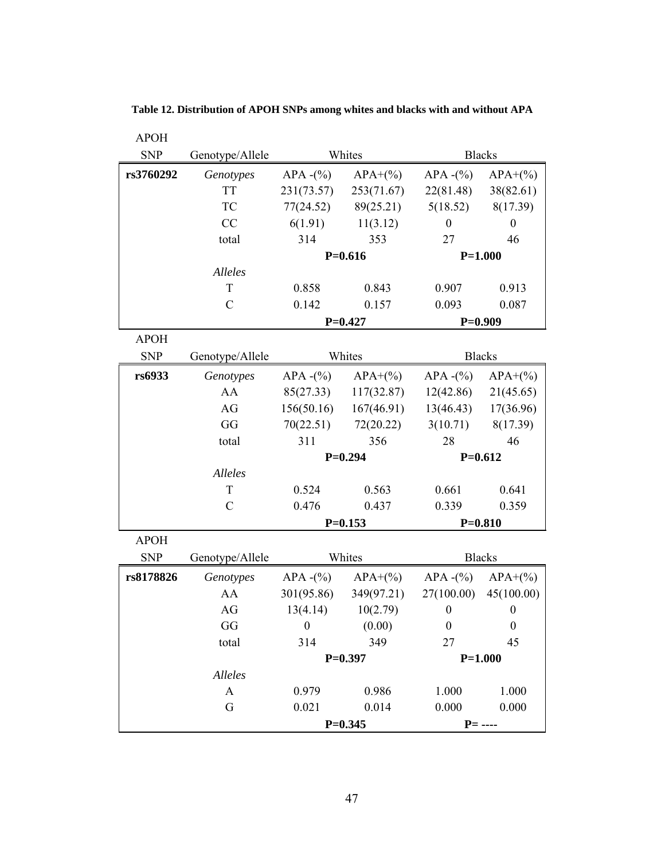| <b>APOH</b> |                 |                  |            |                  |                  |
|-------------|-----------------|------------------|------------|------------------|------------------|
| <b>SNP</b>  | Genotype/Allele |                  | Whites     |                  | <b>Blacks</b>    |
| rs3760292   | Genotypes       | APA $-(\%)$      | $APA+(%)$  | APA $-(\%)$      | $APA+(%)$        |
|             | <b>TT</b>       | 231(73.57)       | 253(71.67) | 22(81.48)        | 38(82.61)        |
|             | TC              | 77(24.52)        | 89(25.21)  | 5(18.52)         | 8(17.39)         |
|             | CC              | 6(1.91)          | 11(3.12)   | $\boldsymbol{0}$ | $\boldsymbol{0}$ |
|             | total           | 314              | 353        | 27               | 46               |
|             |                 |                  | $P=0.616$  |                  | $P=1.000$        |
|             | <b>Alleles</b>  |                  |            |                  |                  |
|             | T               | 0.858            | 0.843      | 0.907            | 0.913            |
|             | $\mathcal{C}$   | 0.142            | 0.157      | 0.093            | 0.087            |
|             |                 |                  | $P=0.427$  |                  | $P=0.909$        |
| <b>APOH</b> |                 |                  |            |                  |                  |
| <b>SNP</b>  | Genotype/Allele |                  | Whites     |                  | <b>Blacks</b>    |
| rs6933      | Genotypes       | $APA - (\%)$     | $APA+(%)$  | $APA - (%)$      | $APA+(%)$        |
|             | AA              | 85(27.33)        | 117(32.87) | 12(42.86)        | 21(45.65)        |
|             | AG              | 156(50.16)       | 167(46.91) | 13(46.43)        | 17(36.96)        |
|             | GG              | 70(22.51)        | 72(20.22)  | 3(10.71)         | 8(17.39)         |
|             | total           | 311              | 356        | 28               | 46               |
|             |                 | $P=0.294$        |            | $P=0.612$        |                  |
|             | Alleles         |                  |            |                  |                  |
|             | T               | 0.524            | 0.563      | 0.661            | 0.641            |
|             | $\mathcal{C}$   | 0.476            | 0.437      | 0.339            | 0.359            |
|             |                 |                  | $P=0.153$  | $P = 0.810$      |                  |
| <b>APOH</b> |                 |                  |            |                  |                  |
| <b>SNP</b>  | Genotype/Allele |                  | Whites     | <b>Blacks</b>    |                  |
| rs8178826   | Genotypes       | $APA - (\%)$     | $APA+(%)$  | $APA - (\%)$     | $APA+(%)$        |
|             | AA              | 301(95.86)       | 349(97.21) | 27(100.00)       | 45(100.00)       |
|             | AG              | 13(4.14)         | 10(2.79)   | $\boldsymbol{0}$ | $\boldsymbol{0}$ |
|             | GG              | $\boldsymbol{0}$ | (0.00)     | $\boldsymbol{0}$ | $\boldsymbol{0}$ |
|             | total           | 314              | 349        | 27               | 45               |
|             |                 |                  | $P=0.397$  | $P=1.000$        |                  |
|             | Alleles         |                  |            |                  |                  |
|             | $\mathbf{A}$    | 0.979            | 0.986      | 1.000            | 1.000            |
|             | G               | 0.021            | 0.014      | 0.000            | 0.000            |
|             |                 | $P=0.345$        |            | $P =$ ----       |                  |

**Table 12. Distribution of APOH SNPs among whites and blacks with and without APA**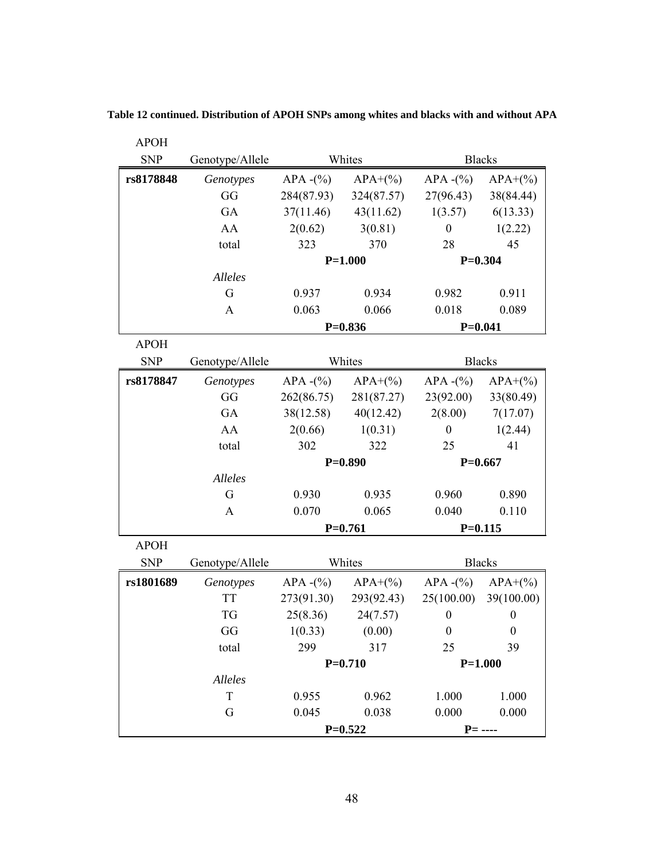| <b>APOH</b> |                 |                       |            |                  |                  |
|-------------|-----------------|-----------------------|------------|------------------|------------------|
| <b>SNP</b>  | Genotype/Allele |                       | Whites     | <b>Blacks</b>    |                  |
| rs8178848   | Genotypes       | $APA - (\% )$         | $APA+(%)$  | APA $-(\%)$      | $APA+(%)$        |
|             | GG              | 284(87.93)            | 324(87.57) | 27(96.43)        | 38(84.44)        |
|             | GA              | 37(11.46)             | 43(11.62)  | 1(3.57)          | 6(13.33)         |
|             | AA              | 2(0.62)               | 3(0.81)    | $\boldsymbol{0}$ | 1(2.22)          |
|             | total           | 323                   | 370        | 28               | 45               |
|             |                 |                       | $P=1.000$  |                  | $P=0.304$        |
|             | Alleles         |                       |            |                  |                  |
|             | G               | 0.937                 | 0.934      | 0.982            | 0.911            |
|             | A               | 0.063                 | 0.066      | 0.018            | 0.089            |
|             |                 |                       | $P=0.836$  | $P = 0.041$      |                  |
| <b>APOH</b> |                 |                       |            |                  |                  |
| <b>SNP</b>  | Genotype/Allele |                       | Whites     | <b>Blacks</b>    |                  |
| rs8178847   | Genotypes       | $APA - (\%)$          | $APA+(%)$  | APA $-(\%)$      | $APA+(%)$        |
|             | GG              | 262(86.75)            | 281(87.27) | 23(92.00)        | 33(80.49)        |
|             | GA              | 38(12.58)             | 40(12.42)  | 2(8.00)          | 7(17.07)         |
|             | AA              | 2(0.66)               | 1(0.31)    | $\boldsymbol{0}$ | 1(2.44)          |
|             | total           | 302                   | 322        | 25               | 41               |
|             |                 |                       | $P=0.890$  | $P=0.667$        |                  |
|             | Alleles         |                       |            |                  |                  |
|             | G               | 0.930                 | 0.935      | 0.960            | 0.890            |
|             | A               | 0.070                 | 0.065      | 0.040            | 0.110            |
|             |                 |                       | $P=0.761$  |                  | $P = 0.115$      |
| <b>APOH</b> |                 |                       |            |                  |                  |
| <b>SNP</b>  | Genotype/Allele |                       | Whites     | <b>Blacks</b>    |                  |
| rs1801689   | Genotypes       | $APA - (\frac{6}{9})$ | $APA+(%)$  | APA $-(\%)$      | $APA+(%)$        |
|             | <b>TT</b>       | 273(91.30)            | 293(92.43) | 25(100.00)       | 39(100.00)       |
|             | TG              | 25(8.36)              | 24(7.57)   | $\boldsymbol{0}$ | $\boldsymbol{0}$ |
|             | GG              | 1(0.33)               | (0.00)     | $\boldsymbol{0}$ | $\boldsymbol{0}$ |
|             | total           | 299                   | 317        | 25               | 39               |
|             |                 |                       | $P=0.710$  |                  | $P=1.000$        |
|             | Alleles         |                       |            |                  |                  |
|             | $\mathbf T$     | 0.955                 | 0.962      | 1.000            | 1.000            |
|             | G               | 0.045                 | 0.038      | 0.000            | 0.000            |
|             |                 | $P=0.522$             |            | $P =$ ----       |                  |

**Table 12 continued. Distribution of APOH SNPs among whites and blacks with and without APA**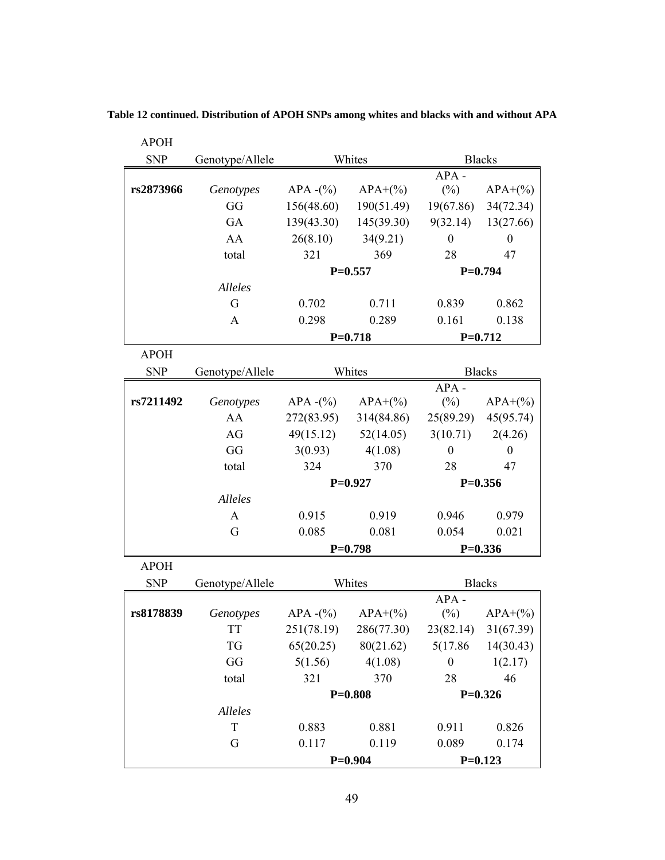| <b>APOH</b> |                 |              |                        |                      |                      |
|-------------|-----------------|--------------|------------------------|----------------------|----------------------|
| <b>SNP</b>  | Genotype/Allele |              | Whites                 |                      | <b>Blacks</b>        |
|             |                 |              |                        | $APA -$              |                      |
| rs2873966   | Genotypes       | APA $-(\%)$  | $APA+(%)$              | $(\%)$               | $APA+(%)$            |
|             | GG              | 156(48.60)   | 190(51.49)             | 19(67.86)            | 34(72.34)            |
|             | GA              | 139(43.30)   | 145(39.30)             |                      | $9(32.14)$ 13(27.66) |
|             | AA              | 26(8.10)     | 34(9.21)               | $\boldsymbol{0}$     | $\boldsymbol{0}$     |
|             | total           | 321          | 369                    | 28                   | 47                   |
|             |                 | $P=0.557$    |                        |                      | $P=0.794$            |
|             | Alleles         |              |                        |                      |                      |
|             | G               | 0.702        | 0.711                  | 0.839                | 0.862                |
|             | A               | 0.298        | 0.289                  | 0.161                | 0.138                |
|             |                 |              | $P=0.718$              |                      | $P=0.712$            |
| <b>APOH</b> |                 |              |                        |                      |                      |
| <b>SNP</b>  | Genotype/Allele |              | Whites                 |                      | <b>Blacks</b>        |
|             |                 |              |                        | $APA -$              |                      |
| rs7211492   | Genotypes       | $APA - (\%)$ | $APA+(%)$              | $(\%)$               | $APA+(%)$            |
|             | AA              | 272(83.95)   | 314(84.86)             |                      | 25(89.29) 45(95.74)  |
|             | AG              | 49(15.12)    | 52(14.05)              | $3(10.71)$ $2(4.26)$ |                      |
|             | GG              | 3(0.93)      | 4(1.08)                | $\boldsymbol{0}$     | $\boldsymbol{0}$     |
|             | total           | 324          | 370                    | 28                   | 47                   |
|             |                 |              | $P=0.927$<br>$P=0.356$ |                      |                      |
|             | Alleles         |              |                        |                      |                      |
|             | A               | 0.915        | 0.919                  | 0.946                | 0.979                |
|             | G               | 0.085        | 0.081                  | 0.054                | 0.021                |
|             |                 |              | $P=0.798$              |                      | $P=0.336$            |
| <b>APOH</b> |                 |              |                        |                      |                      |
| <b>SNP</b>  | Genotype/Allele |              | Whites                 |                      | <b>Blacks</b>        |
|             |                 |              |                        | $APA -$              |                      |
| rs8178839   | Genotypes       | APA $-(\%)$  | $APA+(%)$              | $(\%)$               | $APA+(%)$            |
|             | <b>TT</b>       | 251(78.19)   | 286(77.30)             |                      | 23(82.14) 31(67.39)  |
|             | <b>TG</b>       | 65(20.25)    | 80(21.62)              | 5(17.86)             | 14(30.43)            |
|             | GG              | 5(1.56)      | 4(1.08)                | $\boldsymbol{0}$     | 1(2.17)              |
|             | total           | 321          | 370                    | 28                   | 46                   |
|             |                 |              | $P=0.808$              |                      | $P=0.326$            |
|             | Alleles         |              |                        |                      |                      |
|             | T               | 0.883        | 0.881                  | 0.911                | 0.826                |
|             | G               | 0.117        | 0.119                  | 0.089                | 0.174                |
|             |                 | $P=0.904$    |                        |                      | $P=0.123$            |

**Table 12 continued. Distribution of APOH SNPs among whites and blacks with and without APA**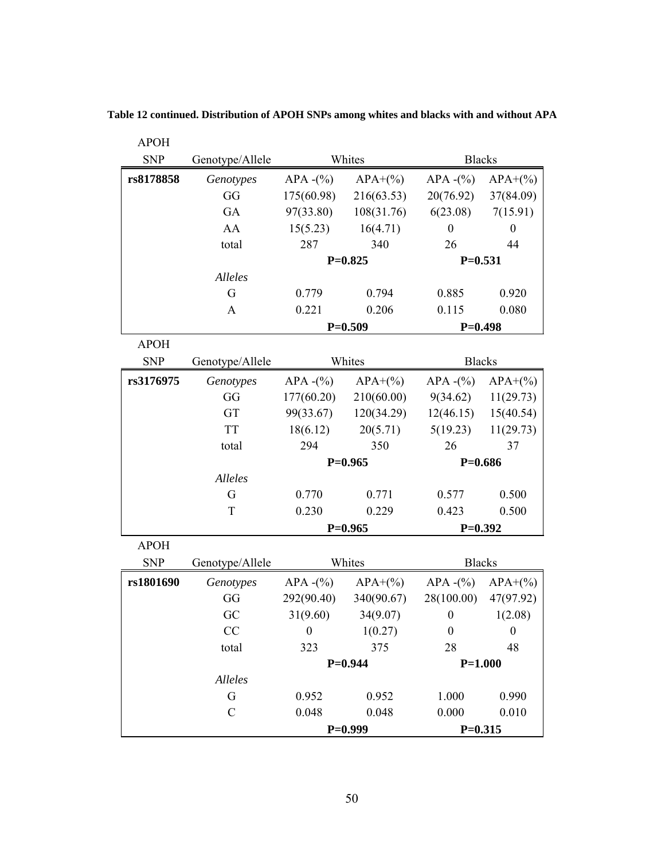| <b>APOH</b> |                 |               |            |                  |                  |
|-------------|-----------------|---------------|------------|------------------|------------------|
| <b>SNP</b>  | Genotype/Allele | Whites        |            | <b>Blacks</b>    |                  |
| rs8178858   | Genotypes       | $APA - (%)$   | $APA+(%)$  | APA $-(\%)$      | $APA+(%)$        |
|             | GG              | 175(60.98)    | 216(63.53) | 20(76.92)        | 37(84.09)        |
|             | GA              | 97(33.80)     | 108(31.76) | 6(23.08)         | 7(15.91)         |
|             | AA              | 15(5.23)      | 16(4.71)   | $\boldsymbol{0}$ | $\boldsymbol{0}$ |
|             | total           | 287           | 340        | 26               | 44               |
|             |                 |               | $P=0.825$  | $P=0.531$        |                  |
|             | Alleles         |               |            |                  |                  |
|             | G               | 0.779         | 0.794      | 0.885            | 0.920            |
|             | A               | 0.221         | 0.206      | 0.115            | 0.080            |
|             |                 |               | $P=0.509$  | $P=0.498$        |                  |
| <b>APOH</b> |                 |               |            |                  |                  |
| <b>SNP</b>  | Genotype/Allele |               | Whites     | <b>Blacks</b>    |                  |
| rs3176975   | Genotypes       | $APA - (%)$   | $APA+(%$   | $APA - (\%)$     | $APA+(%)$        |
|             | GG              | 177(60.20)    | 210(60.00) | 9(34.62)         | 11(29.73)        |
|             | GT              | 99(33.67)     | 120(34.29) | 12(46.15)        | 15(40.54)        |
|             | <b>TT</b>       | 18(6.12)      | 20(5.71)   | 5(19.23)         | 11(29.73)        |
|             | total           | 294           | 350        | 26               | 37               |
|             |                 |               | $P=0.965$  |                  | $P=0.686$        |
|             | Alleles         |               |            |                  |                  |
|             | G               | 0.770         | 0.771      | 0.577            | 0.500            |
|             | T               | 0.230         | 0.229      | 0.423            | 0.500            |
|             |                 |               | $P=0.965$  | $P=0.392$        |                  |
| <b>APOH</b> |                 |               |            |                  |                  |
| <b>SNP</b>  | Genotype/Allele |               | Whites     | <b>Blacks</b>    |                  |
| rs1801690   | Genotypes       | $APA - (\% )$ | $APA+(%)$  | APA $-(\%)$      | $APA+(%)$        |
|             | GG              | 292(90.40)    | 340(90.67) | 28(100.00)       | 47(97.92)        |
|             | GC              | 31(9.60)      | 34(9.07)   | $\boldsymbol{0}$ | 1(2.08)          |
|             | CC              | $\theta$      | 1(0.27)    | $\boldsymbol{0}$ | $\boldsymbol{0}$ |
|             | total           | 323           | 375        | 28               | 48               |
|             |                 |               | $P=0.944$  | $P=1.000$        |                  |
|             | Alleles         |               |            |                  |                  |
|             | G               | 0.952         | 0.952      | 1.000            | 0.990            |
|             | $\mathcal{C}$   | 0.048         | 0.048      | 0.000            | 0.010            |
|             |                 | $P=0.999$     |            | $P=0.315$        |                  |

**Table 12 continued. Distribution of APOH SNPs among whites and blacks with and without APA**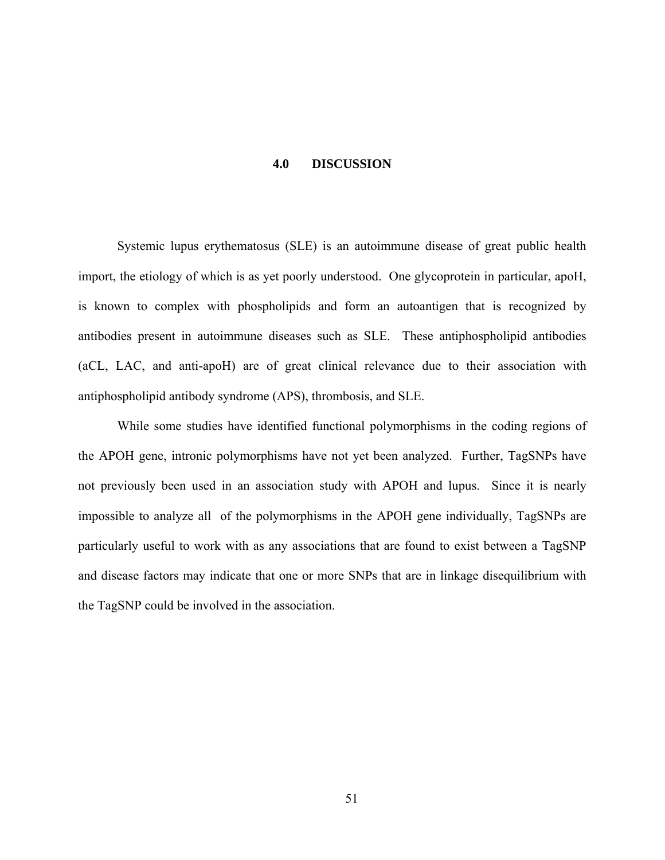### **4.0 DISCUSSION**

Systemic lupus erythematosus (SLE) is an autoimmune disease of great public health import, the etiology of which is as yet poorly understood. One glycoprotein in particular, apoH, is known to complex with phospholipids and form an autoantigen that is recognized by antibodies present in autoimmune diseases such as SLE. These antiphospholipid antibodies (aCL, LAC, and anti-apoH) are of great clinical relevance due to their association with antiphospholipid antibody syndrome (APS), thrombosis, and SLE.

While some studies have identified functional polymorphisms in the coding regions of the APOH gene, intronic polymorphisms have not yet been analyzed. Further, TagSNPs have not previously been used in an association study with APOH and lupus. Since it is nearly impossible to analyze all of the polymorphisms in the APOH gene individually, TagSNPs are particularly useful to work with as any associations that are found to exist between a TagSNP and disease factors may indicate that one or more SNPs that are in linkage disequilibrium with the TagSNP could be involved in the association.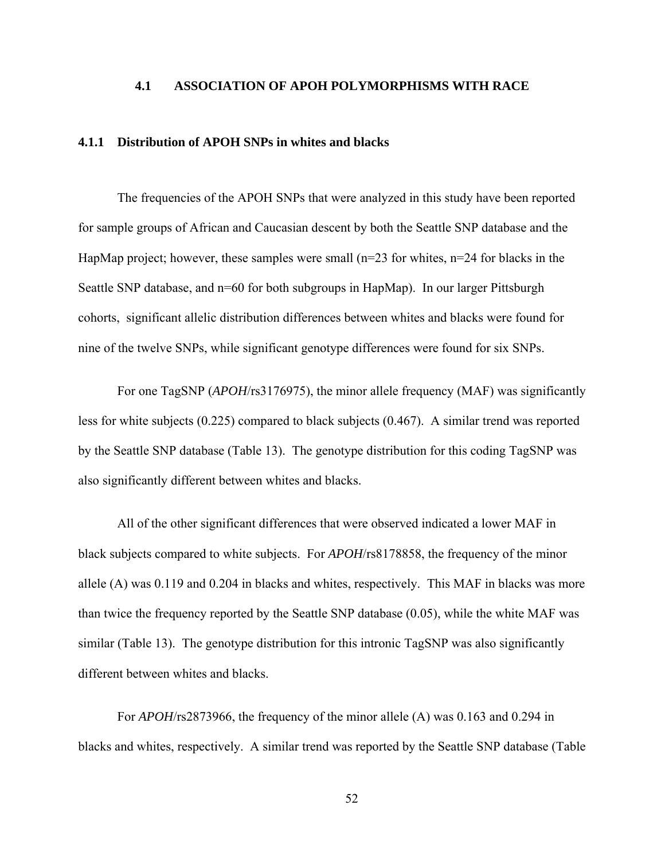### **4.1 ASSOCIATION OF APOH POLYMORPHISMS WITH RACE**

### **4.1.1 Distribution of APOH SNPs in whites and blacks**

The frequencies of the APOH SNPs that were analyzed in this study have been reported for sample groups of African and Caucasian descent by both the Seattle SNP database and the HapMap project; however, these samples were small  $(n=23$  for whites,  $n=24$  for blacks in the Seattle SNP database, and  $n=60$  for both subgroups in HapMap). In our larger Pittsburgh cohorts, significant allelic distribution differences between whites and blacks were found for nine of the twelve SNPs, while significant genotype differences were found for six SNPs.

For one TagSNP (*APOH*/rs3176975), the minor allele frequency (MAF) was significantly less for white subjects (0.225) compared to black subjects (0.467). A similar trend was reported by the Seattle SNP database (Table 13). The genotype distribution for this coding TagSNP was also significantly different between whites and blacks.

All of the other significant differences that were observed indicated a lower MAF in black subjects compared to white subjects. For *APOH*/rs8178858, the frequency of the minor allele (A) was 0.119 and 0.204 in blacks and whites, respectively. This MAF in blacks was more than twice the frequency reported by the Seattle SNP database (0.05), while the white MAF was similar (Table 13). The genotype distribution for this intronic TagSNP was also significantly different between whites and blacks.

For *APOH*/rs2873966, the frequency of the minor allele (A) was 0.163 and 0.294 in blacks and whites, respectively. A similar trend was reported by the Seattle SNP database (Table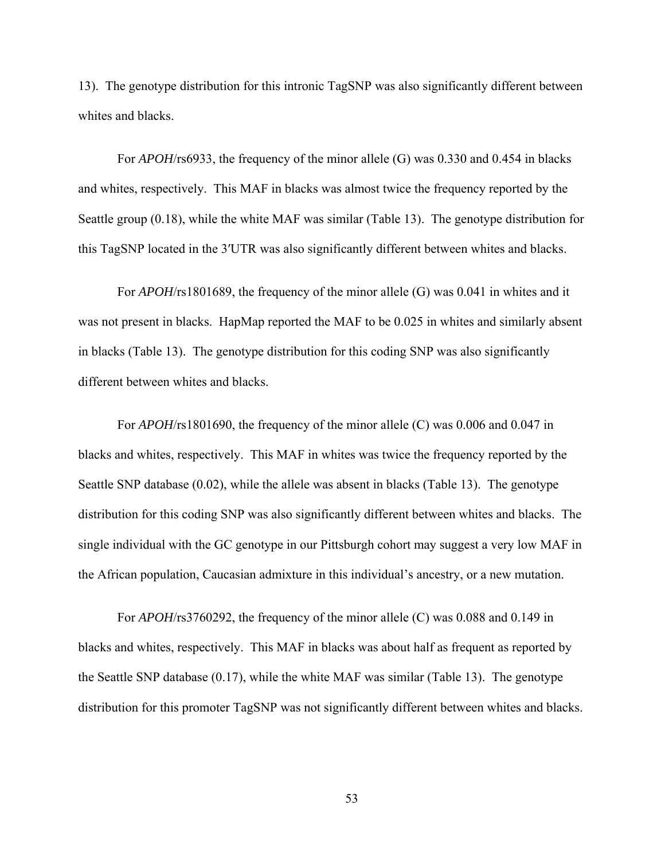13). The genotype distribution for this intronic TagSNP was also significantly different between whites and blacks.

For *APOH*/rs6933, the frequency of the minor allele (G) was 0.330 and 0.454 in blacks and whites, respectively. This MAF in blacks was almost twice the frequency reported by the Seattle group (0.18), while the white MAF was similar (Table 13). The genotype distribution for this TagSNP located in the 3′UTR was also significantly different between whites and blacks.

For *APOH*/rs1801689, the frequency of the minor allele (G) was 0.041 in whites and it was not present in blacks. HapMap reported the MAF to be 0.025 in whites and similarly absent in blacks (Table 13). The genotype distribution for this coding SNP was also significantly different between whites and blacks.

For *APOH*/rs1801690, the frequency of the minor allele (C) was 0.006 and 0.047 in blacks and whites, respectively. This MAF in whites was twice the frequency reported by the Seattle SNP database (0.02), while the allele was absent in blacks (Table 13). The genotype distribution for this coding SNP was also significantly different between whites and blacks. The single individual with the GC genotype in our Pittsburgh cohort may suggest a very low MAF in the African population, Caucasian admixture in this individual's ancestry, or a new mutation.

For *APOH*/rs3760292, the frequency of the minor allele (C) was 0.088 and 0.149 in blacks and whites, respectively. This MAF in blacks was about half as frequent as reported by the Seattle SNP database (0.17), while the white MAF was similar (Table 13). The genotype distribution for this promoter TagSNP was not significantly different between whites and blacks.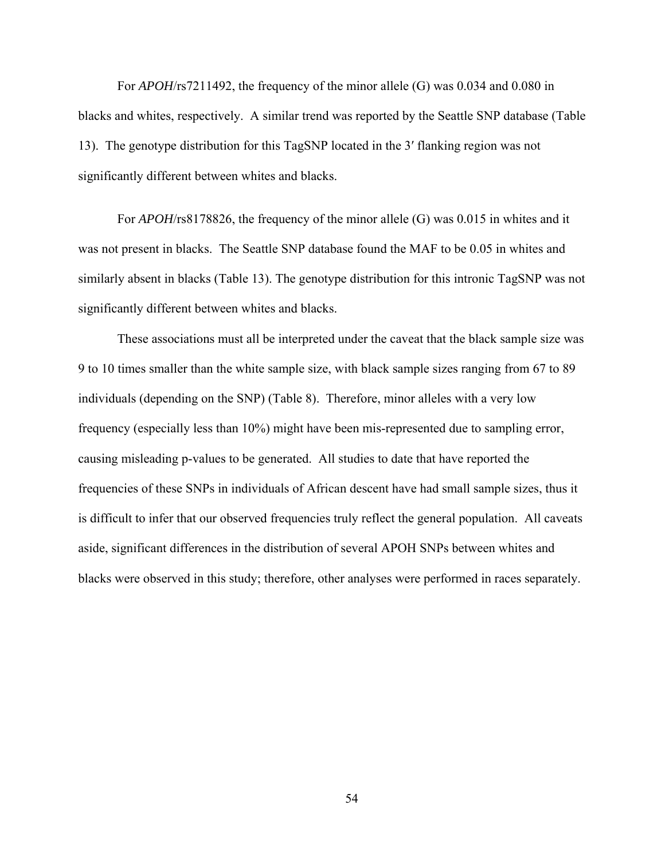For *APOH*/rs7211492, the frequency of the minor allele (G) was 0.034 and 0.080 in blacks and whites, respectively. A similar trend was reported by the Seattle SNP database (Table 13). The genotype distribution for this TagSNP located in the 3′ flanking region was not significantly different between whites and blacks.

For *APOH*/rs8178826, the frequency of the minor allele (G) was 0.015 in whites and it was not present in blacks. The Seattle SNP database found the MAF to be 0.05 in whites and similarly absent in blacks (Table 13). The genotype distribution for this intronic TagSNP was not significantly different between whites and blacks.

These associations must all be interpreted under the caveat that the black sample size was 9 to 10 times smaller than the white sample size, with black sample sizes ranging from 67 to 89 individuals (depending on the SNP) (Table 8). Therefore, minor alleles with a very low frequency (especially less than 10%) might have been mis-represented due to sampling error, causing misleading p-values to be generated. All studies to date that have reported the frequencies of these SNPs in individuals of African descent have had small sample sizes, thus it is difficult to infer that our observed frequencies truly reflect the general population. All caveats aside, significant differences in the distribution of several APOH SNPs between whites and blacks were observed in this study; therefore, other analyses were performed in races separately.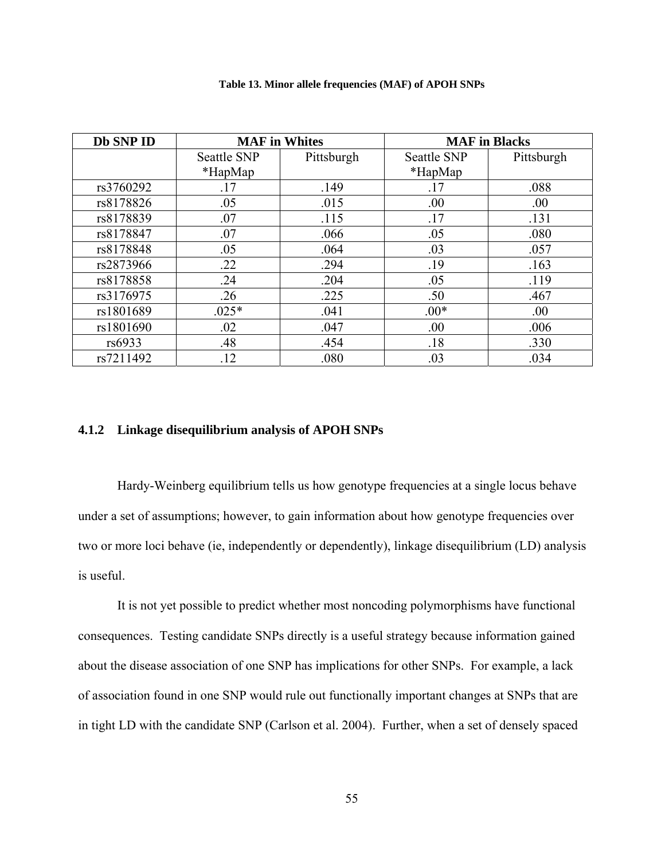| Db SNP ID | <b>MAF</b> in Whites |            |             | <b>MAF</b> in Blacks |
|-----------|----------------------|------------|-------------|----------------------|
|           | <b>Seattle SNP</b>   | Pittsburgh | Seattle SNP | Pittsburgh           |
|           | $*$ HapMap           |            | *HapMap     |                      |
| rs3760292 | .17                  | .149       | .17         | .088                 |
| rs8178826 | .05                  | .015       | .00         | .00                  |
| rs8178839 | .07                  | .115       | .17         | .131                 |
| rs8178847 | .07                  | .066       | .05         | .080                 |
| rs8178848 | .05                  | .064       | .03         | .057                 |
| rs2873966 | .22                  | .294       | .19         | .163                 |
| rs8178858 | .24                  | .204       | .05         | .119                 |
| rs3176975 | .26                  | .225       | .50         | .467                 |
| rs1801689 | $.025*$              | .041       | $.00*$      | .00                  |
| rs1801690 | .02                  | .047       | .00         | .006                 |
| rs6933    | .48                  | .454       | .18         | .330                 |
| rs7211492 | .12                  | .080       | .03         | .034                 |

### **Table 13. Minor allele frequencies (MAF) of APOH SNPs**

# **4.1.2 Linkage disequilibrium analysis of APOH SNPs**

Hardy-Weinberg equilibrium tells us how genotype frequencies at a single locus behave under a set of assumptions; however, to gain information about how genotype frequencies over two or more loci behave (ie, independently or dependently), linkage disequilibrium (LD) analysis is useful.

It is not yet possible to predict whether most noncoding polymorphisms have functional consequences. Testing candidate SNPs directly is a useful strategy because information gained about the disease association of one SNP has implications for other SNPs. For example, a lack of association found in one SNP would rule out functionally important changes at SNPs that are in tight LD with the candidate SNP (Carlson et al. 2004). Further, when a set of densely spaced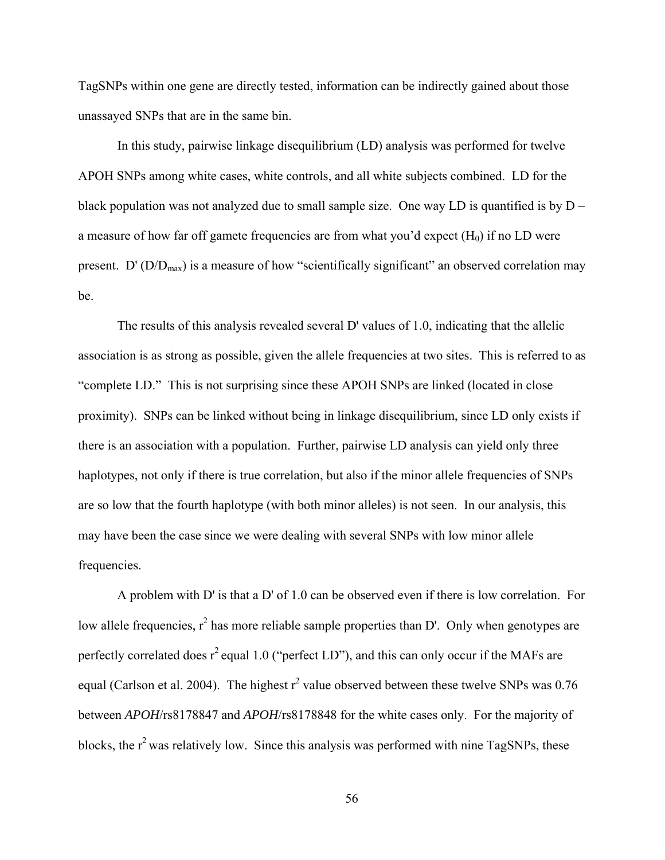TagSNPs within one gene are directly tested, information can be indirectly gained about those unassayed SNPs that are in the same bin.

In this study, pairwise linkage disequilibrium (LD) analysis was performed for twelve APOH SNPs among white cases, white controls, and all white subjects combined. LD for the black population was not analyzed due to small sample size. One way LD is quantified is by  $D$ a measure of how far off gamete frequencies are from what you'd expect  $(H_0)$  if no LD were present. D'  $(D/D<sub>max</sub>)$  is a measure of how "scientifically significant" an observed correlation may be.

The results of this analysis revealed several D' values of 1.0, indicating that the allelic association is as strong as possible, given the allele frequencies at two sites. This is referred to as "complete LD." This is not surprising since these APOH SNPs are linked (located in close proximity). SNPs can be linked without being in linkage disequilibrium, since LD only exists if there is an association with a population. Further, pairwise LD analysis can yield only three haplotypes, not only if there is true correlation, but also if the minor allele frequencies of SNPs are so low that the fourth haplotype (with both minor alleles) is not seen. In our analysis, this may have been the case since we were dealing with several SNPs with low minor allele frequencies.

A problem with D' is that a D' of 1.0 can be observed even if there is low correlation. For low allele frequencies,  $r^2$  has more reliable sample properties than D'. Only when genotypes are perfectly correlated does  $r^2$  equal 1.0 ("perfect LD"), and this can only occur if the MAFs are equal (Carlson et al. 2004). The highest  $r^2$  value observed between these twelve SNPs was 0.76 between *APOH*/rs8178847 and *APOH*/rs8178848 for the white cases only. For the majority of blocks, the  $r^2$  was relatively low. Since this analysis was performed with nine TagSNPs, these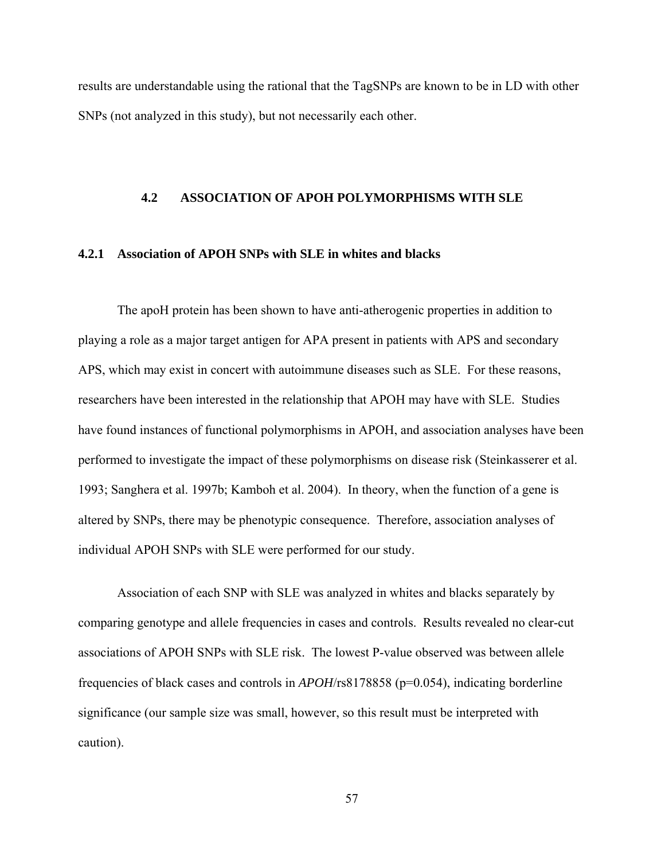results are understandable using the rational that the TagSNPs are known to be in LD with other SNPs (not analyzed in this study), but not necessarily each other.

### **4.2 ASSOCIATION OF APOH POLYMORPHISMS WITH SLE**

### **4.2.1 Association of APOH SNPs with SLE in whites and blacks**

The apoH protein has been shown to have anti-atherogenic properties in addition to playing a role as a major target antigen for APA present in patients with APS and secondary APS, which may exist in concert with autoimmune diseases such as SLE. For these reasons, researchers have been interested in the relationship that APOH may have with SLE. Studies have found instances of functional polymorphisms in APOH, and association analyses have been performed to investigate the impact of these polymorphisms on disease risk (Steinkasserer et al. 1993; Sanghera et al. 1997b; Kamboh et al. 2004). In theory, when the function of a gene is altered by SNPs, there may be phenotypic consequence. Therefore, association analyses of individual APOH SNPs with SLE were performed for our study.

Association of each SNP with SLE was analyzed in whites and blacks separately by comparing genotype and allele frequencies in cases and controls. Results revealed no clear-cut associations of APOH SNPs with SLE risk. The lowest P-value observed was between allele frequencies of black cases and controls in *APOH*/rs8178858 (p=0.054), indicating borderline significance (our sample size was small, however, so this result must be interpreted with caution).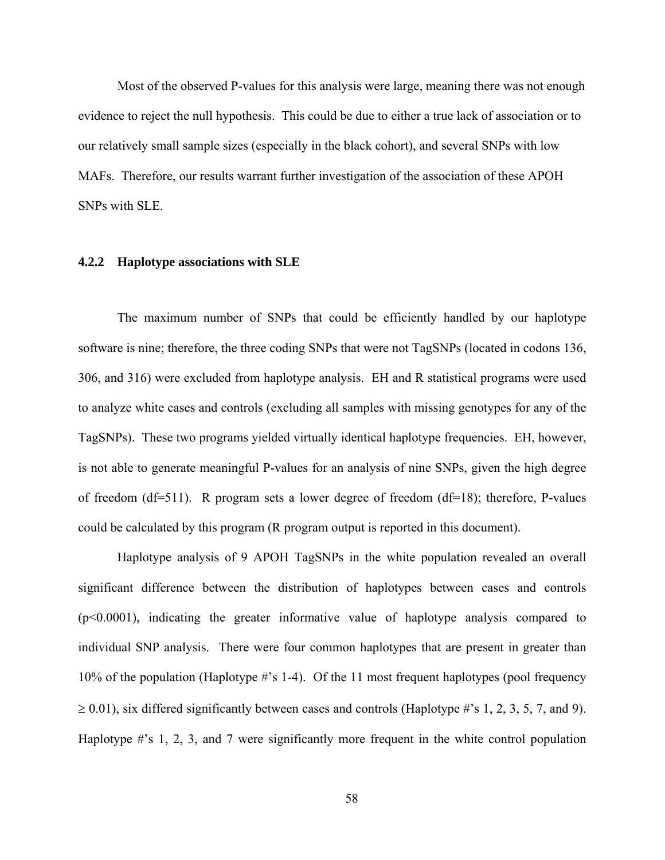Most of the observed P-values for this analysis were large, meaning there was not enough evidence to reject the null hypothesis. This could be due to either a true lack of association or to our relatively small sample sizes (especially in the black cohort), and several SNPs with low MAFs. Therefore, our results warrant further investigation of the association of these APOH SNPs with SLE.

### **4.2.2 Haplotype associations with SLE**

The maximum number of SNPs that could be efficiently handled by our haplotype software is nine; therefore, the three coding SNPs that were not TagSNPs (located in codons 136, 306, and 316) were excluded from haplotype analysis. EH and R statistical programs were used to analyze white cases and controls (excluding all samples with missing genotypes for any of the TagSNPs). These two programs yielded virtually identical haplotype frequencies. EH, however, is not able to generate meaningful P-values for an analysis of nine SNPs, given the high degree of freedom (df=511). R program sets a lower degree of freedom (df=18); therefore, P-values could be calculated by this program (R program output is reported in this document).

Haplotype analysis of 9 APOH TagSNPs in the white population revealed an overall significant difference between the distribution of haplotypes between cases and controls (p<0.0001), indicating the greater informative value of haplotype analysis compared to individual SNP analysis. There were four common haplotypes that are present in greater than 10% of the population (Haplotype #'s 1-4). Of the 11 most frequent haplotypes (pool frequency  $\geq$  0.01), six differed significantly between cases and controls (Haplotype #'s 1, 2, 3, 5, 7, and 9). Haplotype #'s 1, 2, 3, and 7 were significantly more frequent in the white control population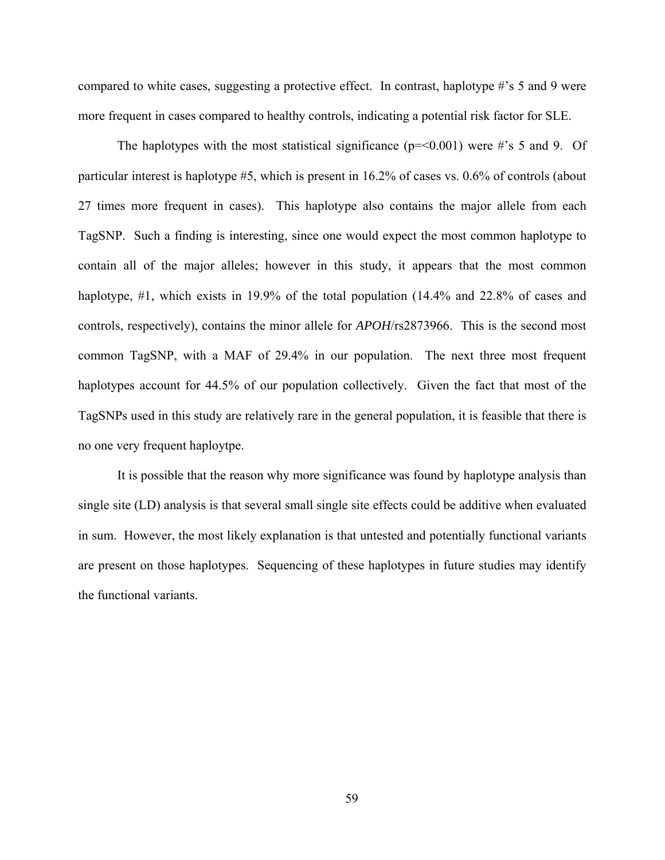compared to white cases, suggesting a protective effect. In contrast, haplotype #'s 5 and 9 were more frequent in cases compared to healthy controls, indicating a potential risk factor for SLE.

The haplotypes with the most statistical significance ( $p = 0.001$ ) were #'s 5 and 9. Of particular interest is haplotype #5, which is present in 16.2% of cases vs. 0.6% of controls (about 27 times more frequent in cases). This haplotype also contains the major allele from each TagSNP. Such a finding is interesting, since one would expect the most common haplotype to contain all of the major alleles; however in this study, it appears that the most common haplotype, #1, which exists in 19.9% of the total population (14.4% and 22.8% of cases and controls, respectively), contains the minor allele for *APOH*/rs2873966. This is the second most common TagSNP, with a MAF of 29.4% in our population. The next three most frequent haplotypes account for 44.5% of our population collectively. Given the fact that most of the TagSNPs used in this study are relatively rare in the general population, it is feasible that there is no one very frequent haploytpe.

It is possible that the reason why more significance was found by haplotype analysis than single site (LD) analysis is that several small single site effects could be additive when evaluated in sum. However, the most likely explanation is that untested and potentially functional variants are present on those haplotypes. Sequencing of these haplotypes in future studies may identify the functional variants.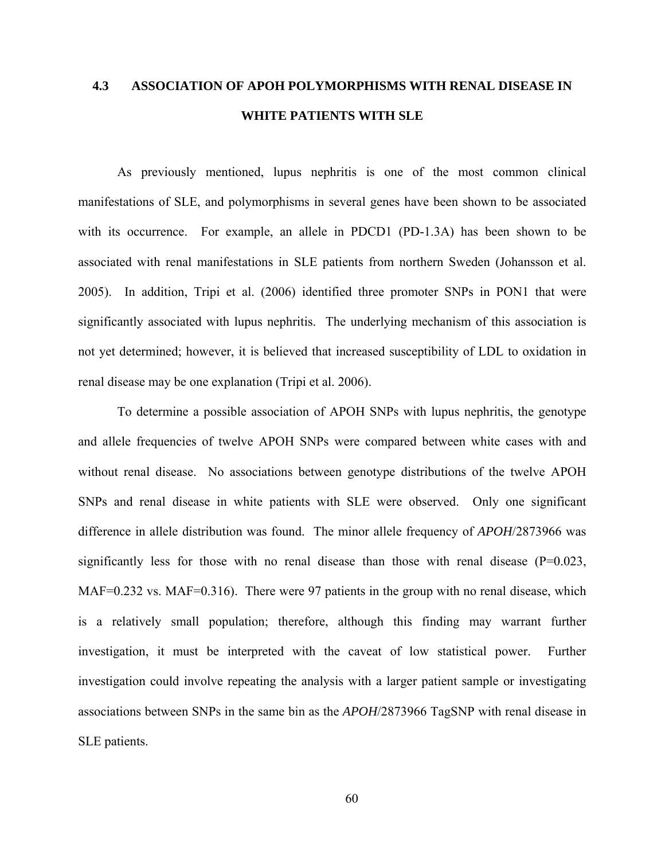# **4.3 ASSOCIATION OF APOH POLYMORPHISMS WITH RENAL DISEASE IN WHITE PATIENTS WITH SLE**

As previously mentioned, lupus nephritis is one of the most common clinical manifestations of SLE, and polymorphisms in several genes have been shown to be associated with its occurrence. For example, an allele in PDCD1 (PD-1.3A) has been shown to be associated with renal manifestations in SLE patients from northern Sweden (Johansson et al. 2005). In addition, Tripi et al. (2006) identified three promoter SNPs in PON1 that were significantly associated with lupus nephritis. The underlying mechanism of this association is not yet determined; however, it is believed that increased susceptibility of LDL to oxidation in renal disease may be one explanation (Tripi et al. 2006).

To determine a possible association of APOH SNPs with lupus nephritis, the genotype and allele frequencies of twelve APOH SNPs were compared between white cases with and without renal disease. No associations between genotype distributions of the twelve APOH SNPs and renal disease in white patients with SLE were observed. Only one significant difference in allele distribution was found. The minor allele frequency of *APOH*/2873966 was significantly less for those with no renal disease than those with renal disease  $(P=0.023, P=0.023)$ MAF=0.232 vs. MAF=0.316). There were 97 patients in the group with no renal disease, which is a relatively small population; therefore, although this finding may warrant further investigation, it must be interpreted with the caveat of low statistical power. Further investigation could involve repeating the analysis with a larger patient sample or investigating associations between SNPs in the same bin as the *APOH*/2873966 TagSNP with renal disease in SLE patients.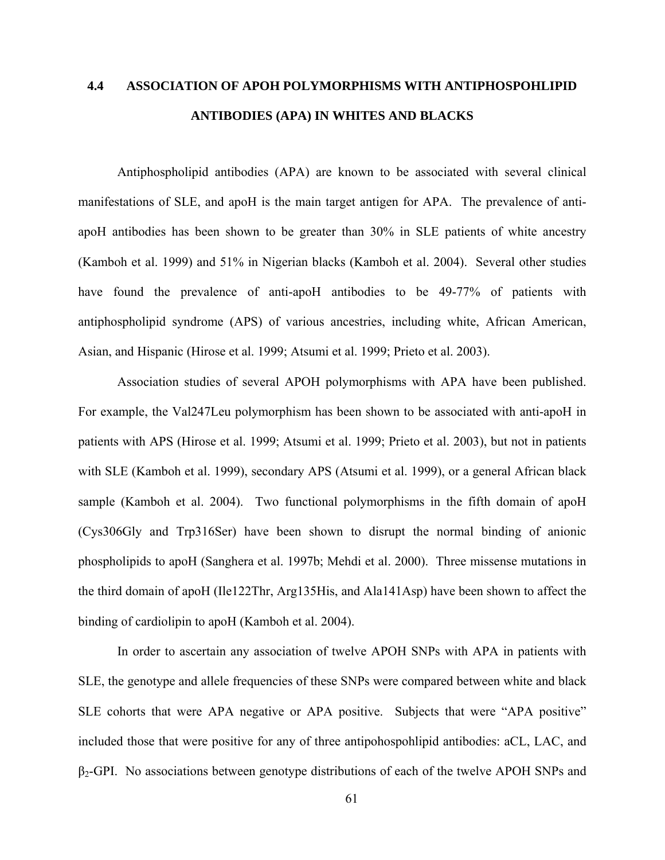# **4.4 ASSOCIATION OF APOH POLYMORPHISMS WITH ANTIPHOSPOHLIPID ANTIBODIES (APA) IN WHITES AND BLACKS**

Antiphospholipid antibodies (APA) are known to be associated with several clinical manifestations of SLE, and apoH is the main target antigen for APA. The prevalence of antiapoH antibodies has been shown to be greater than 30% in SLE patients of white ancestry (Kamboh et al. 1999) and 51% in Nigerian blacks (Kamboh et al. 2004). Several other studies have found the prevalence of anti-apoH antibodies to be 49-77% of patients with antiphospholipid syndrome (APS) of various ancestries, including white, African American, Asian, and Hispanic (Hirose et al. 1999; Atsumi et al. 1999; Prieto et al. 2003).

Association studies of several APOH polymorphisms with APA have been published. For example, the Val247Leu polymorphism has been shown to be associated with anti-apoH in patients with APS (Hirose et al. 1999; Atsumi et al. 1999; Prieto et al. 2003), but not in patients with SLE (Kamboh et al. 1999), secondary APS (Atsumi et al. 1999), or a general African black sample (Kamboh et al. 2004). Two functional polymorphisms in the fifth domain of apoH (Cys306Gly and Trp316Ser) have been shown to disrupt the normal binding of anionic phospholipids to apoH (Sanghera et al. 1997b; Mehdi et al. 2000). Three missense mutations in the third domain of apoH (Ile122Thr, Arg135His, and Ala141Asp) have been shown to affect the binding of cardiolipin to apoH (Kamboh et al. 2004).

In order to ascertain any association of twelve APOH SNPs with APA in patients with SLE, the genotype and allele frequencies of these SNPs were compared between white and black SLE cohorts that were APA negative or APA positive. Subjects that were "APA positive" included those that were positive for any of three antipohospohlipid antibodies: aCL, LAC, and  $\beta$ <sub>2</sub>-GPI. No associations between genotype distributions of each of the twelve APOH SNPs and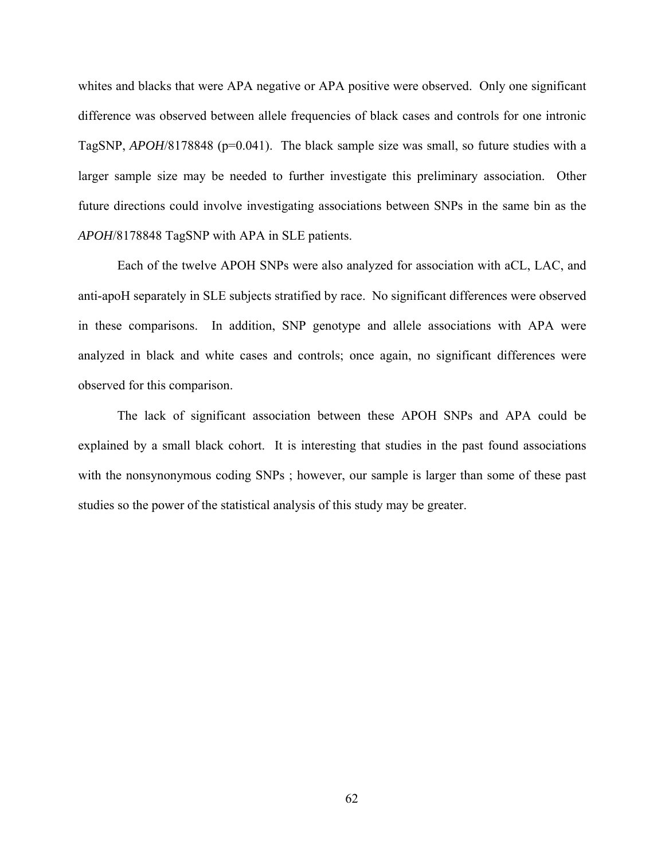whites and blacks that were APA negative or APA positive were observed. Only one significant difference was observed between allele frequencies of black cases and controls for one intronic TagSNP, *APOH*/8178848 (p=0.041). The black sample size was small, so future studies with a larger sample size may be needed to further investigate this preliminary association. Other future directions could involve investigating associations between SNPs in the same bin as the *APOH*/8178848 TagSNP with APA in SLE patients.

Each of the twelve APOH SNPs were also analyzed for association with aCL, LAC, and anti-apoH separately in SLE subjects stratified by race. No significant differences were observed in these comparisons. In addition, SNP genotype and allele associations with APA were analyzed in black and white cases and controls; once again, no significant differences were observed for this comparison.

The lack of significant association between these APOH SNPs and APA could be explained by a small black cohort. It is interesting that studies in the past found associations with the nonsynonymous coding SNPs; however, our sample is larger than some of these past studies so the power of the statistical analysis of this study may be greater.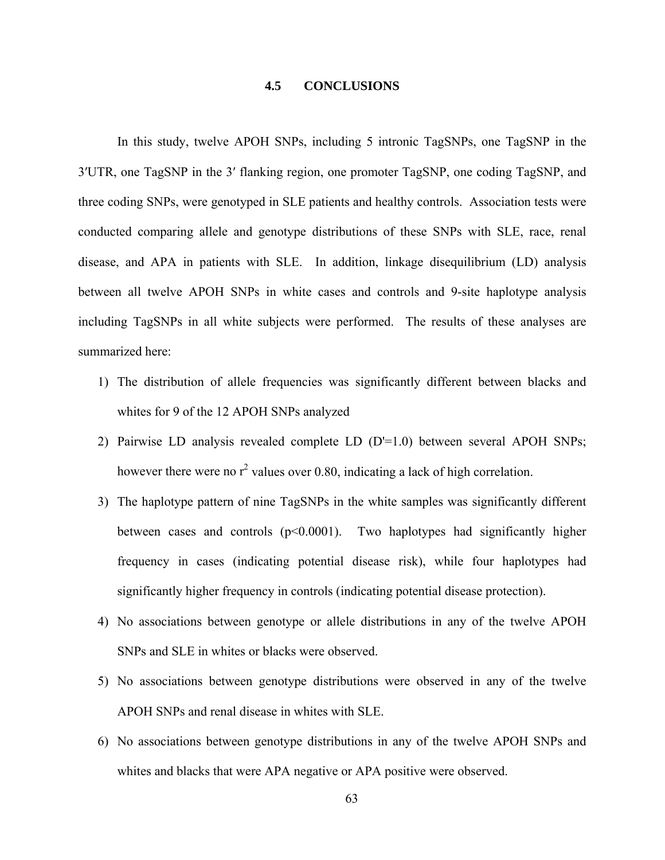## **4.5 CONCLUSIONS**

In this study, twelve APOH SNPs, including 5 intronic TagSNPs, one TagSNP in the 3′UTR, one TagSNP in the 3′ flanking region, one promoter TagSNP, one coding TagSNP, and three coding SNPs, were genotyped in SLE patients and healthy controls. Association tests were conducted comparing allele and genotype distributions of these SNPs with SLE, race, renal disease, and APA in patients with SLE. In addition, linkage disequilibrium (LD) analysis between all twelve APOH SNPs in white cases and controls and 9-site haplotype analysis including TagSNPs in all white subjects were performed. The results of these analyses are summarized here:

- 1) The distribution of allele frequencies was significantly different between blacks and whites for 9 of the 12 APOH SNPs analyzed
- 2) Pairwise LD analysis revealed complete LD (D'=1.0) between several APOH SNPs; however there were no  $r^2$  values over 0.80, indicating a lack of high correlation.
- 3) The haplotype pattern of nine TagSNPs in the white samples was significantly different between cases and controls (p<0.0001). Two haplotypes had significantly higher frequency in cases (indicating potential disease risk), while four haplotypes had significantly higher frequency in controls (indicating potential disease protection).
- 4) No associations between genotype or allele distributions in any of the twelve APOH SNPs and SLE in whites or blacks were observed.
- 5) No associations between genotype distributions were observed in any of the twelve APOH SNPs and renal disease in whites with SLE.
- 6) No associations between genotype distributions in any of the twelve APOH SNPs and whites and blacks that were APA negative or APA positive were observed.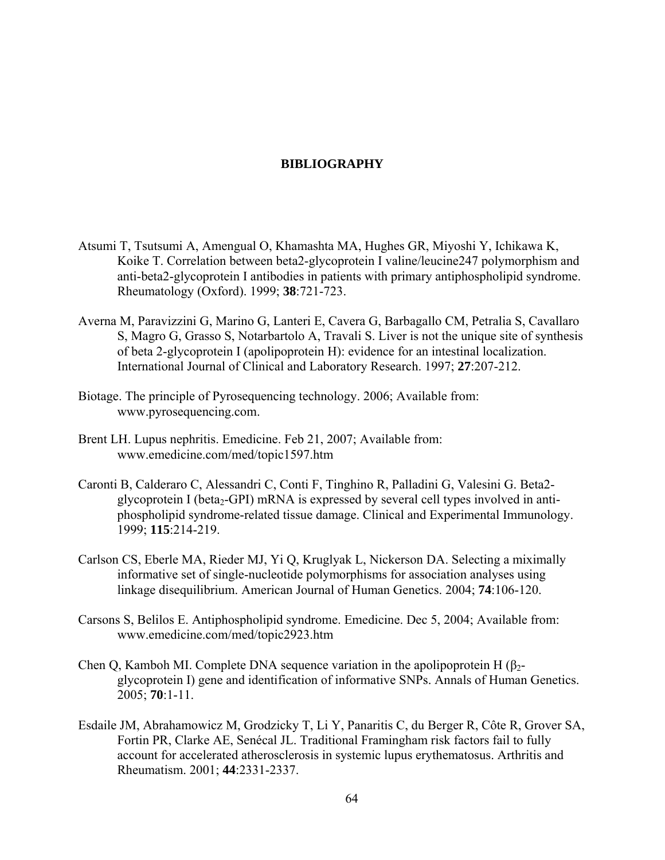## **BIBLIOGRAPHY**

- Atsumi T, Tsutsumi A, Amengual O, Khamashta MA, Hughes GR, Miyoshi Y, Ichikawa K, Koike T. Correlation between beta2-glycoprotein I valine/leucine247 polymorphism and anti-beta2-glycoprotein I antibodies in patients with primary antiphospholipid syndrome. Rheumatology (Oxford). 1999; **38**:721-723.
- Averna M, Paravizzini G, Marino G, Lanteri E, Cavera G, Barbagallo CM, Petralia S, Cavallaro S, Magro G, Grasso S, Notarbartolo A, Travali S. Liver is not the unique site of synthesis of beta 2-glycoprotein I (apolipoprotein H): evidence for an intestinal localization. International Journal of Clinical and Laboratory Research. 1997; **27**:207-212.
- Biotage. The principle of Pyrosequencing technology. 2006; Available from: www.pyrosequencing.com.
- Brent LH. Lupus nephritis. Emedicine. Feb 21, 2007; Available from: www.emedicine.com/med/topic1597.htm
- Caronti B, Calderaro C, Alessandri C, Conti F, Tinghino R, Palladini G, Valesini G. Beta2 glycoprotein I (beta<sub>2</sub>-GPI) mRNA is expressed by several cell types involved in antiphospholipid syndrome-related tissue damage. Clinical and Experimental Immunology. 1999; **115**:214-219.
- Carlson CS, Eberle MA, Rieder MJ, Yi Q, Kruglyak L, Nickerson DA. Selecting a miximally informative set of single-nucleotide polymorphisms for association analyses using linkage disequilibrium. American Journal of Human Genetics. 2004; **74**:106-120.
- Carsons S, Belilos E. Antiphospholipid syndrome. Emedicine. Dec 5, 2004; Available from: www.emedicine.com/med/topic2923.htm
- Chen Q, Kamboh MI. Complete DNA sequence variation in the apolipoprotein H  $(\beta_{2}$ glycoprotein I) gene and identification of informative SNPs. Annals of Human Genetics. 2005; **70**:1-11.
- Esdaile JM, Abrahamowicz M, Grodzicky T, Li Y, Panaritis C, du Berger R, Côte R, Grover SA, Fortin PR, Clarke AE, Senécal JL. Traditional Framingham risk factors fail to fully account for accelerated atherosclerosis in systemic lupus erythematosus. Arthritis and Rheumatism. 2001; **44**:2331-2337.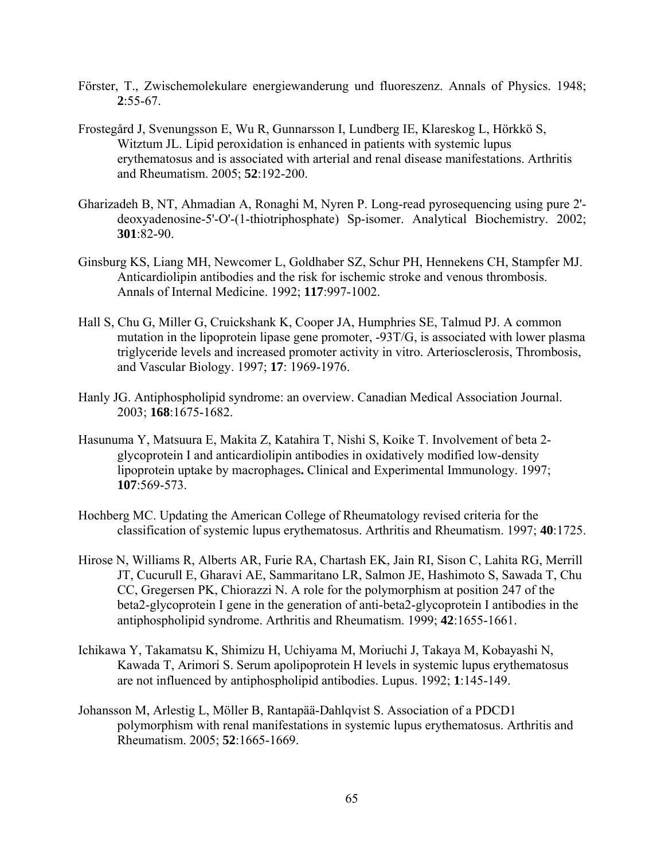- Förster, T., Zwischemolekulare energiewanderung und fluoreszenz. Annals of Physics. 1948; **2**:55-67.
- Frostegård J, Svenungsson E, Wu R, Gunnarsson I, Lundberg IE, Klareskog L, Hörkkö S, Witztum JL. Lipid peroxidation is enhanced in patients with systemic lupus erythematosus and is associated with arterial and renal disease manifestations. Arthritis and Rheumatism. 2005; **52**:192-200.
- Gharizadeh B, NT, Ahmadian A, Ronaghi M, Nyren P. Long-read pyrosequencing using pure 2' deoxyadenosine-5'-O'-(1-thiotriphosphate) Sp-isomer. Analytical Biochemistry. 2002; **301**:82-90.
- Ginsburg KS, Liang MH, Newcomer L, Goldhaber SZ, Schur PH, Hennekens CH, Stampfer MJ. Anticardiolipin antibodies and the risk for ischemic stroke and venous thrombosis. Annals of Internal Medicine. 1992; **117**:997-1002.
- Hall S, Chu G, Miller G, Cruickshank K, Cooper JA, Humphries SE, Talmud PJ. A common mutation in the lipoprotein lipase gene promoter, -93T/G, is associated with lower plasma triglyceride levels and increased promoter activity in vitro. Arteriosclerosis, Thrombosis, and Vascular Biology. 1997; **17**: 1969-1976.
- Hanly JG. Antiphospholipid syndrome: an overview. Canadian Medical Association Journal. 2003; **168**:1675-1682.
- Hasunuma Y, Matsuura E, Makita Z, Katahira T, Nishi S, Koike T. Involvement of beta 2 glycoprotein I and anticardiolipin antibodies in oxidatively modified low-density lipoprotein uptake by macrophages**.** Clinical and Experimental Immunology. 1997; **107**:569-573.
- Hochberg MC. Updating the American College of Rheumatology revised criteria for the classification of systemic lupus erythematosus. Arthritis and Rheumatism. 1997; **40**:1725.
- Hirose N, Williams R, Alberts AR, Furie RA, Chartash EK, Jain RI, Sison C, Lahita RG, Merrill JT, Cucurull E, Gharavi AE, Sammaritano LR, Salmon JE, Hashimoto S, Sawada T, Chu CC, Gregersen PK, Chiorazzi N. A role for the polymorphism at position 247 of the beta2-glycoprotein I gene in the generation of anti-beta2-glycoprotein I antibodies in the antiphospholipid syndrome. Arthritis and Rheumatism. 1999; **42**:1655-1661.
- Ichikawa Y, Takamatsu K, Shimizu H, Uchiyama M, Moriuchi J, Takaya M, Kobayashi N, Kawada T, Arimori S. Serum apolipoprotein H levels in systemic lupus erythematosus are not influenced by antiphospholipid antibodies. Lupus. 1992; **1**:145-149.
- Johansson M, Arlestig L, Möller B, Rantapää-Dahlqvist S. Association of a PDCD1 polymorphism with renal manifestations in systemic lupus erythematosus. Arthritis and Rheumatism. 2005; **52**:1665-1669.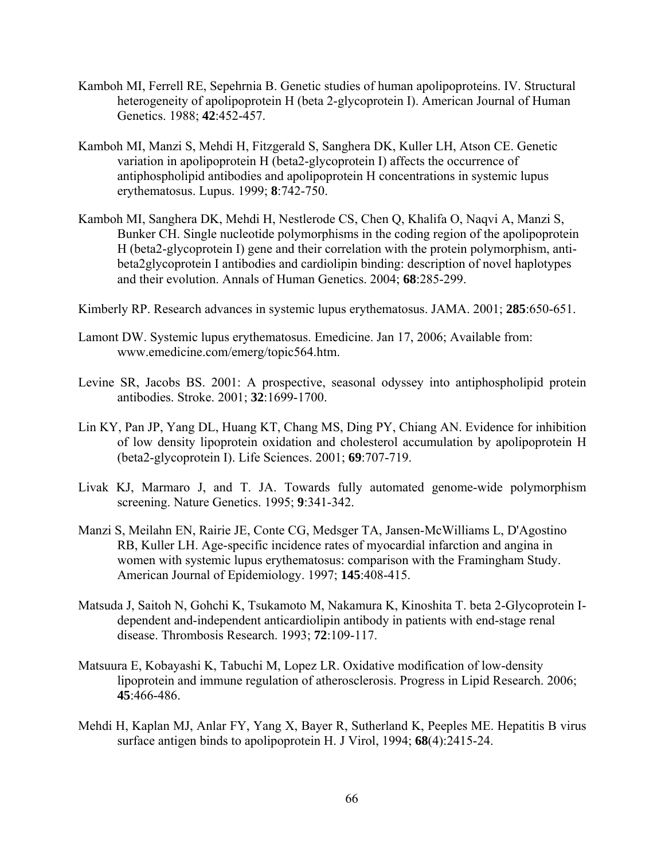- Kamboh MI, Ferrell RE, Sepehrnia B. Genetic studies of human apolipoproteins. IV. Structural heterogeneity of apolipoprotein H (beta 2-glycoprotein I). American Journal of Human Genetics. 1988; **42**:452-457.
- Kamboh MI, Manzi S, Mehdi H, Fitzgerald S, Sanghera DK, Kuller LH, Atson CE. Genetic variation in apolipoprotein H (beta2-glycoprotein I) affects the occurrence of antiphospholipid antibodies and apolipoprotein H concentrations in systemic lupus erythematosus. Lupus. 1999; **8**:742-750.
- Kamboh MI, Sanghera DK, Mehdi H, Nestlerode CS, Chen Q, Khalifa O, Naqvi A, Manzi S, Bunker CH. Single nucleotide polymorphisms in the coding region of the apolipoprotein H (beta2-glycoprotein I) gene and their correlation with the protein polymorphism, antibeta2glycoprotein I antibodies and cardiolipin binding: description of novel haplotypes and their evolution. Annals of Human Genetics. 2004; **68**:285-299.
- Kimberly RP. Research advances in systemic lupus erythematosus. JAMA. 2001; **285**:650-651.
- Lamont DW. Systemic lupus erythematosus. Emedicine. Jan 17, 2006; Available from: www.emedicine.com/emerg/topic564.htm.
- Levine SR, Jacobs BS. 2001: A prospective, seasonal odyssey into antiphospholipid protein antibodies. Stroke. 2001; **32**:1699-1700.
- Lin KY, Pan JP, Yang DL, Huang KT, Chang MS, Ding PY, Chiang AN. Evidence for inhibition of low density lipoprotein oxidation and cholesterol accumulation by apolipoprotein H (beta2-glycoprotein I). Life Sciences. 2001; **69**:707-719.
- Livak KJ, Marmaro J, and T. JA. Towards fully automated genome-wide polymorphism screening. Nature Genetics. 1995; **9**:341-342.
- Manzi S, Meilahn EN, Rairie JE, Conte CG, Medsger TA, Jansen-McWilliams L, D'Agostino RB, Kuller LH. Age-specific incidence rates of myocardial infarction and angina in women with systemic lupus erythematosus: comparison with the Framingham Study. American Journal of Epidemiology. 1997; **145**:408-415.
- Matsuda J, Saitoh N, Gohchi K, Tsukamoto M, Nakamura K, Kinoshita T. beta 2-Glycoprotein Idependent and-independent anticardiolipin antibody in patients with end-stage renal disease. Thrombosis Research. 1993; **72**:109-117.
- Matsuura E, Kobayashi K, Tabuchi M, Lopez LR. Oxidative modification of low-density lipoprotein and immune regulation of atherosclerosis. Progress in Lipid Research. 2006; **45**:466-486.
- Mehdi H, Kaplan MJ, Anlar FY, Yang X, Bayer R, Sutherland K, Peeples ME. Hepatitis B virus surface antigen binds to apolipoprotein H. J Virol, 1994; **68**(4):2415-24.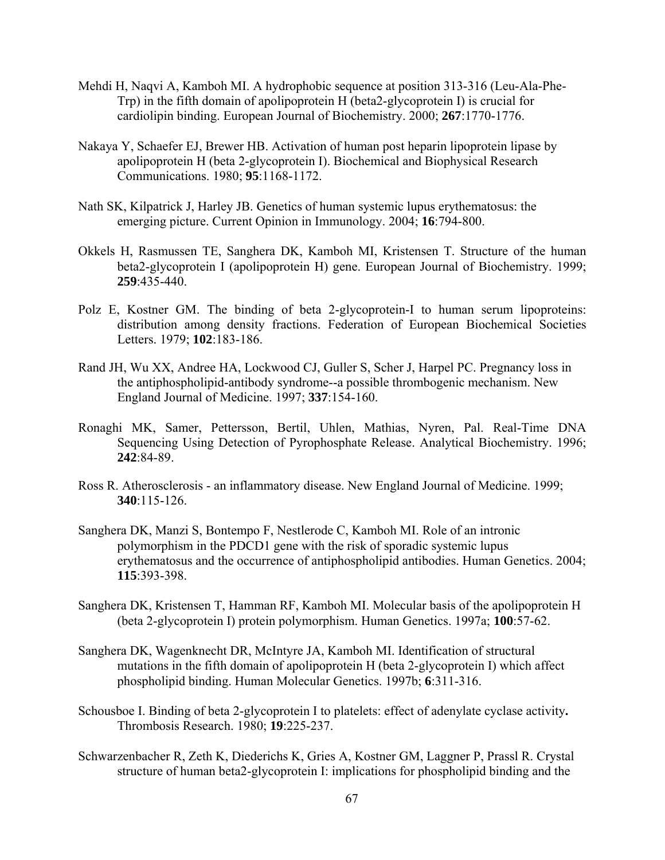- Mehdi H, Naqvi A, Kamboh MI. A hydrophobic sequence at position 313-316 (Leu-Ala-Phe-Trp) in the fifth domain of apolipoprotein H (beta2-glycoprotein I) is crucial for cardiolipin binding. European Journal of Biochemistry. 2000; **267**:1770-1776.
- Nakaya Y, Schaefer EJ, Brewer HB. Activation of human post heparin lipoprotein lipase by apolipoprotein H (beta 2-glycoprotein I). Biochemical and Biophysical Research Communications. 1980; **95**:1168-1172.
- Nath SK, Kilpatrick J, Harley JB. Genetics of human systemic lupus erythematosus: the emerging picture. Current Opinion in Immunology. 2004; **16**:794-800.
- Okkels H, Rasmussen TE, Sanghera DK, Kamboh MI, Kristensen T. Structure of the human beta2-glycoprotein I (apolipoprotein H) gene. European Journal of Biochemistry. 1999; **259**:435-440.
- Polz E, Kostner GM. The binding of beta 2-glycoprotein-I to human serum lipoproteins: distribution among density fractions. Federation of European Biochemical Societies Letters. 1979; **102**:183-186.
- Rand JH, Wu XX, Andree HA, Lockwood CJ, Guller S, Scher J, Harpel PC. Pregnancy loss in the antiphospholipid-antibody syndrome--a possible thrombogenic mechanism. New England Journal of Medicine. 1997; **337**:154-160.
- Ronaghi MK, Samer, Pettersson, Bertil, Uhlen, Mathias, Nyren, Pal. Real-Time DNA Sequencing Using Detection of Pyrophosphate Release. Analytical Biochemistry. 1996; **242**:84-89.
- Ross R. Atherosclerosis an inflammatory disease. New England Journal of Medicine. 1999; **340**:115-126.
- Sanghera DK, Manzi S, Bontempo F, Nestlerode C, Kamboh MI. Role of an intronic polymorphism in the PDCD1 gene with the risk of sporadic systemic lupus erythematosus and the occurrence of antiphospholipid antibodies. Human Genetics. 2004; **115**:393-398.
- Sanghera DK, Kristensen T, Hamman RF, Kamboh MI. Molecular basis of the apolipoprotein H (beta 2-glycoprotein I) protein polymorphism. Human Genetics. 1997a; **100**:57-62.
- Sanghera DK, Wagenknecht DR, McIntyre JA, Kamboh MI. Identification of structural mutations in the fifth domain of apolipoprotein H (beta 2-glycoprotein I) which affect phospholipid binding. Human Molecular Genetics. 1997b; **6**:311-316.
- Schousboe I. Binding of beta 2-glycoprotein I to platelets: effect of adenylate cyclase activity**.**  Thrombosis Research. 1980; **19**:225-237.
- Schwarzenbacher R, Zeth K, Diederichs K, Gries A, Kostner GM, Laggner P, Prassl R. Crystal structure of human beta2-glycoprotein I: implications for phospholipid binding and the